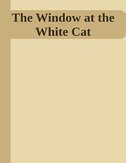# The Window at the **White Cat**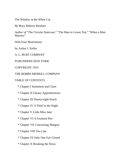The Window at the White Cat

*By* Mary Roberts Rinehart

*Author of* "The Circular Staircase," "The Man in Lower Ten," "When a Man Marries"

With Four Illustrations

by Arthur I. Keller

A. L. BURT COMPANY

### PUBLISHERS NEW YORK

#### COPYRIGHT 1910

### THE BOBBS-MERRILL COMPANY

### TABLE OF CONTENTS

- \* Chapter I Sentiment and Clues
- \* Chapter II Uneasy Apprehensions
- \* Chapter III Ninety-eight Pearls
- \* Chapter IV A Thief in the Night
- \* Chapter V Little Miss Jane
- \* Chapter VI A Fountain Pen
- \* Chapter VII Concerning Margery
- \* Chapter VIII Too Late
- \* Chapter IX Only One Eye Closed
- \* Chapter X Breaking the News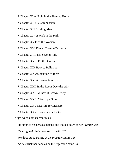- \* Chapter XI A Night in the Fleming Home
- \* Chapter XII My Commission
- \* Chapter XIII Sizzling Metal
- \* Chapter XIV A Walk in the Park
- \* Chapter XV Find the Woman
- \* Chapter XVI Eleven Twenty-Two Again
- \* Chapter XVII His Second Wife
- \* Chapter XVIII Edith's Cousin
- \* Chapter XIX Back to Bellwood
- \* Chapter XX Association of Ideas
- \* Chapter XXI A Proscenium Box
- \* Chapter XXII In the Room Over the Way
- \* Chapter XXIII A Box of Crown Derby
- \* Chapter XXIV Wardrop's Story
- \* Chapter XXV Measure for Measure
- \* Chapter XXVI Lovers and a Letter

### LIST OF ILLUSTRATIONS \*

He stopped his nervous pacing and looked down at her *Frontispiece*

"She's gone! She's been run off with!" 78

We three stood staring at the prostrate figure 126

As he struck her hand aside the explosion came 330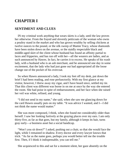# **CHAPTER I**

## **SENTIMENT AND CLUES**

IN my criminal work anything that wears skirts is a lady, until the law proves her otherwise. From the frayed and slovenly petticoats of the woman who owns a poultry stand in the market and who has grown wealthy by selling chickens at twelve ounces to the pound, or the silk sweep of Mamie Tracy, whose diamonds have been stolen down on the avenue, or the staidly respectable black and middle-aged skirt of the client whose husband has found an affinity partial to laces and fripperies, and has run off with her—all the wearers are ladies, and as such announced by Hawes. In fact, he carries it to excess. He speaks of his wash lady, with a husband who is an ash merchant, and he announced one day in some excitement, that the lady who had just gone out had appropriated all the loose change out of the pocket of his overcoat.

So when Hawes announced a lady, I took my feet off my desk, put down the brief I had been reading, and rose perfunctorily. With my first glance at my visitor, however, I threw away my cigar, and I have heard since, settled my tie. That this client was different was borne in on me at once by the way she entered the room. She had poise in spite of embarrassment, and her face when she raised her veil was white, refined, and young.

"I did not send in my name," she said, when she saw me glancing down for the card Hawes usually puts on my table. "It was advice I wanted, and I—I did not think the name would matter."

She was more composed, I think, when she found me considerably older than herself. I saw her looking furtively at the graying places over my ears. I am only thirty-five, as far as that goes, but my family, although it keeps its hair, turns gray early—a business asset but a social handicap.

"Won't you sit down?" I asked, pushing out a chair, so that she would face the light, while I remained in shadow. Every doctor and every lawyer knows that trick. "As far as the name goes, perhaps you would better tell me the trouble first. Then, if I think it indispensable, you can tell me."

She acquiesced to this and sat for a moment silent, her gaze absently on the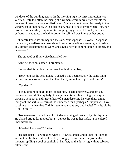windows of the building across. In the morning light my first impression was verified. Only too often the raising of a woman's veil in my office reveals the ravages of tears, or rouge, or dissipation. My new client turned fearlessly to the window an unlined face, with a clear skin, healthily pale. From where I sat, her profile was beautiful, in spite of its drooping suggestion of trouble; her first embarrassment gone, she had forgotten herself and was intent on her errand.

"I hardly know how to begin," she said, "but suppose"—slowly—"suppose that a man, a well-known man, should leave home without warning, not taking any clothes except those he wore, and saying he was coming home to dinner, and he—he—"

She stopped as if her voice had failed her.

"And he does not come?" I prompted.

She nodded, fumbling for her handkerchief in her bag.

"How long has he been gone?" I asked. I had heard exactly the same thing before, but to leave a woman like that, hardly more than a girl, and lovely!

"Ten days."

"I should think it ought to be looked into," I said decisively, and got up. Somehow I couldn't sit quietly. A lawyer who is worth anything is always a partisan, I suppose, and I never hear of a man deserting his wife that I am not indignant, the virtuous scorn of the unmarried man, perhaps. "But you will have to tell me more than that. Did this gentleman have any bad habits? That is, did he —er—drink?"

"Not to excess. He had been forbidden anything of that sort by his physician. He played bridge for money, but I—believe he was rather lucky." She colored uncomfortably.

"Married, I suppose?" I asked casually.

"He had been. His wife died when I—" She stopped and bit her lip. Then it was not her husband, after all! Oddly enough, the sun came out just at that moment, spilling a pool of sunlight at her feet, on the dusty rug with its tobaccobitten scars.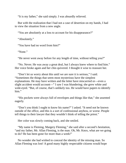"It is my father," she said simply. I was absurdly relieved.

But with the realization that I had not a case of desertion on my hands, I had to view the situation from a new angle.

"You are absolutely at a loss to account for his disappearance?"

"Absolutely."

"You have had no word from him?"

"None."

"He never went away before for any length of time, without telling you?"

"No. Never. He was away a great deal, but I always knew where to find him." Her voice broke again and her chin quivered. I thought it wise to reassure her.

"Don't let us worry about this until we are sure it is serious," I said. "Sometimes the things that seem most mysterious have the simplest explanations. He may have written and the letter have miscarried or—even a slight accident would account—" I saw I was blundering; she grew white and wide-eyed. "But, of course, that's unlikely too. He would have papers to identify him."

"His pockets were always full of envelopes and things like that," she assented eagerly.

"Don't you think I ought to know his name?" I asked. "It need not be known outside of the office, and this is a sort of confessional anyhow, or worse. People tell things to their lawyer that they wouldn't think of telling the priest."

Her color was slowly coming back, and she smiled.

"My name is Fleming, Margery Fleming," she said after a second's hesitation, "and my father, Mr. Allan Fleming, is the man. Oh, Mr. Knox, what are we going to do? He has been gone for more than a week!"

No wonder she had wished to conceal the identity of the missing man. So Allan Fleming was lost! A good many highly respectable citizens would hope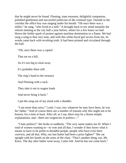that he might never be found. Fleming, state treasurer, delightful companion, polished gentleman and successful politician of the criminal type. Outside in the corridor the office boy was singing under his breath. "Oh once there was a miller," he sang, "who lived in a mill." It brought back to my mind instantly the reform meeting at the city hall a year before, where for a few hours we had blown the feeble spark of protest against machine domination to a flame. We had sung a song to that very tune, and with this white-faced girl across from me, its words came hack with revolting truth. It had been printed and circulated through the hall.

"Oh, once there was a capitol

That sat on a hill,

As it's too big to steal away

It's probably there still.

The ring's hand in the treasury

And Fleming with a sack.

They take it out in wagon loads

And never bring it back."

I put the song out of my mind with a shudder.

"I am more than sorry," I said. I was, too; whatever he may have been, he was *her* father. "And of course there are a number of reasons why this ought not to be known, for a time at least. After all, as I say, there may be a dozen simple explanations, and—there are exigencies in politics—"

"I hate politics!" she broke in suddenly. "The very name makes me ill. When I read of women wanting to—to vote and all that, I wonder if they know what it means to have to be polite to dreadful people, people who have even been convicts, and all that. Why, our last butler had been a prize fighter!" She sat upright with her hands on the arms of the chair. "That's another thing, too, Mr. Knox. The day after father went away, Carter left. And he has not come back."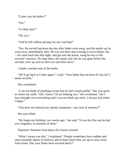"Carter was the butler?"

"Yes."

"A white man?"

"Oh, yes."

"And he left without giving you any warning?"

"Yes. He served luncheon the day after father went away, and the maids say he went away immediately after. He was not there that evening to serve dinner, but —he came back late that night, and got into the house, using his key to the servants' entrance. He slept there, the maids said, but he was gone before the servants were up and we have not seen him since."

I made a mental note of the butler.

"We'll go back to Carter again," I said. "Your father has not been ill, has he? I mean recently."

She considered.

"I can not think of anything except that he had a tooth pulled." She was quick to resent my smile. "Oh, I know I'm not helping you," she exclaimed, "but I have thought over everything until I can not think any more. I always end where I begin."

"You have not noticed any mental symptoms—any lack of memory?"

Her eyes filled.

"He forgot my birthday, two weeks ago," she said. "It was the first one he had ever forgotten, in nineteen of them."

Nineteen! Nineteen from thirty-five leaves sixteen!

"What I meant was this," I explained. "People sometimes have sudden and unaccountable lapses of memory and at those times they are apt to stray away from home. Has your father been worried lately?"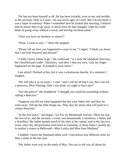"He has not been himself at all. He has been irritable, even to me, and terrible to the servants. Only to Carter—he was never ugly to Carter. But I do not think it was a lapse of memory. When I remember how he looked that morning, I believe that he meant then to go away. It shows how he had changed, when he could think of going away without a word, and leaving me there alone."

"Then you have no brothers or sisters?"

"None. I came to you—" there she stopped.

"Please tell me how you happened to come to me," I urged. "I think you know that I am both honored and pleased."

"I didn't know where to go," she confessed, "so I took the telephone directory, the classified part under 'Attorneys,' and after I shut my eyes, I put my finger haphazard on the page. It pointed to your name."

I am afraid I flushed at this, but it was a wholesome douche. In a moment I laughed.

"We will take it as an omen," I said, "and I will do all that I can. But I am not a detective, Miss Fleming. Don't you think we ought to have one?"

"Not the police!" she shuddered. "I thought you could do something without calling a detective."

"Suppose you tell me what happened the day your father left, and how he went away. Tell me the little things too. They may be straws that will point in a certain direction."

"In the first place," she began, "we live on Monmouth Avenue. There are just the two of us, and the servants: a cook, two housemaids, a laundress, a butler and a chauffeur. My father spends much of his time at the capital, and in the last two years, since my old governess went back to Germany, at those times I usually go to mother's sisters at Bellwood—Miss Letitia and Miss Jane Maitland."

I nodded: I knew the Maitland ladies well. I had drawn four different wills for Miss Letitia in the last year.

"My father went way on the tenth of May. You say to tell you all about his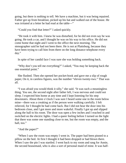going, but there is nothing to tell. We have a machine, but it was being repaired. Father got up from breakfast, picked up his hat and walked out of the house. He was irritated at a letter he had read at the table—"

"Could you find that letter?" I asked quickly.

"He took it with him. I knew he was disturbed, for he did not even say he was going. He took a car, and I thought he was on his way to his office. He did not come home that night and I went to the office the next morning. The stenographer said he had not been there. He is not at Plattsburg, because they have been trying to call him from there on the long distance telephone every day."

In spite of her candid face I was sure she was holding something back.

"Why don't you tell me everything?" I asked, "You may be keeping back the one essential point."

She flushed. Then she opened her pocket-book and gave me a slip of rough paper, On it, in careless figures, was the number "eleven twenty-two." That was all.

"I was afraid you would think it silly," she said. "It was such a meaningless thing. You see, the second night after father left, I was nervous and could not sleep. I expected him home at any time and I kept listening for his step downstairs. About three o'clock I was sure I heard some one in the room below mine—there was a creaking as if the person were walking carefully. I felt relieved, for I thought he had come back. But I did not hear the door into his bedroom close, and I got more and more wakeful. Finally I got up and slipped along the hall to his room. The door was open a few inches and I reached in and switched on the electric lights. I had a queer feeling before I turned on the light that there was some one standing close to me, but the room was empty, and the hall, too."

"And the paper?"

"When I saw the room was empty I went in. The paper had been pinned to a pillow on the bed. At first I thought it had been dropped or had blown there. When I saw the pin I was startled. I went back to my room and rang for Annie, the second housemaid, who is also a sort of personal maid of mine. It was half-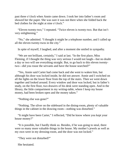past three o'clock when Annie came down. I took her into father's room and showed her the paper. She was sure it was not there when she folded back the bed clothes for the night at nine o'clock."

"Eleven twenty-two," I repeated. "Twice eleven is twenty-two. But that isn't very enlightening."

"No," she admitted. "I thought it might be a telephone number, and I called up all the eleven twenty-twos in the city."

In spite of myself, I laughed, and after a moment she smiled in sympathy.

"We are not brilliant, certainly," I said at last. "In the first place, Miss Fleming, if I thought the thing was very serious I would not laugh—but no doubt a day or two will see everything straight. But, to go back to this eleven twentytwo—did you rouse the servants and have the house searched?"

"Yes, Annie said Carter had come back and she went to waken him, but although his door was locked inside, he did not answer. Annie and I switched on all the lights on the lower floor from the top of the stairs. Then we went down together and looked around. Every window and door was locked, but in father's study, on the first floor, two drawers of his desk were standing open. And in the library, the little compartment in my writing-table, where I keep my house money, had been broken open and the money taken."

"Nothing else was gone?"

"Nothing. The silver on the sideboard in the dining-room, plenty of valuable things in the cabinet in the drawing room—nothing was disturbed."

"It might have been Carter," I reflected, "Did he know where you kept your house money?"

"It is possible, but I hardly think so. Besides, if he was going to steal, there were so many more valuable things in the house. My mother's jewels as well as my own were in my dressing-room, and the door was not locked."

"They were not disturbed?"

She hesitated.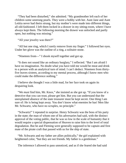"They had been disturbed," she admitted. "My grandmother left each of her children some unstrung pearls. They were a hobby with her. Aunt Jane and Aunt Letitia never had theirs strung, but my mother's were made into different things, all old-fashioned. I left them locked in a drawer in my sitting-room, where I have always kept them. The following morning the drawer was unlocked and partly open, but nothing was missing."

"All your jewelry was there?"

"All but one ring, which I rarely remove from my finger." I followed her eyes. Under her glove was the outline of a ring, a solitaire stone.

"Nineteen from—" I shook myself together and got up.

"It does not sound like an ordinary burglary," I reflected. "But I am afraid I have no imagination. No doubt what you have told me would be meat and drink to a person with an analytical turn of mind. I can't deduct. Nineteen from thirtyfive leaves sixteen, according to my mental process, although I know men who could make the difference nothing."

I believe she thought I was a little mad, for her face took on again its despairing look.

"We *must* find him, Mr. Knox," she insisted as she got up. "If you know of a detective that you can trust, please get him. But you can understand that the unexplained absence of the state treasurer must be kept secret. One thing I am sure of: He is being kept away. You don't know what enemies he has! Men like Mr. Schwartz, who have no scruples, no principle."

"Schwartz!" I repeated in surprise. Henry Schwartz was the boss of his party in the state; the man of whom one of his adversaries had said, with the distinct approval of the voting public, that he was so low in the scale of humanity that it would require a special dispensation of Heaven to raise him to the level of total degradation. But he and Fleming were generally supposed to be captain and first mate of the pirate craft that passed with us for the ship of state.

"Mr. Schwartz and my father are allies politically," the girl explained with heightened color, "but they are not friends. My father is a gentleman."

The inference I allowed to pass unnoticed, and as if she feared she had said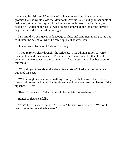too much, the girl rose. When she left, a few minutes later, it was with the promise that she would close the Monmouth Avenue house and go to her aunts at Bellwood, at once. For myself, I pledged a thorough search for her father, and began it by watching the scarlet wing on her hat through the top of the elevator cage until it had descended out of sight.

I am afraid it was a queer hodgepodge of clues and sentiment that I poured out to Hunter, the detective, when he came up late that afternoon.

Hunter was quiet when I finished my story.

"They're rotten clear through," he reflected. "This administration is worse than the last, and *it* was a peach. There have been more suicides than I could count on my two hands, in the last ten years. I warn you—you'd be better out of this mess."

"What do you think about the eleven twenty-two?" I asked as he got up and buttoned his coat.

"Well, it might mean almost anything. It might be that many dollars, or the time a train starts, or it might be the eleventh and the twenty-second letters of the alphabet—k—v."

"K—v!" I repeated. "Why that would be the latin *cave*—beware."

Hunter smiled cheerfully.

"You'd better stick to the law, Mr. Knox," he said from the door. "We don't use Latin in the detective business."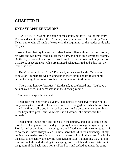# **CHAPTER II**

## **UNEASY APPREHENSIONS**

PLATTSBURG was not the name of the capital, but it will do for this story. The state doesn't matter either. You may take your choice, like the story Mark Twain wrote, with all kinds of weather at the beginning, so the reader could take his pick.

We will say that my home city is Manchester. I live with my married brother, his wife and two boys. Fred is older than I am, and he is an exceptional brother. On the day he came home from his wedding trip, I went down with my traps on a hansom, in accordance with a prearranged schedule. Fred and Edith met me inside the door.

"Here's your latch-key, Jack," Fred said, as he shook hands. "Only one stipulation—remember we are strangers in the vicinity and try to get home before the neighbors are up. We have our reputations to think of."

"There is no hour for breakfast," Edith said, as she kissed me. "You have a bath of your own, and don't smoke in the drawing-room."

Fred was always a lucky devil.

I had been there now for six years. I had helped to raise two young Knoxes bully youngsters, too: the oldest one could use boxing-gloves when he was four —and the finest collie pup in our end of the state. I wanted to raise other things —the boys liked pets—but Edith was like all women, she didn't care for animals.

I had a rabbit-hutch built and stocked in the laundry, and a dove-cote on the roof. I used the general bath, and gave up my tub to a younger alligator I got in Florida, and every Sunday the youngsters and I had a great time trying to teach it to do tricks. I have always taken it a little hard that Edith took advantage of my getting the measles from Billy, to clear out every animal in the house. She broke the news to me gently, the day the rash began to fade, maintaining that, having lost one cook through the alligator escaping from his tub and being mistaken, in the gloom of the back-stairs, for a rubber boot, and picked up under the same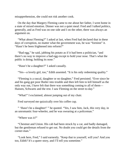misapprehension, she could not risk another cook.

On the day that Margery Fleming came to me about her father, I went home in a state of mixed emotion. Dinner was not a quiet meal: Fred and I talked politics, generally, and as Fred was on one side and I on the other, there was always an argument on.

"What about Fleming?" I asked at last, when Fred had declared that in these days of corruption, no matter what the government was, be was "forninst" it. "Hasn't he been frightened into reform?"

"Bad egg," he said, jabbing his potato as if it had been a politician, "and there's no way to improve a bad egg except to hold your nose. That's what the public is doing; holding its nose."

"Hasn't he a daughter?" I asked casually.

"Yes—a lovely girl, too," Edith assented. "It is his only redeeming quality."

"Fleming is a rascal, daughter or no daughter," Fred persisted. "Ever since he and his gang got poor Butler into trouble and then left him to kill himself as the only way out, I have felt that there was something coming to all of them— Hansen, Schwartz and the rest. I saw Fleming on the street to-day."

"What!" I exclaimed, almost jumping out of my chair.

Fred surveyed me quizzically over his coffee cup.

" 'Hasn't he a daughter!' " he quoted. "Yes, I saw him, Jack, this very day, in an unromantic four-wheeler, and he was swearing at a policeman."

"Where was it?"

"Chestnut and Union. His cab had been struck by a car, and badly damaged, but the gentleman refused to get out. No doubt you could get the details from the corner-man."

"Look here, Fred," I said earnestly. "Keep that to yourself, will you? And you too, Edith? It's a queer story, and I'll tell you sometime."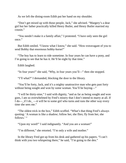As we left the dining-room Edith put her hand on my shoulder.

"Don't get mixed up with those people, Jack," she advised. "Margery's a dear girl but her father practically killed Henry Butler, and Henry Butler married my cousin."

"You needn't make it a family affair," I protested. "I have only seen the girl once."

But Edith smiled. "I know what I know," she said. "How extravagant of you to send Bobby that enormous hobby-horse!"

"The boy has to learn to ride sometime. In four years he can have a pony, and I'm going to see that he has it. He'll be eight by that time."

Edith laughed.

"In four years!" she said, "Why, in four years you'll—" then she stopped.

"I'll what?" I demanded, blocking the door to the library.

"You'll be forty, Jack, and it's a mighty unattractive man who gets past forty without being sought and won by some woman. You'll be buying—"

"I will be thirty-nine," I said with dignity, "and as far as being sought and won goes, I am so overwhelmed by Fred's misery that I don't intend to marry at all. If I do— if I do  $\frac{1}{\sqrt{2}}$  —it will be to some girl who turns and runs the other way every time she sees me."

"The oldest trick in the box," Edith scoffed. "What's that thing Fred's always quoting: 'A woman is like a shadow; follow her, she flies; fly from her, she follows.'"

"Upon my word!" I said indignantly. "And you are a woman!"

"I'm different," she retorted. "I'm only a wife and mother."

In the library Fred got up from his desk and gathered up his papers. "I can't think with you two whispering there," he said, "I'm going to the den."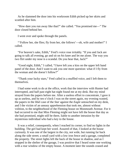As he slammed the door into his workroom Edith picked up her skirts and scuttled after him.

"How dare you run away like that?" she called. "You promised me—" The door closed behind her.

I went over and spoke through the panels.

"'Follow her, she flies; fly from her, she follows'—oh, wife and mother!" I called.

"For heaven's sake, Edith," Fred's voice rose irritably. "If you and Jack are going to talk all evening, go and sit on *his* knee and let me alone. The way you two flirt under my nose is a scandal. Do you hear that, Jack?"

"Good night, Edith," I called, "I have left you a kiss on the upper left hand panel of the door. And I want to ask you one more question: what if I fly from the woman and she doesn't follow?"

"Thank your lucky stars," Fred called in a muffled voice, and I left them to themselves.

I had some work to do at the office, work that the interview with Hunter had interrupted, and half past eight hat night found me at my desk. But my mind strayed from the papers before me. After a useless effort to concentrate, I gave it up as useless, and by ten o'clock I was on the street again, my evening wasted, the papers in the libel case of the *Star* against the *Eagle* untouched on my desk, and I the victim of an uneasy apprehension that took me, almost without volition, to the neighborhood of the Fleming house on Monmouth Avenue. For it had occurred to me that Miss Fleming might not have left the house that day as she had promised, might still be there, liable to another intrusion by the mysterious individual who had a key to the house.

It was a relief, consequently, when I reached its corner, to find no lights in the building. The girl had kept her word. Assured of that, I looked at the house curiously. It was one of the largest in the city, not wide, but running far back along the side street; a small yard with a low iron fence and a garage, completed the property. The street lights left the back of the house in shadow, and as I stopped in the shelter of the garage, I was positive that I heard some one working with a rear window of the empty house. A moment later the sounds ceased and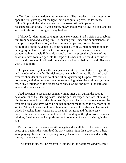muffled footsteps came down the cement walk. The intruder made no attempt to open the iron gate; against the light I saw him put a leg over the low fence, follow it up with the other, and start up the street, still with peculiar noiselessness of stride. He was a short, heavy-shouldered fellow in a cap, and his silhouette showed a prodigious length of arm.

I followed, I don't mind saying in some excitement. I had a vision of grabbing him from behind and leading him—or pushing him, under the circumstances, in triumph to the police station, and another mental picture, not so pleasant, of being found on the pavement by some passer-by, with a small punctuation mark ending my sentence of life. But I was not apprehensive. I even remember wondering humorously if I should overtake him and press the cold end of my silver mounted fountain pen into the nape of his neck, if he would throw up his hands and surrender. I had read somewhere of a burglar held up in a similar way with a shoe-horn.

Our pace was easy. Once the man just ahead stopped and lighted a cigarette, and the odor of a very fair Turkish tobacco came back to me. He glanced back over his shoulder at me and went on without quickening his pace. We met no policemen, and after perhaps five minutes walking, when the strain was growing tense, my gentleman of the rubber-soled shoes swung abruptly to the left, and entered the police station!

I had occasion to see Davidson many times after that, during the strange development of the Fleming case; I had the peculiar experience later of having him follow me as I had trailed him that night, and I had occasion once to test the strength of his long arms when he helped to thrust me through the transom at the White Cat, but I never met him without a recurrence of the sheepish feeling with which I watched him swagger up to the night sergeant and fall into easy conversation with the man behind the desk. Standing in the glare from the open window, I had much the lost pride and self contempt of a wet cat sitting in the sun.

Two or three roundsmen were sitting against the wall, lazily, helmets off and coats open against the warmth of the early spring night. In a back room others were playing checkers and disputing noisily. Davidson's voice came distinctly through the open windows.

"The house is closed," he reported. "But one of the basement windows isn't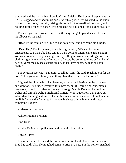shuttered and the lock is bad. I couldn't find Shields. He'd better keep an eye on it." He stopped and fished in his pockets with a grin. "This was tied to the knob of the kitchen door," he said, raising his voice for the benefit of the room, and holding aloft a piece of paper. "For Shields!" he explained, "and signed 'Delia.""

The men gathered around him, even the sergeant got up and leaned forward, his elbows on his desk.

"Read it," he said lazily. "Shields has got a wife, and her name ain't Delia."

"Dear Tim," Davidson read, in a mincing falsetto, "We are closing up unexpected, so I won't be here tonight. I am going to Mamie Brennan's and if you want to talk to me you can get me by calling up Anderson's drugstore. The clerk is a gentleman friend of mine. Mr. Carter, the butler, told me before he left he would get me a place as parlor maid, so I'll have another situation soon. Delia."

The sergeant scowled. "I'm goin' to talk to Tom," he said, reaching out for the note. "He's got a nice family, and things like that're bad for the force."

I lighted the cigar, which had been my excuse for loitering on the pavement, and went on. It sounded involved for a novice, but if I could find Anderson's drugstore I could find Mamie Brennan; through Mamie Brennan I would get Delia; and through Delia I might find Carter. I was vague from that point, but what Miss Fleming had said of Carter had made me suspicious of him. Under an arc light I made the first note in my new business of manhunter and it was something like this:

Anderson's drugstore.

Ask for Mamie Brennan.

Find Delia.

Advise Delia that a policeman with a family is a bad bet.

Locate Carter.

It was late when I reached the corner of Chestnut and Union Streets, where Fred had said Allan Fleming had come to grief in a cab. But the corner-man had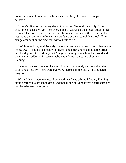gone, and the night man on the beat knew nothing, of course, of any particular collision.

"There's plinty of 'em every day at this corner," he said cheerfully. "The department sends a wagon here every night to gather up the pieces, automobiles mainly. That trolley pole over there has been sliced off clean three times in the last month. They say a fellow ain't a graduate of the automobile school till he can go around it on the sidewalk without hittin' it!"

I left him looking reminiscently at the pole, and went home to bed. I had made no headway, I had lost conceit with myself and a day and evening at the office, and I had gained the certainty that Margery Fleming was safe in Bellwood and the uncertain address of a servant who *might* know something about Mr. Fleming.

I was still awake at one o'clock and I got up impatiently and consulted the telephone directory. There were twelve Andersons in the city who conducted drugstores.

When I finally went to sleep, I dreamed that I was driving Margery Fleming along a street in a broken taxicab, and that all the buildings were pharmacies and numbered eleven twenty-two.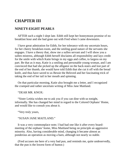# **CHAPTER III**

## **NINETY-EIGHT PEARLS**

AFTER such a night I slept late. Edith still kept her honeymoon promise of no breakfast hour and she had gone out with Fred when I came downstairs.

I have great admiration for Edith, for her tolerance with my uncertain hours, for her cheery breakfast-room, and the smiling good nature of the servants she engages. I have a theory that, show me a sullen servant and I will show you a sullen mistress, although Edith herself disclaims all responsibility and lays credit for the smile with which Katie brings in my eggs and coffee, to largess on my part. Be that as it may, Katie is a smiling and personable young woman, and I am convinced that had she picked up the alligator on the back-stairs and lost part of the end of her thumb, she would have told Edith that she cut it off with the bread knife, and thus have saved to us Bessie the Beloved and her fascinating trick of taking the end of her tail in her mouth and spinning.

On that particular morning, Katie also brought me a letter, and I recognized the cramped and rather uncertain writing of Miss Jane Maitland.

"DEAR MR. KNOX:

"Sister Letitia wishes me to ask you if you can dine with us tonight, informally. She has changed her mind in regard to the Colored Orphans' Home, and would like to consult you about it.

"Very truly yours,

"SUSAN JANE MAITLAND."

It was a very commonplace note; I had had one like it after every boardmeeting of the orphans' home, Miss Maitland being on principle an aggressive minority. Also, having considerable mind, changing it became almost as ponderous an operation as moving a barn, although not nearly so stable.

(Fred accuses me here of a very bad pun, and reminds me, quite undeservedly, that the pun is the lowest form of humor.)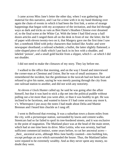I came across Miss Jane's letter the other day, when I was gathering the material for this narrative, and I sat for a time with it in my hand thinking over again the chain of events in which it had been the first link, a series of strange happenings that began with my acceptance of the invitation, and that led through ways as dark and tricks as vain as Bret Harte's Heathen Chinese ever dreamed of, to the final scene at the White Cat. With the letter I had filed away a half dozen articles and I ranged them all on the desk in front of me: the letter, the bit of paper with eleven twenty-two on it, that Margery gave me the first time I saw her; a notebook filled with jerky characters that looked like Arabic and were newspaper shorthand; a railroad schedule; a bullet, the latter slightly flattened; a cube-shaped piece of chalk which I put back in its box with a shudder, and labeled 'poison', and a small gold buckle from a slipper, which I—at which I did not shudder.

I did not need to make the climaxes of my story. They lay before me.

I walked to the office that morning, and on the way I found and interviewed the corner-man at Chestnut and Union. But he was of small assistance. He remembered the incident, but the gentleman in the taxicab had not been hurt and refused to give his name, saying he was merely passing through the city from one railroad station to another, and did not wish any notoriety.

At eleven o'clock Hunter called up; he said he was going after the affair himself, but that it was hard to stick a dip net into the political puddle without pulling out a lot more than you went after, or than it was healthy to get. He was inclined to be facetious, and wanted to know if I had come across any more k. v's. Whereupon I put away the notes I had made about Delia and Mamie Brennan and I heard him chuckle as I rang off.

I went to Bellwood that evening. It was a suburban town a dozen miles from the city, with a picturesque station, surrounded by lawns and cement walks. Streetcars had so far failed to spoil its tree-bordered streets, and it was exclusive to the point of stagnation. The Maitland place was at the head of the main street, which had at one time been its drive. Miss Letitia, who was seventy, had had sufficient commercial instinct, some years before, to cut her ancestral acres— \_their\_ ancestral acres, although Miss Jane hardly counted—into building lots, except perhaps an acre which surrounded the house. Thus, the Maitland ladies were reputed to be extremely wealthy. And as they never spent any money, no doubt they were.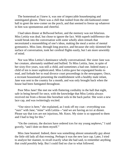The homestead as I knew it, was one of impeccable housekeeping and unmitigated gloom. There was a chill that rushed from the old-fashioned center hall to greet the new-comer on the porch, and that seemed to freeze up whatever in him was spontaneous and cheerful.

I had taken dinner at Bellwood before, and the memory was not hilarious. Miss Letitia was deaf, but chose to ignore the fact. With superb indifference she would break into the conversation with some wholly alien remark that necessitated a reassembling of one's ideas, making the meal a series of mental gymnastics. Miss Jane, through long practice, and because she only skimmed the surface of conversation, took her cerebral flights easily, but I am more unwieldy of mind.

Nor was Miss Letitia's dominance wholly conversational. Her sister Jane was her creature, alternately snubbed and bullied. To Miss Letitia, Jane, in spite of her sixty-five years, was still a child, and sometimes a bad one. Indeed many a child of ten is more sophisticated. Miss Letitia gave her expurgated books to read, and forbade her to read divorce court proceedings in the newspapers. Once, a recreant housemaid presenting the establishment with a healthy male infant, Jane was sent to the country for a month, and was only brought back when the house had been fumigated throughout.

Poor Miss Jane! She met me with fluttering cordiality in the hall that night, safe in being herself for once, with the knowledge that Miss Letitia always received me from a throne-like horsehair sofa in the back parlor. She wore a new lace cap, and was twitteringly excited.

"Our niece is here," she explained, as I took off my coat—everything was "ours" with Jane; "mine" with Letitia—"and we are having an ice at dinner. Please say that ices are not injurious, Mr. Knox. My sister is so opposed to them and I had to beg for this."

"On the contrary, the doctors have ordered ices for my young nephews," I said gravely, "and I dote on them myself."

Miss Jane beamed. Indeed, there was something almost unnaturally gay about the little old lady all that evening. Perhaps it was the new lace cap. Later, I tried to analyze her manner, to recall exactly what she had said, to remember anything that could possibly help. But I could find no clue to what followed.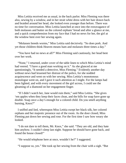Miss Letitia received me as usual, in the back parlor. Miss Fleming was there also, sewing by a window, and in her strait white dress with her hair drawn back and braided around her head, she looked even younger than before. There was no time for conversation. Miss Letitia launched at once into the extravagance of both molasses and butter on the colored orphans' bread and after a glance at me, and a quick comprehension from my face that I had no news for her, the girl at the window bent over her sewing again.

"Molasses breeds worms," Miss Letitia said decisively. "So does pork. And yet those children think Heaven means ham and molasses three times a day."

"You have had no news at all?" Miss Fleming said cautiously, her head bent over her work.

"None," I returned, under cover of the table linen to which Miss Letitia's mind had veered. "I have a good man working on it." As she glanced at me questioningly, "It needed a detective, Miss Fleming." Evidently another day without news had lessened her distrust of the police, for she nodded acquiescence and went on with her sewing. Miss Letitia's monotonous monologue went on, and I gave it such attention as I might. For the lamps had been lighted, and with every movement of the girl across, I could see the gleaming of a diamond on her engagement finger.

"If I didn't watch her, Jane would ruin them," said Miss Letitia. "She gives 'em apples when they keep their faces clean, and the bills for soap have gone up double. Soap once a day's enough for a colored child. Do you smell anything burning, Knox?"

I sniffed and lied, whereupon Miss Letitia swept her black silk, her colored orphans and her majestic presence out of the room. As the door closed, Miss Fleming put down her sewing and rose. For the first time I saw how weary she looked.

"I do not dare to tell them, Mr. Knox," she said. "They are old, and they hate him anyhow. I couldn't sleep last night. Suppose he should have gone back, and found the house closed!"

"He would telephone here at once, wouldn't he?" I suggested.

"I suppose so, yes." She took up her sewing from the chair with a sigh. "But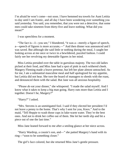I'm afraid he won't come—not soon. I have hemmed tea towels for Aunt Letitia to-day until I am frantic, and all day I have been wondering over something you said yesterday. You said, you remember, that you were not a detective, that some men could take nineteen from thirty-five and leave nothing. What did you mean?"

I was speechless for a moment.

"The fact is—I—you see," I blundered, "it was a—merely a figure of speech, a—speech of figures is more accurate,—" And then dinner was announced and I was saved. But although she said little or nothing during the meal, I caught her looking across at me once or twice in a bewildered, puzzled fashion. I could fairly see her revolving my detestable figures in her mind.

Miss Letitia presided over the table in garrulous majesty. The two old ladies picked at their food, and Miss Jane had a spot of pink in each withered cheek. Margery Fleming made a brave pretense, but left her plate almost untouched. As for me, I ate a substantial masculine meal and half apologized for my appetite, but Letitia did not hear. She tore the board of managers to shreds with the roast, and denounced them with the salad. But Jane was all anxious hospitality.

"Please *do* eat your dinner," she whispered. "I made the salad myself. And I know what it takes to keep a big man going. Harry eats more than Letitia and I together. Doesn't he, Margery?"

"Harry?" I asked.

"Mrs. Stevens is an unmitigated fool. I said if they elected her president I'd not leave a penny to the home. That's why I sent for you, Knox." And to the maid, "Tell Heppie to wash those cups in luke-warm water. They're the best ones. And not to drink her coffee out of them. She let her teeth slip and bit a piece out of one the last time."

Miss Jane leaned forward to me after a smiling glance at her niece across.

"Harry Wardrop, a cousin's son, and—" she patted Margery's hand with its ring—"soon to be something closer."

The girl's face colored, but she returned Miss Jane's gentle pressure.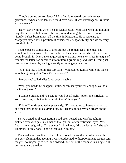"They've put up an iron fence," Miss Letitia reverted somberly to her grievance, "when a wooden one would have done. It was extravagance, ruinous extravagance."

"Harry stays with us when he is in Manchester," Miss Jane went on, nodding brightly across at Letitia as if she, too, were damning the executive board. "Lately, he has been almost all the time in Plattsburg. He is secretary to Margery's father. It is a position of considerable responsibility, and we are very proud of him."

I had expected something of the sort, but the remainder of the meal had somehow lost its savor. There was a lull in the conversation while dessert was being brought in. Miss Jane sat quivering, watching her sister's face for signs of trouble; the latter had subsided into muttered grumbling, and Miss Fleming sat, one hand on the table, staring absently at her engagement ring.

"You look like a fool in that cap, Jane," volunteered Letitia, while the plates were being brought in. "What's for dessert?"

"Ice-cream," called Miss Jane, over the table.

"Well, you needn't," snapped Letitia, "I can hear you well enough. You told me it was junket."

"I said ice-cream, and you said it would be all right," poor Jane shrieked. "If you drink a cup of hot water after it, it won't hurt you."

"Fiddle," Letitia snapped unpleasantly. "I'm not going to freeze my stomach and then thaw it out like a drain pipe. Tell Heppie to put my ice-cream on the stove."

So we waited until Miss Letitia's had been heated, and was brought in, sicklied over with pale hues, not of thought, but of confectioners' dyes. Miss Letitia ate it resignedly. "Like as not I'll break out, I did the last time," she said gloomily. "I only hope I don't break out in colors."

The meal was over finally, but if I had hoped for another word alone with Margery Fleming that evening, I was foredoomed to disappointment. Letitia sent the girl, not ungently, to bed, and ordered Jane out of the room with a single curt gesture toward the door.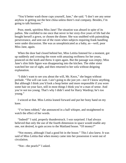"You'd better wash those cups yourself, Jane," she said. "I don't see any sense anyhow in getting out the best china unless there's real company. Besides, I'm going to talk business."

Poor, meek, spiritless Miss Jane! The situation was absurd in spite of its pathos. She confided to me once that never in her sixty-five years of life had she bought herself a gown, or chosen the dinner. She was snubbed with painstaking perseverance, and sent out of the room when subjects requiring frank handling were under discussion. She was as unsophisticated as a baby, as—well, poor Miss Jane, again.

When the door had closed behind her, Miss Letitia listened for a moment, got up suddenly and crossing the room with amazing swiftness for her years, pounced on the knob and threw it open again. But the passage was empty; Miss Jane's slim little figure was disappearing into the kitchen. The older sister watched her out of sight, and then returned to her sofa without deigning explanation.

"I didn't want to see you about the will, Mr. Knox," she began without prelude. "The will can wait. I ain't going to die just yet—not if I know anything. But although I think you'd look a heap better and more responsible if you wore some hair on your face, still in most things I think you're a man of sense. And you're not too young. That's why I didn't send for Harry Wardrop; he's too young."

I winced at that. Miss Letitia leaned forward and put her bony hand on my knee.

"I've been robbed," she announced in a half whisper, and straightened to watch the effect of her words.

"Indeed!" I said, properly thunderstruck. I *was* surprised. I had always believed that only the use of the fourth dimension in space would enable any one, not desired, to gain access to the Maitland house. "Of money?"

"Not money, although I had a good bit in the house." This I also knew. It was said of Miss Letitia that when money came into her possession it went out of circulation.

"Not—the pearls?" I asked.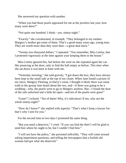She answered my question with another.

"When you had those pearls appraised for me at the jewelers last year, how many were there?"

"Not quite one hundred. I think—yes, ninety-eight."

"Exactly," she corroborated, in triumph. "They belonged to my mother. Margery's mother got some of them. That's a good many years ago, young man. They are worth more than they were then—a great deal more."

"Twenty-two thousand dollars," I repeated. "You remember, Miss Letitia, that I protested vigorously at the time against your keeping them in the house."

Miss Letitia ignored this, but before she went on she repeated again her catlike pouncing at the door, only to find the hall empty as before. This time when she sat down it was knee to knee with me.

"Yesterday morning," she said gravely, "I got down the box; they have always been kept in the small safe at the top of my closet. When Jane found a picture of my niece, Margery Fleming, in Harry's room, I thought it likely there was some truth in the gossip Jane heard about the two, and—if there was going to be a wedding—why, the pearls were to go to Margery anyhow. But—I found the door of the safe unlocked and a little bit open—and ten of the pearls were gone!"

"Gone!" I echoed. "Ten of them! Why, it's ridiculous! If ten, why not the whole ninety-eight?"

"How do I know?" she replied with asperity. "That's what I keep a lawyer for: that's why I sent for you."

For the second time in two days I protested the same thing.

"But you need a detective," I cried. "If you can find the thief I will be glad to send him where he ought to be, but I couldn't find him."

"I will not have the police," she persisted inflexibly. "They will come around asking impertinent questions, and telling the newspapers that a foolish old woman had got what she deserved."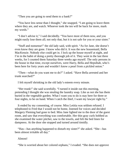"Then you are going to send them to a bank?"

"You have less sense than I thought," she snapped. "I am going to leave them where they are, and watch. Whoever took the ten will be back for more, mark my words."

"I don't advise it," I said decidedly. "You have most of them now, and you might easily lose them all; not only that, but it is not safe for you or your sister."

"Stuff and nonsense!" the old lady said, with spirit. "As for Jane, she doesn't even know they are gone. I know who did it. It was the new housemaid, Bella MacKenzie. Nobody else could get in. I lock up the house myself at night, and I'm in the habit of doing a pretty thorough job of it. They went in the last three weeks, for I counted them Saturday three weeks ago myself. The only persons in the house in that time, except ourselves, were Harry, Bella and Hepsibah, who's been here for forty years and wouldn't know a pearl from a pickled onion."

"Then—what do you want me to do?" I asked. "Have Bella arrested and her trunk searched?"

I felt myself shrinking in the old lady's esteem every minute.

"Her trunk!" she said scornfully. "I turned it inside out this morning, pretending I thought she was stealing the laundry soap. Like as not she has them buried in the vegetable garden. What I want you to do is stay here for three or four nights, to be on hand. When I catch the thief, I want my lawyer right by."

It ended by my consenting, of course. Miss Letitia was seldom refused. I telephoned to Fred that I would not be home, listened for voices and decided Margery Fleming had gone to bed. Miss Jane lighted me to the door of the guest room, and saw that everything was comfortable. Her thin gray curls bobbed as she examined the water pitcher, saw to the towels, and felt the bed linen for dampness. At the door she stopped and turned around timidly.

"Has—has anything happened to disturb my sister?" she asked. "She—has been almost irritable all day."

Almost!

"She is worried about her colored orphans," I evaded. "She does not approve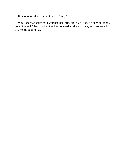of fireworks for them on the fourth of July."

Miss Jane was satisfied. I watched her little, old, black-robed figure go lightly down the hall. Then I bolted the door, opened all the windows, and proceeded to a surreptitious smoke.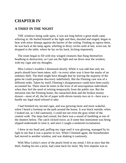# **CHAPTER IV**

## **A THIEF IN THE NIGHT**

THE windows being wide open, it was not long before a great moth came whirring in. He hurled himself at the light and then, dazzled and singed, began to beat with noisy thumps against the barrier of the ceiling. Finding no egress there, he was back at the lamp again, whirling in dizzy circles until at last, worn out, he dropped to the table, where he lay on his back, kicking impotently.

The room began to fill with tiny winged creatures that flung themselves headlong to destruction, so I put out the light and sat down near the window, with my cigar and my thoughts.

Miss Letitia's troubles I dismissed shortly. While it was odd that only ten pearls should have been taken, still—in every other way it bore the marks of an ordinary theft. The thief might have thought that by leaving the majority of the gems he could postpone discovery indefinitely. But the Fleming case was of a different order. Taken by itself, Fleming's disappearance could have been easily accounted for. There must be times in the lives of all unscrupulous individuals when they feel the need of retiring temporarily from the public eye. But the intrusion into the Fleming home, the ransacked desk and the broken money drawer—most of all, the bit of paper with eleven twenty-two on it—here was a hurdle my legal mind refused to take.

I had finished my second cigar, and was growing more and more wakeful, when I heard a footstep on the path around the house. It was black outside; when I looked out, as I did cautiously, I could not see even the gray-white of the cement walk. The steps had ceased, but there was a sound of fumbling at one of the shutters below. The catch clicked twice, as if some thin instrument was being slipped underneath to raise it, and once I caught a muttered exclamation.

I drew in my head and, puffing my cigar until it was glowing, managed by its light to see that it was a quarter to two. When I listened again, the housebreaker had moved to another window, and was shaking it cautiously.

With Miss Letitia's story of the pearls fresh in my mind, I felt at once that the thief, finding his ten a prize, had come back for more. My first impulse was to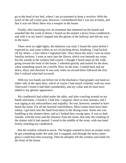go to the head of my bed, where I am accustomed to keep a revolver. With the touch of the tall corner post, however, I remembered that I was not at home, and that it was not likely there was a weapon in the house.

Finally, after knocking over an ornament that shattered on the hearth and sounded like the crash of doom, I found on the mantel a heavy brass candlestick, and with it in my hand I stepped into the gloom of the hallway and felt my way to the stairs.

There were no night lights; the darkness was total. I found the stairs before I expected to, and came within an ace of pitching down, headlong. I had kicked off my shoes—a fact which I regretted later. Once down the stairs I was on more familiar territory. I went at once into the library, which was beneath my room, but the sounds at the window had ceased. I thought I heard steps on the walk, going toward the front of the house. I wheeled quickly and started for the door, when something struck me a terrific blow on the nose. I reeled back and sat down, dizzy and shocked. It was only when no second blow followed the first that I realized what had occurred.

With my two hands out before me in the blackness I had groped, one hand on either side of the open door, which of course I had struck violently with my nose. Afterward I found it had bled considerably, and my collar and tie must have added to my ghastly appearance.

My candlestick had rolled under the table, and after crawling around on my hands and knees, I found it. I had lost, I suppose, three or four minutes, and I was raging at my awkwardness and stupidity. No one, however, seemed to have heard the noise. For all her boasted watchfulness, Miss Letitia must have been asleep. I got back into the hand from there to the dining-room. Some one was fumbling at the shutters there, and as I looked they swung open. It was so dark outside, with the trees and the distance from the street, that only the creaking of the shutter told it had opened. I stood in the middle of the room, with one hand firmly clutching my candlestick.

But the window refused to move. The burglar seemed to have no proper tools; he got something under the sash, but it snapped, and through the heavy plateglass I could hear him swearing. Then he abruptly left the window and made for the front of the house.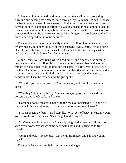I blundered in the same direction, my unshod feet striking on projecting furniture and causing me agonies, even through my excitement. When I reached the front door, however, I was amazed to find it unlocked, and standing open perhaps an inch. I stopped uncertainly. I was in a peculiar position; not even the most ardent admirers of antique brass candlesticks endorse them as weapons of offense or defense. But, there seeming to be nothing else to do, I opened the door quietly and stepped out into the darkness.

The next instant I was flung heavily to the porch floor. I am not a small man by any means, but under the fury of that onslaught I was a child. It was a porch chair, I think, that knocked me senseless; I know I folded up like a jack-knife, and that was all I did know for a few minutes.

While I came to 1 was lying where I had fallen, and a candle was burning beside me on the porch floor. It took me a minute to remember, and another minute to realize that I was looking into the barrel of a revolver. It occurred to me that I had never seen a more villainous face than that of the man who held it —which shows my state of mind—and that my position was the reverse of comfortable. Then the man behind the gun spoke.

"What did you do with that bag?" he demanded, and I felt his knee on my chest.

"What bag?" I inquired feebly. My head was jumping, and the candle was a volcanic eruption of sparks and smoke.

"Don't be a fool," the gentleman with the revolver persisted. "If I don't get that bag within five minutes, I'll fill you as full of holes as a cheese."

"I haven't seen any bag," I said stupidly. "What sort of bag?" I heard my own voice, drunk from the shock. "Paper bag, laundry bag—"

"You've hidden it in the house," he said, bringing the revolver a little closer with every word. My senses came back with a jerk and I struggled to free myself.

"Go in and look," I responded. "Let me up from here, and I'll take you in myself.

The man's face was a study in amazement and anger.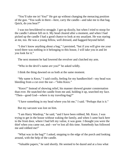"You'll take me in! You!" He got up without changing the menacing position of the gun. "You walk in there—here, carry the candle—and take me to that bag. Quick, do you hear?"

I was too bewildered to struggle. I got up dizzily, but when I tried to stoop for the candle I almost fell on it. My head cleared after a moment, and when I had picked up the candle I had a good chance to look at my assailant. He was staring at me, too. He was a young fellow, well dressed, and haggard beyond belief.

"I don't know anything about a bag," I persisted, "but if you will give me your word there was nothing in it belonging to this house, I will take you in and let you look for it."

The next moment he had lowered the revolver and clutched my arm.

"Who in the devil's name *are* you?" he asked wildly.

I think the thing dawned on us both at the same moment.

"My name is Knox," I said coolly, feeling for my handkerchief—my head was bleeding from a cut over the ear—"John Knox."

"Knox!" Instead of showing relief, his manner showed greater consternation than ever. He snatched the candle from me and, holding it up, searched my face. "Then—good God—where is my traveling-bag?"

"I have something in my head where you hit me," I said. "Perhaps that is it."

But my sarcasm was lost on him.

"I am Harry Wardrop," he said, "and I have been robbed, Mr. Knox. I was trying to get in the house without waking the family, and when I came back here to the front door, where I had left my valise, it was gone. I thought you were the thief when you came out, and—we've lost all this time. Somebody has followed me and robbed me!"

"What was in the bag?" I asked, stepping to the edge of the porch and looking around, with the help of the candle.

"Valuable papers," he said shortly. He seemed to be dazed and at a loss what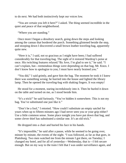to do next. We had both instinctively kept our voices low.

"You are certain you left it here?" I asked. The thing seemed incredible in the quiet and peace of that neighborhood.

"Where you are standing."

Once more I began a desultory search, going down the steps and looking among the cannas that bordered the porch. Something glistened beside the step, and stooping down I discovered a small brown leather traveling-bag, apparently quite new.

"Here it is," I said, not so gracious as I might have been; I had suffered considerably for that traveling-bag. The sight of it restored Wardrop's poise at once. His twitching features relaxed."By Jove, I'm glad to see it," he said. "I can't explain, but—tremendous things were depending on that bag, Mr. Knox. I don't know how to apologize to you; I must have nearly brained you."

"You did," I said grimly, and gave him the bag. The moment he took it I knew there was something wrong; he hurried into the house and lighted the library lamp. Then he opened the traveling-bag with shaking fingers. It was empty!

He stood for a moment, staring incredulously into it. Then he hurled it down on the table and turned on me, as I stood beside him.

"It's a trick!" he said furiously. "You've hidden it somewhere. This is not my bag. You've substituted one just like it."

"Don't be a fool," I retorted. "How could I substitute an empty satchel for yours when up to fifteen minutes ago I had never seen you or your grip either? Use a little common sense. Some place tonight you have put down that bag, and some clever thief has substituted a similar one. It's an old trick."

He dropped into a chair and buried his face in his hands.

"It's impossible," he said after a pause, while he seemed to be going over, minute by minute, the events of the night. "I was followed, as far as that goes, in Plattsburg. Two men watched me from the minute I got there, on Tuesday; I changed my hotel, and for all of yesterday—Wednesday, that is—I felt secure enough. But on my way to the train I felt that I was under surveillance again, and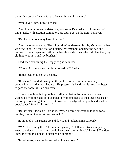by turning quickly I came face to face with one of the men."

"Would you know him?" I asked.

"Yes. I thought he was a detective; you know I've had a lot of that sort of thing lately, with election coming on. He didn't get on the train, however."

"But the other one may have done so."

"Yes, the other one may. The thing I don't understand is this, Mr. Knox. When we drew in at Bellwood Station I distinctly remember opening the bag and putting my newspaper and railroad schedule inside. It was the right bag then; my clothing was in it, and my brushes."

I had been examining the empty bag as he talked.

"Where did you put your railroad schedule?" I asked.

"In the leather pocket at the side."

"It is here," I said, drawing out the yellow folder. For a moment my companion looked almost haunted. He pressed his hands to his head and began to pace the room like a crazy man.

"The whole thing is impossible. I tell you, that valise was heavy when I walked up from the station. I changed it from one hand to the other because of the weight. When I got here I set it down on the edge of the porch and tried the door. When I found it locked—"

"But it wasn't locked," I broke in. "When I came downstairs to look for a burglar, I found it open at least an inch."

He stopped in his pacing up and down, and looked at me curiously.

"We're both crazy then," he asserted gravely. "I tell you, I tried every way I knew to unlock that door, and could hear the chain rattling. Unlocked! You don't know the way this house is fastened up at night."

Nevertheless, it was unlocked when I came down."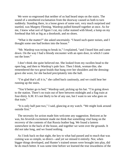We were so engrossed that neither of us had heard steps on the stairs. The sound of a smothered exclamation from the doorway caused us both to turn suddenly. Standing there, in a loose gown of some sort, very much surprised and startled, was Margery Fleming. Wardrop pulled himself together at once. As for me, I knew what sort of figure I cut, my collar stained with blood, a lump on my forehead that felt as big as a doorknob, and no shoes.

"What *is* the matter?" she asked uncertainly. "I heard such queer noises, and I thought some one had broken into the house."

"Mr. Wardrop was trying to break in," I explained, "and I heard him and came down. On the way I had a bloody encounter with an open door, in which I came out the loser."

I don't think she quite believed me. She looked from my swollen head to the open bag, and then to Wardrop's pale face. Then I think, woman-like, she remembered the two great braids that hung over her shoulders and the dressinggown she wore, for she backed precipitately into the hall.

"I'm glad that's all it is," she called back cautiously, and we could hear her running up the stairs.

"You'd better go to bed," Wardrop said, picking up his hat. "I'm going down to the station. There's no train out of here between midnight and a flag train at four-thirty A.M. It's not likely to be of any use, but I want to see who goes on that train."

"It is only half past two," I said, glancing at my watch. "We might look around outside first."

The necessity for action made him welcome any suggestion. Reticent as he was, his feverish excitement made me think that something vital hung on the recovery of the contents of that Russia leather bag. We found a lantern somewhere in the back of the house, and together we went over the grounds. It did not take long, and we found nothing.

As I look back on that night, the key to what had passed and to much that was coming was so simple, so direct—and yet we missed it entirely. Nor, when bigger things developed, and Hunter's trained senses were brought into play, did he do much better. It was some time before we learned the true inwardness of the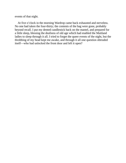events of that night.

At five o'clock in the morning Wardrop came back exhausted and nerveless. No one had taken the four-thirty; the contents of the bag were gone, probably beyond recall. I put my dented candlestick back on the mantel, and prepared for a little sleep, blessing the deafness of old age which had enabled the Maitland ladies to sleep through it all. I tried to forget the queer events of the night, but the throbbing of my head kept me awake, and through it all one question obtruded itself—who had unlocked the front door and left it open?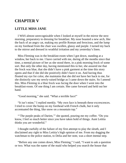## **CHAPTER V**

#### **LITTLE MISS JANE**

I WAS almost unrecognizable when I looked at myself in the mirror the next morning, preparatory to dressing for breakfast. My nose boasted a new arch, like the back of an angry cat, making my profile Roman and ferocious, and the lump on my forehead from the chair was swollen, glassy and purple. I turned my back to the mirror and dressed in wrathful irritation and my yesterday's linen.

Miss Fleming was in the breakfast-room when I got down, standing at a window, her back to me. I have carried with me, during all the months since that time, a mental picture of her as she stood there, in a pink morning frock of some sort. But only the other day, having mentioned this to her, she assured me that the frock was blue, that she didn't have a pink garment at the time this story opens and that if she did she positively didn't have it on. And having thus flouted my eye for color, she maintains that she did *not* have her back to me, for she distinctly saw my newly-raised bridge as I came down the stairs. So I amend this. Miss Fleming in a blue frock was facing the door when I went into the breakfast-room. Of one thing I am certain. She came forward and held out her hand.

"Good morning," she said. "What a terrible face!"

"It isn't mine," I replied meekly. "My own face is beneath these excrescences. I tried to cover the bump on my forehead with French chalk, but it only accentuated the thing, like snow on a mountain top."

"'The purple peaks of Darien,'" she quoted, pouring me my coffee. "Do you know, I feel so much better since you have taken hold of things. Aunt Letitia thinks you are wonderful."

I thought ruefully of the failure of my first attempt to play the sleuth, and I disclaimed any right to Miss Letitia's high opinion of me. From my dogging the watchman to the police station, to Delia and her note, was a short mental step.

"Before any one comes down, Miss Fleming," I said, "I want to ask a question or two. What was the name of the maid who helped you search the house that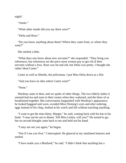night?

"Annie."

"What other maids did you say there were?"

"Delia and Rose."

"Do you know anything about them? Where they came from, or where they went?"

She smiled a little.

"What does one know about new servants?" she responded. "They bring you references, but references are the price most women pay to get rid of their servants without a fuss. Rose was fat and old, but Delia was pretty. I thought she rather liked Carter."

Carter as well as Shields, the policeman. I put Miss Delia down as a flirt.

"And you have no idea where Carter went?"

"None."

Wardrop came in then, and we spoke of other things. The two elderly ladies it seemed had tea and toast in their rooms when they wakened, and the three of us breakfasted together. But conversation languished with Wardrop's appearance; he looked haggard and worn, avoided Miss Fleming's eyes and after ordering eggs instead of his chop, looked at his watch and left without touching anything.

"I want to get the nine-thirty, Margie," he said, coming back with his hat in his hand. "I may not be out to dinner. Tell Miss Letitia, will you?" He turned to go, but on second thought came back to me and held out his hand.

"I may not see you again," he began.

"Not if I see you first," I interrupted. He glanced at my mutilated features and smiled.

"I have made you a Maitland," he said. "I didn't think that anything but a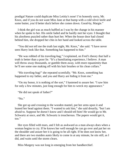prodigal Nature could duplicate Miss Letitia's nose! I'm honestly sorry, Mr. Knox, and if you do not want Miss Jane at that bump with a cold silver knife and some butter, you'd better duck before she comes down. Good-by, Margie."

I think the girl was as much baffled as I was by the change in his manner when he spoke to her. His smile faded and he hardly met her eyes: I thought that his aloofness puzzled rather than hurt her. When the house door had closed behind him, she dropped her chin in her hand and looked across the table.

"You did not tell me the truth last night, Mr. Knox," she said. "I have never seen Harry look like that. Something has happened to him."

"He was robbed of his traveling-bag," I explained, on Fred's theory that half a truth is better than a poor lie. "It's a humiliating experience, I believe. A man will throw away thousands, or gamble them away, with more equanimity than he'll see some one making off with his hair brushes or his clean collars."

"His traveling-bag!" she repeated scornfully. "Mr. Knox, something has happened to my father, and you and Harry are hiding it from me."

"On my honor, it is nothing of the sort," I hastened to assure her. "I saw him for only a few minutes, just long enough for him to wreck my appearance."

"He did not speak of father?"

"No."

She got up and crossing to the wooden mantel, put her arms upon it and leaned her head against them. "I wanted to ask him," she said drearily, "but I am afraid to. Suppose he doesn't know and I should tell him! He would go to Mr. Schwartz at once, and Mr. Schwartz is treacherous. The papers would get it, too."

Her eyes filled with tears, and I felt as awkward as a man always does when a woman begins to cry. If he knows her well enough he can go over and pat her on the shoulder and assure her it is going to be all right. If he does not know her, and there are two maiden aunts likely to come in at any minute, he sits still, as I did, and waits until the storm clears.

Miss Margery was not long in emerging from her handkerchief.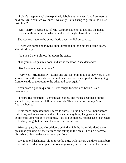"I didn't sleep much," she explained, dabbing at her eyes, "and I am nervous, anyhow. Mr. Knox, are you sure it was only Harry trying to get into the house last night?"

"Only Harry," I repeated. "If Mr. Wardrop's attempt to get into the house leaves me in this condition, what would a real burglar have done to me!"

She was too intent to be sympathetic over my disfigured face.

"There was some one moving about upstairs not long before I came down," she said slowly.

"You heard me; I almost fell down the stairs."

"Did you brush past my door, and strike the knob?" she demanded.

"No, I was not near any door."

"Very well," triumphantly. "Some one did. Not only that, but they were in the store-room on the floor above. I could hear one person and perhaps two, going from one side of the room to the other and back again."

"You heard a goblin quadrille. First couple forward and back," I said facetiously.

"I heard real footsteps—unmistakable ones. The maids sleep back on the second floor, and—don't tell me it was rats. There are no rats in my Aunt Letitia's house."

I was more impressed than I cared to show. I found I had a half hour before train time, and as we were neither of us eating anything, I suggested that we explore the upper floor of the house. I did it, I explained, not because I expected to find anything, but because I was sure we would not.

We crept past the two closed doors behind which the ladies Maitland were presumably taking out their crimps and taking in their tea. Then up a narrow, obtrusively clean stairway to the upper floor.

It was an old-fashioned, sloping-roofed attic, with narrow windows and a bare floor. At one end a door opened into a large room, and in there were the family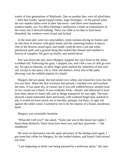trunks of four generations of Maitlands. One on another they were all piled there —little hair trunks, squab-topped trunks, huge Saratogas—of the period when the two maiden ladies were in their late teens—and there were handsome, modern trunks, too. For Miss Fleming's satisfaction I made an examination of the room, but it showed nothing. There was little or no dust to have been disturbed; the windows were closed and locked.

In the main attic were two step-ladders, some curtains drying on frames and an old chest of drawers with glass knobs and the veneering broken in places. One of the drawers stood open, and inside could be seen a red and white patchwork quilt, and a grayish thing that looked like flannel and smelled to heaven of camphor. We gave up finally, and started down.

Part way down the attic stairs Margery stopped, her eyes fixed on the whitescrubbed rail. Following her gaze, I stopped, too, and I felt a sort of chill go over me. No spot or blemish, no dirty finger print marked the whiteness of that stair rail, except in one place. On it, clear and distinct, every line of the palm showing, was the reddish imprint of a hand!

Margery did not speak; she had turned very white, and closed her eyes, but she was not faint. When the first revulsion had passed, I reached over and touched the stain. It was quite dry, of course, but it was still reddish-brown; another hour or two would see it black. It was evidently fresh—Hunter said afterward it must have been about six hours old, and as things transpired, he was right. The stain showed a hand somewhat short and broad, with widened finger-tips; marked in ink, it would not have struck me so forcibly, perhaps, but there, its ugly red against the white wood, it seemed to me to be the imprint of a brutal, murderous hand.

Margery was essentially feminine.

"What did I tell you?" she asked. "Some one was in this house last night; I heard them distinctly There must have been two, and they quarreled—" she shuddered.

We went on downstairs into the quiet and peace of the dining-room again. I got some hot coffee for Margery, for she looked shaken, and found I had missed my train.

"I am beginning to think I am being pursued by a malicious spirit," she said,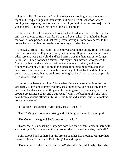trying to smile. "I came away from home because people got into the house at night and left queer signs of their visits, and now, here at Bellwood, where nothing *ever* happens, the moment I arrive things begin to occur. And—just as it was at home—the house was so well locked last night."

I did not tell her of the open hall door, just as I had kept from her the fact that only the contents of Harry Wardrop's bag had been taken. That it had all been the work of one person, and that that person, having in some way access to the house, had also stolen the pearls, was now my confident belief.

I looked at Bella—the maid—as she moved around the dining-room; her stolid face was not even intelligent; certainly not cunning. Heppie, the cook and only other servant, was partly blind and her horizon was the diameter of her largest kettle. No—it had not been a servant, this mysterious intruder who passed the Maitland silver on the sideboard without an attempt to take it, and who floundered around an attic at night, in search of nothing more valuable than patchwork quilts and winter flannels. It is strange to look back and think how quietly we sat there; that we could see nothing but burglary—or an attempt at it —in what we had found.

It must have been after nine o'clock when Bella came running into the room. Ordinarily a slow and clumsy creature, she almost flew. She had a tray in her hand, and the dishes were rattling and threatening overthrow at every step. She brought up against a chair, and a cup went flying. The breaking of a cup must have been a serious offense in Miss Letitia Maitland's house, but Bella took no notice whatever of it.

"Miss Jane," she gasped, "Miss Jane, she's—she's—"

"Hurt!" Margery exclaimed, rising and clutching, at the table for support.

"No. Gone—she's gone! She's been run off with!"

"Nonsense!" I said, seeing Margery's horrified face. "Don't come in here with such a story. If Miss Jane is not in her room, she is somewhere else, that's all."

Bella stooped and gathered up the broken cup, her lips moving. Margery had recovered herself. She made Bella straighten and explain.

"Do you mean—she is not in her room?" she asked incredulously. "Isn't she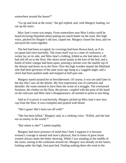somewhere around the house?"

"Go up and look at the room," the girl replied, and, with Margery leading, we ran up the stairs.

Miss Jane's room was empty. From somewhere near Miss Letitia could be heard lecturing Hepsibah about putting too much butter on the toast. Her high voice, pitched for Heppie's old ears, rasped me. Margery closed the door, and we surveyed the room together.

The bed had been occupied; its coverings had been thrown back, as if its occupant had risen hurriedly. The room itself was in a state of confusion; a rocker lay on its side, and Miss Jane's clothing, folded as she had taken it off, had slid off on to the floor. Her shoes stood neatly at the foot of the bed, and a bottle of toilet vinegar had been upset, pouring a stream over the marble top of the dresser and down on to the floor. Over the high wooden mantel the Maitland who had been governor of the state years ago hung at a waggish angle, and a clock had been pushed aside and stopped at half-past one.

Margery stared around her in bewilderment. Of course, it was not until later in the day that I saw all the details. My first impression was of confusion and disorder: the room seemed to have been the scene of a struggle. The overturned furniture, the clothes on the floor, the picture, coupled with the print of the hand on the staircase and Miss Jane's disappearance, all seemed to point to one thing.

And as if to prove it conclusively, Margery picked up Miss Jane's new lace cap from the floor. It was crumpled and spotted with blood.

"She's gone! She's been run off with!"

"She has been killed," Margery said, in a choking voice. "Killed, and she had not an enemy in the world !"

"But where is she?" I asked stupidly.

Margery had more presence of mind than I had; I suppose it is because woman's courage is mental and man's physical, that in times of great strain women always make the better showing. While I was standing in the middle of the room, staring at the confusion around me, Margery was already on her knees, looking under the high, four-post bed. Finding nothing there she went to the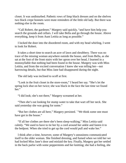closet. It was undisturbed. Pathetic rows of limp black dresses and on the shelves two black crepe bonnets were mute reminders of the little old lady. But there was nothing else in the room.

"Call Robert, the gardener," Margery said quickly, "and have him help you search the grounds and cellars. I will take Bella and go through the house. Above everything, keep it from Aunt Letitia as long as possible."

I locked the door into the disordered room, and with my head whirling, I went to look for Robert.

It takes a short time to search an acre of lawn and shrubbery. There was no trace of the missing woman anywhere outside the house, and from Bella, as she sat at the foot of the front stairs with her apron over her head, I learned in a monosyllable that nothing had been found in the house. Margery was with Miss Letitia, and from the excited conversation I knew she was telling her—not harrowing details, but that Miss Jane had disappeared during the night.

The old lady was inclined to scoff at first.

"Look in the fruit closet in the store-room," I heard her say. "She's let the spring lock shut on her twice; she was black in the face the last time we found her."

"I did look; she's not there," Margery screamed at her.

"Then she's out looking for stump water to take that wart off her neck. She said yesterday she was going for some."

"But her clothes are all here," Margery persisted. `'We think some one must have got in the house."

"If all her clothes are there she's been sleep-walking," Miss Letitia said calmly. "We used to have to tie her by a cord around her ankle and fasten it to the bedpost. When she tried to get up the cord would pull and wake her."

I think after a time, however, some of Margery's uneasiness communicated itself to the older woman. She finished dressing, and fumed when we told her we had locked Miss Jane's door and mislaid the key. Finally, Margery got her settled in the back parlor with some peppermints and her knitting; she had a feeling, she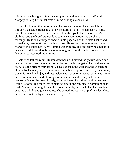said, that Jane had gone after the stump water and lost her way, and I told Margery to keep her in that state of mind as long as she could.

I sent for Hunter that morning and he came at three o'clock. I took him through the back entrance to avoid Miss Letitia. I think he had been skeptical until I threw open the door and showed him the upset chair, the old lady's clothing, and the blood-stained lace cap. His examination was quick and thorough. He took a crumpled sheet of note paper out of the waste-basket and looked at it, then he stuffed it in his pocket. He sniffed the toilet water, called Margery and asked her if any clothing was missing, and on receiving a negative answer asked if any shawls or wraps were gone from the halls or other rooms. Margery reported nothing missing.

Before he left the room, Hunter went back and moved the picture which had been disturbed over the mantel. What he saw made him get a chair and, standing on it, take the picture from its nail. Thus exposed, the wall showed an opening about a foot square, and perhaps eighteen inches deep. A metal door, opening in, was unfastened and ajar, and just inside was a copy of a recent sentimental novel and a bottle of some sort of complexion cream. In spite of myself, I smiled; it was so typical of the dear old lady, with the heart of a girl and a skin that was losing its roses. But there was something else in the receptacle, something that made Margery Fleming draw in her breath sharply, and made Hunter raise his eyebrows a little and glance at me. The something was a scrap of unruled white paper, and on it the figures eleven twenty-two!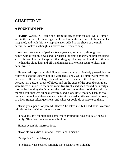# **CHAPTER VI**

### **A FOUNTAIN PEN**

HARRY WARDROP came back from the city at four o'clock, while Hunter was in the midst of his investigation. I met him in the hall and told him what had happened, and with this new apprehension added to the shock of the night before, he looked as though his nerves were ready to snap.

Wardrop was a man of perhaps twenty-seven, as tall as I, although not so heavy, with direct blue eyes and fair hair; altogether a manly and prepossessing sort of fellow. I was not surprised that Margery Fleming had found him attractive —he had the blond hair and off-hand manner that women seem to like. I am dark, myself.

He seemed surprised to find Hunter there, and not particularly pleased, but he followed us to the upper floor and watched silently while Hunter went over the two rooms. Beside the large chest of drawers in the main attic Hunter found perhaps half a dozen drops of blood, and on the edge of the open drawer there were traces of more. In the inner room two trunks had been moved out nearly a foot, as he found by the faint dust that had been under them. With the stain on the stair rail, that was all he discovered, and it was little enough. Then he took out his note took and there among the trunks we had a little seance of our own, in which Hunter asked questions, and whoever could do so answered them.

"Have you a pencil or pen, Mr. Knox?" he asked me, but I had none. Wardrop felt his pockets, with no better success.

"I have lost my fountain pen somewhere around the house to-day," he said irritably. "Here's a pencil—not much of one."

Hunter began his interrogations.

"How old was Miss Maitland—Miss Jane, I mean?"

"Sixty-five," from Margery.

"She had always seemed rational? Not eccentric, or childish?"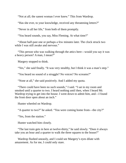"Not at all; the sanest woman I ever knew." This from Wardrop.

"Has she ever, to your knowledge, received any threatening letters?"

"Never in all her life," from both of them promptly.

"You heard sounds, you say, Miss Fleming. At what time?"

"About half-past one or perhaps a few minutes later. The clock struck two while I was still awake and nervous."

"This person who was walking through the attics here—would you say it was a heavy person? A man, I mean?"

Margery stopped to think.

"Yes," she said finally. "It was very stealthy, but I think it was a man's step."

"You heard no sound of a struggle? No voices? No screams?"

"None at all," she said positively. And I added my quota.

"There could have been no such sounds," I said. "I sat in my room and smoked until a quarter to two. I heard nothing until then, when I heard Mr. Wardrop trying to get into the house. I went down to admit him, and—I found the front door open about an inch."

Hunter wheeled on Wardrop.

"A quarter to two?" he asked. "You were coming home from—the city?"

"Yes, from the station."

Hunter watched him closely.

"The last train gets in here at twelve-thirty," he said slowly. "Does it always take you an hour and a quarter to walk the three squares to the house?"

Wardrop flushed uneasily, and I could see Margery's eyes dilate with amazement. As for me, I could only stare.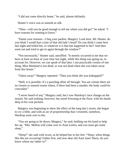"I did not come directly home," he said, almost defiantly.

Hunter's voice was as smooth as silk.

"Then—will you be good enough to tell me where you did go?" he asked. "I have reasons for wanting to know."

"Damn your reasons—I beg your pardon, Margery. Look here, Mr. Hunter, do you think I would hurt a hair of that old lady's head? Do you think I came here last night and killed her, or whatever it is that has happened to her? And then went out and tried to get in again through the window?"

"Not necessarily," Hunter said, unruffled. "It merely occurred to me that we have at least an hour of your time last night, while this thing was going on, to account for. However, we can speak of that later. I am practically certain of one thing, Miss Maitland is not dead, or was not dead when she was taken away from this house."

"Taken away!" Margery repeated. "Then you think she was kidnapped?"

"Well, it is possible. It's a puzzling affair all through. You are certain there are no closets or unused rooms where, if there had been a murder, the body could be concealed."

"I never heard of any," Margery said, but I saw Wardrop's face change on the instant. He said nothing, however, but stood frowning at the floor, with his hands deep in his coat pockets.

Margery was beginning to show the effect of the long day's strain; she began to cry a little, and with an air of proprietorship that I resented, somehow, Wardrop went over to her.

"You are going to lie down, Margery," he said, holding out his hand to help her up. "Mrs. Mellon will come over to Aunt Letitia, and you must get some sleep."

"Sleep!" she said with scorn, as he helped her to her feet. "Sleep, when things like this are occurring! Father first, and now dear old Aunt Jane! Harry, do you know where my father is?"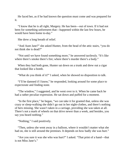He faced her, as if he had known the question must come and was prepared for it.

"I know that he is all right, Margery. He has been—out of town. If it had not been for something unforeseen that—happened within the last few hours, he would have been home to-day."

She drew a long breath of relief.

"And Aunt Jane?" she asked Hunter, from the head of the attic stairs, "you do not think she is dead?"

"Not until we have found something more," he answered tactlessly. "It's like where there's smoke there's fire; where there's murder there's a body."

When they had both gone, Hunter sat down on a trunk and drew out a cigar that looked like a bomb.

"What do you think of it?" I asked, when he showed no disposition to talk.

"I'll be damned if I know," he responded, looking around for some place to expectorate and finding none.

"The window," I suggested, and he went over to it. When he came back he had a rather peculiar expression. He sat down and puffed for a moment.

"In the first place," he began, "we can take it for granted that, unless she was crazy or sleep-walking she didn't go out in her night-clothes, and there's nothing of hers missing. She wasn't taken in a carriage, providing she was taken at all. There's not a mark of wheels on that drive newer than a week, and besides, you say you heard nothing."

"Nothing," I said positively.

"Then, unless she went away in a balloon, where it wouldn't matter what she had on, she is still around the premises. It depends on how badly she was hurt."

"Are you sure it was she who was hurt?" I asked. "That print of a hand—that is not Miss Jane's."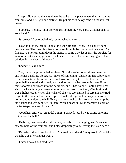In reply Hunter led the way down the stairs to the place where the stain on the stair rail stood out, ugly and distinct. He put his own heavy hand on the rail just below it.

"Suppose," he said, "suppose you grip something very hard, what happens to your hand?"

"It spreads," I acknowledged; seeing what he meant.

"Now, look at that stain. Look at the short fingers—why, it's a child's hand beside mine. The breadth is from pressure. It might be figured out this way. The fingers, you notice, point down the stairs. In some way, let us say, the burglar, for want of a better name, gets into the house. He used a ladder resting against that window by the chest of drawers."

"Ladder!" I exclaimed.

"Yes, there is a pruning ladder there. Now then—he comes down these stairs, and he has a definite object. He knows of something valuable in that cubby hole over the mantel in Miss Jane's room. How does he get in? The door into the upper hall is closed and bolted, but the door into the bath-room is open. From there another door leads into the bedroom, and it has no bolt—only a key. That kind of a lock is only a three-minutes delay, or less. Now then, Miss Maitland was a light sleeper. When she wakened she was too alarmed to scream; she tried to get to the door and was intercepted. Finally she got out the way the intruder got in, and ran along the hall. Every door was locked. In a frenzy she ran up the attic stairs and was captured up there. Which bears out Miss Margery's story of the footsteps back and forward."

"Good heavens, what an awful thing!" I gasped. "And I was sitting smoking just across the hall."

"He brings her down the stairs again, probably half dragging her. Once, she catches hold of the stair rail, and holds desperately to it, leaving the stain here."

"But why did he bring her down?" I asked bewildered. "Why wouldn't he take what he was after and get away?"

Hunter smoked and meditated.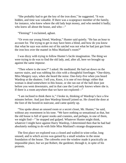"She probably had to get the key of the iron door," he suggested. "It was hidden, and time was valuable. If there was a scapegrace member of the family, for instance, who knew where the old lady kept money, and who needed it badly; who knew all about the house, and who—"

"Fleming!" I exclaimed, aghast.

"Or even our young friend, Wardrop," Hunter said quietly. "He has an hour to account for. The trying to get in may have been a blind, and how do you know that what he says was stolen out of his satchel was not what he had just got from the iron box over the mantel in Miss Maitland's room?"

I was dizzy with trying to follow Hunter's facile imagination. The thing we were trying to do was to find the old lady, and, after all, here we brought up against the same *impasse.*

"Then where is she now?" I asked. He meditated. He had sat down on the narrow stairs, and was rubbing his chin with a thoughtful forefinger. "One-thirty, Miss Margery says, when she heard the noise. One-forty-five when you heard Wardrop at the shutters. I tell you, Knox, it is one of two things: either that woman is dead somewhere in this house, or she ran out of the hall door just before you went downstairs, and in that case the Lord only knows where she is. If there is a room anywhere that we have not explored—"

"I am inclined to think there is," I broke in, thinking of Wardrop's face a few minutes before. And just then Wardrop himself joined us. He closed the door at the foot of the boxed-in staircase, and came quietly up.

"You spoke about an unused room or a secret closet, Mr. Hunter," he said, without any resentment in his tone. "We have nothing so sensational as that, but the old house is full of queer nooks and crannies, and perhaps, in one of them, we might find—" he stopped and gulped. Whatever Hunter might think, whatever I might have against Harry Wardrop, I determined then that he had had absolutely nothing to do with little Miss Maitland's strange disappearance.

The first place we explored was a closed and walled-in wine-cellar, long unused, and to which access was gained by a small window in the stone foundation of the house. The cobwebs over the window made it practically an impossible place, but we put Robert, the gardener, through it, in spite of his protests.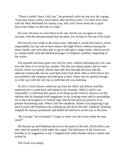"There's nothin' there, I tell you," he protested, with one leg over the coping. "God only knows what's down there, after all these years. I've been livin' here with the Miss Maitlands for twenty year, and I ain't never been put to goin' down into cellars on the end of a rope."

He went, because we were three to his one, but he was up again in sixty seconds, with the announcement that the place was as bare as the top of his head.

We moved every trunk in the store-room, although it would have been a moral impossibility for any one to have done it the night before without rousing the entire family, and were thus able to get to and open a large closet, which proved to contain neatly tied and labeled packages of religious weeklies, beginning in the sixties.

The grounds had been gone over inch by inch, without affording any clue, and now the three of us faced one another. The day was almost gone, and we were exactly where we started. Hunter had sent men through the town and the adjacent countryside, but no word had come from them. Miss Letitia had at last succumbed to the suspense and had gone to bed, where she lay quietly enough, as is the way with the old, but so mild that she was alarming.

At five o'clock Hawes called me up from the office and almost tearfully implored me to come back and attend to my business. When I said it was impossible, I could hear him groan as he hung up the receiver. Hawes is of the opinion that by keeping fresh magazines in my waiting-room and by persuading me to the extravagance of Turkish rugs, that he has built my practice to its present flourishing state. When I left the telephone, Hunter was preparing to go back to town and Wardrop was walking up and down the hall. Suddenly Wardrop stopped his uneasy promenade and hailed the detective on his way to the door.

"By George," he exclaimed,"I forgot to show you the closet under the attic stairs!"

We hurried up and Wardrop showed us the panel in the hall, which slid to one side when he pushed a bolt under the carpet. The blackness of the closet was horrible in its suggestion to me. I stepped back while Hunter struck a match and looked in.

The closet was empty.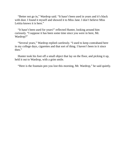"Better not go in," Wardrop said. "It hasn't been used in years and it's black with dust. I found it myself and showed it to Miss Jane. I don't believe Miss Letitia knows it is here."

"It hasn't been used for years!" reflected Hunter, looking around him curiously. "I suppose it has been some time since you were in here, Mr. Wardrop?"

"Several years," Wardrop replied carelessly. "I used to keep contraband here in my college days, cigarettes and that sort of thing. I haven't been in it since then."

Hunter took his foot off a small object that lay on the floor, and picking it up, held it out to Wardrop, with a grim smile.

"Here is the fountain pen you lost this morning, Mr. Wardrop," he said quietly.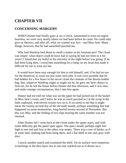# **CHAPTER VII**

#### **CONCERNING MARGERY**

WHEN Hunter had finally gone at six o'clock, summoned to town on urgent business, we were very nearly where we had been before he came. He could only give us theories, and after all, what we wanted was fact—and Miss Jane. Many things, however, that he had unearthed puzzled me.

Why had Wardrop lied about so small a matter as his fountain pen? The closet was empty: what object could he have had in saying he had not been in it for years? I found that my belief in his sincerity of the night before was going. If he had been lying then, I owed him something for a lump on my head that made it difficult for me to wear my hat.

It would have been easy enough for him to rob himself, and, if he had an eye for the theatrical, to work out just some such plot. It was even possible that he had hidden for a few hours in the secret closet the contents of the Russia leather bag. But, whatever Wardrop might or might not be, he gave me little chance to find out, for he left the house before Hunter did that afternoon, and it was later, and under strange circumstances, that I met him again.

Hunter had not told me what was on the paper he had picked out of the basket in Miss Jane's room, and I knew he was as much puzzled as I at the scrap in the little cupboard, with eleven twenty-two on it. It occurred to me that it might mean the twenty-second day of the eleventh month, perhaps something that had happened on some momentous, long-buried twenty-second of November. But this was May, and the finding of two slips bearing the same number was too unusual.

After Hunter left I went back to the closet under the upper stairs, and with some difficulty got the panel open again. The space inside, perhaps eight feet high at one end and four at the other, was empty. There was a row of hooks, as if at some time clothing had been hung there, and a flat shelf at one end, gray with dust.

I struck another match and examined the shelf. On its surface were numerous scratchings in the dust layer, but at one end, marked out as if drawn on a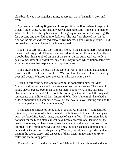blackboard, was a rectangular outline, apparently that of a smallish box, and fresh.

My match burned my fingers and I dropped it to the floor, where it expired in a sickly blue flame. At the last, however it died heroically—like an old man to whom his last hours bring back some of the glory of his prime, burning brightly for a second and then fading into darkness. The last flash showed me, on the floor of the closet and wedged between two boards, a small white globule. It did not need another match to tell me it was a pearl.

I dug it out carefully and took it to my room. In the daylight there I recognized it as an unstrung pearl of fair size and considerable value. There could hardly be a doubt that I had stumbled on one of the stolen gems; but a pearl was only a pearl to me, after all. I didn't feel any of the inspirations which fiction detectives experience when they happen on an important clue.

I lit a cigar and put the pearl on the table in front of me. But no explanation formed itself in the tobacco smoke. If Wardrop took the pearls, I kept repeating over and over, if Wardrop took the pearls, who took Miss Jane?

I tried to forget the pearls, and to fathom the connection between Miss Maitland's disappearance and the absence of her brother-in-law. The scrap of paper, eleven twenty-two, must connect them, but how? A family scandal? Dismissed on the instant. There could be nothing that would touch the virginal remoteness of that little old lady. Insanity? Well, Miss Jane might have had a sudden aberration and wandered away, but that would leave Fleming out, and the paper dragged him in. A common enemy?

I smoked and considered some time over this. An especially malignant foe might rob, or even murder, but it was almost ludicrous to think of his carrying away by force Miss Jane's ninety pounds of austere flesh. The solution, had it not been for the blood-stains, might have been a peaceful one, leaving out the pearls, altogether, but later developments showed that the pearls refused to be omitted. To my mind, however, at that time, the issue seemed a double one. I believed that some one, perhaps Harry Wardrop, had stolen the pearls, hidden them in the secret closet, and disposed of them later. I made a note to try to follow up the missing pearls.

Then—I clung to the theory that Miss Maitland had been abducted and was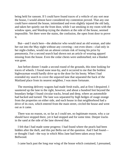being held for ransom. If I could have found traces of a vehicle of any sort near the house, I would almost have considered my contention proved. That any one could have entered the house, intimidated and even slightly injured the old lady, and taken her quietly out the front door, while I sat smoking in my room with the window open, and Wardrop trying the shutters at the side of the house, seemed impossible. Yet there were the stains, the confusion, the open front door to prove it.

But—and I stuck here—the abductor who would steal an old woman, and take her out into the May night without any covering—not even shoes—clad only in her night-clothes, would run an almost certain risk of losing his prize by pneumonia. For a second search had shown not an article of wearing apparel missing from the house. Even the cedar chests were undisturbed; not a blanket was gone.

Just before dinner I made a second round of the grounds, this time looking for traces of wheels. I found none near-by, and it occurred to me that the boldest highwayman would hardly drive up to the door for his booty. When I had extended my search to cover the unpaved lane that separated the back of the Maitland place from its nearest neighbor, I was more fortunate.

The morning delivery wagons had made fresh trails, and at first I despaired. I sauntered up the lane to the right, however, and about a hundred feet beyond the boundary hedge I found circular tracks, broad and deep, where an automobile had backed and turned. The lane was separated by high hedges of osage orange from the properties on either side, and each house in that neighborhood had a drive of its own, which entered from the main street, circled the house and went out as it came.

There was no reason, or, so far as I could see, no legitimate reason, why a car should have stopped there, yet it had stopped and for some time. Deeper tracks in the sand at the side of the lane showed that.

I felt that I had made some progress: I had found where the pearls had been hidden after the theft, and this put Bella out of the question. And I had found or thought I had—the way in which Miss Jane had been taken away from Bellwood.

I came back past the long rear wing of the house which contained, I presumed,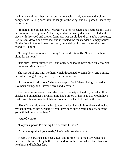the kitchen and the other mysterious regions which only women and architects comprehend. A long porch ran the length of the wing, and as I passed I heard my name called.

"In here in the old laundry," Margery's voice repeated, and I retraced my steps and went up on the porch. At the very end of the wing, dismantled, piled at the sides with firewood and broken furniture, was an old laundry. Its tubs were rusty, its walls mildewed and streaked, and it exhaled the musty odor of empty houses. On the floor in the middle of the room, undeniably dirty and dishevelled, sat Margery Fleming.

"I thought you were never coming," she said petulantly. "I have been here alone for an hour."

"I'm sure I never guessed it," I apologized. "I should have been only too glad to come and sit with you."

She was fumbling with her hair, which threatened to come down any minute, and which hung, loosely knotted, over one small ear.

"I hate to look ridiculous," she said sharply, "and I detest being laughed at. I've been crying, and I haven't any handkerchief."

I proffered mine gravely, and she took it. She wiped the dusty streaks off her cheeks and pinned her hair in a funny knob on top of her head that would have made any other woman look like a caricature. But still she sat on the floor.

"Now," she said, when she had jabbed the last hair-pin into place and tucked my handkerchief into her belt, "if you have been sufficiently amused, perhaps you will help me out of here."

"Out of where?"

"Do you suppose I'm sitting here because I like it?"

"You have sprained your ankle," I said, with sudden alarm.

In reply she brushed aside her gown, and for the first time I saw what had occurred. She was sitting half over a trapdoor in the floor, which had closed on her skirts and held her fast.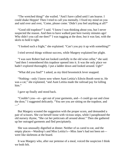"The wretched thing!" she wailed. "And I have called until I am hoarse. I could shake Heppie! Then I tried to call you mentally. I fixed my mind on you and said over and over, 'Come, please come.' Didn't you feel anything at all?"

"Good old trapdoor!" I said. "I know I was thinking about you, but I never suspected the reason. And then to have walked past here twenty minutes ago! Why didn't you call me then?" I was tugging at the door, but it was fast, with the skirts to hold it tight.

"I looked such a fright," she explained. "Can't you pry it up with something?"

I tried several things without success, while Margery explained her plight.

"I was sure Robert had not looked carefully in the old wine cellar," she said. "and then I remembered this trapdoor opened into it. It was the only place we hadn't explored thoroughly. I put a ladder down and looked around. Ugh!"

"What did you find?" I asked, as my third broomstick lever snapped.

"Nothing—only I know now where Aunt Letitia's Edwin Booth went to. He was a cat," she explained, "and Aunt Letitia made the railroad pay for killing him."

I gave up finally and stood back.

"Couldn't you—er—get out of your garments, and—I could go out and close the door," I suggested delicately. "You see you are sitting on the trapdoor, and  $\overline{\phantom{a}}$ 

But Margery scouted the suggestion with the proper scorn, and demanded a pair of scissors. She cut herself loose with vicious snips, while I paraphrased the old nursery rhyme, "She cut her petticoats all around about." Then she gathered up her outraged garments and fled precipitately.

She was unusually dignified at dinner. Neither of us cared to eat, and the empty places—Wardrop's and Miss Letitia's—Miss Jane's had not been set were like skeletons at the board.

It was Margery who, after our pretense of a meal, voiced the suspicion I think we both felt.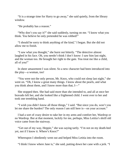"It is a strange time for Harry to go away," she said quietly, from the library window.

"He probably has a reason."

"Why don't you say it?" she said suddenly, turning on me. "I know what you think. You believe he only pretended he was robbed!"

"I should be sorry to think anything of the kind," I began. But she did not allow me to finish.

"I saw what you thought," she burst out bitterly. "The detective almost laughed in his face. Oh, you needn't think I don't know: I saw him last night, and the woman too. He brought her right to the gate. You treat me like a child, all of you!"

In sheer amazement I was silent. So a new character had been introduced into the play—a woman, too!

"You were not the only person, Mr. Knox, who could not sleep last night," she went on. "Oh, I know a great many things. I know about the pearls, and what you think about them, and I know more than that, I—"

She stopped then. She had said more than she intended to, and all at once her bravado left her, and she looked like a frightened child. I went over to her and took one trembling hand.

"I wish you didn't know all those things," I said. "But since you do, won't you let me share the burden? The only reason I am still here is—on your account."

I had a sort of crazy desire to take her in my arms and comfort her, Wardrop or no Wardrop. But at that moment, luckily for me, perhaps, Miss Letitia's shrill old voice came from the stairway.

"Get out of my way, Heppie," she was saying tartly. "I'm not on my death-bed yet, not if I know it. Where's Knox?"

Whereupon I obediently went out and helped Miss Letitia into the room.

"I think I know where Jane is," she said, putting down her cane with a jerk. "I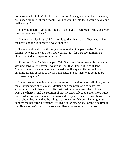don't know why I didn't think about it before. She's gone to get her new teeth; she's been talkin' of it for a month. Not but what her old teeth would have done well enough."

"She would hardly go in the middle of the night," I returned. "She was a very timid woman, wasn't she?"

"She wasn't raised right," Miss Letitia said with a shake of her head. "She's the baby, and the youngest's always spoiled."

"Have you thought that this might be more than it appears to be?" I was feeling my way: she was a very old woman. "It—for instance, it might be abduction, kidnapping—for a ransom."

"Ransom!" Miss Letitia snapped. "Mr. Knox, my father made his money by working hard for it: I haven't wasted it—not that I know of. And if Jane Maitland was fool enough to be abducted, she'll stay awhile before I pay anything for her. It looks to me as if this detective business was going to be expensive, anyhow."

My excuse for dwelling with such attention to detail on the preliminary story, the disappearance of Miss Jane Maitland and the peculiar circumstances surrounding it, will have to find its justification in the events that followed it. Miss Jane herself, and the solution of that mystery, solved the even more tragic one in which we were about to be involved. I say *we*, because it was borne in on me at about that time, that the things that concerned Margery Fleming must concern me henceforth, whether I willed it so or otherwise. For the first time in my life a woman's step on the stair was like no other sound in the world.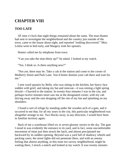## **CHAPTER VIII**

### **TOO LATE**

AT nine o'clock that night things remained about the same. The man Hunter had sent to investigate the neighborhood and the country just outside of the town, came to the house about eight, and reported "nothing discovered." Miss Letitia went to bed early, and Margery took her upstairs.

Hunter called me by telephone from town.

"Can you take the nine-thirty up?" he asked. I looked at my watch.

"Yes, I think so. Is there anything new?"

"Not yet; there may be. Take a cab at the station and come to the corner of Mulberry Street and Park Lane. You'd better dismiss your cab there and wait for me."

I sent word upstairs by Bella, who was sitting in the kitchen, her heavy face sodden with grief, and taking my hat and raincoat—it was raining a light spring drizzle—I hurried to the station. In twenty-four minutes I was in the city, and perhaps twelve minutes more saw me at the designated corner, with my cab driving away and the rain dropping off the rim of my hat and splashing on my shoulders.

I found a sort of refuge by standing under the wooden arch of a gate, and it occurred to me that, for all my years in the city, this particular neighborhood was altogether strange to me. Two blocks away, in any direction, I would have been in familiar territory again.

Back of me a warehouse lifted six or seven gloomy stories to the sky. The gate I stood in was evidently the entrance to its yard, and in fact, some uncomfortable movement of mine just then struck the latch, and almost precipitated me backward by its sudden opening. Beyond was a yard full of shadowy wheels and packing cases; the street lights did not penetrate there, and with an uneasy feeling that almost anything, in this none too savory neighborhood, might be waiting there, I struck a match and looked at my watch. It was twenty minutes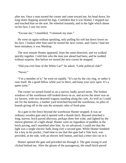after ten. Once a man turned the corner and came toward me, his head down, his long ulster flapping around his legs. Confident that it was Hunter, I stepped out and touched him on the arm. He wheeled instantly, and in the light which shone on his face, I saw my error.

"Excuse me," I mumbled, "I mistook my man."

He went on again without speaking, only pulling his soft hat down lower on his face. I looked after him until he turned the next corner, and I knew I had not been mistaken; it was Wardrop.

The next minute Hunter appeared, from the same direction, and we walked quickly together. I told him who the man just ahead had been, and he nodded without surprise. But before we turned the next corner he stopped.

"Did you ever hear of the White Cat?" he asked. "Little political club?"

"Never."

"I'm a member of it," he went on rapidly. "It's run by the city ring, or rather it runs itself. Be a good fellow while you're there, and keep your eyes open. It's a queer joint."

The corner we turned found us on a narrow, badly paved street. The broken windows of the warehouse still looked down on us, and across the street was an ice factory, with two deserted wagons standing along the curb. As well as I could see for the darkness, a lumber yard stretched beyond the warehouse, its piles of boards giving off in the rain the aromatic odor of fresh pine.

At a gate in the fence beyond the warehouse Hunter stopped. It was an ordinary wooden gate and it opened with a thumb latch. Beyond stretched a long, narrow, brick-paved alleyway, perhaps three feet wide, and lighted by the merest glimmer of a light ahead. Hunter went on regardless of puddles in the brick paving, and I stumbled after him. As we advanced, I could see that the light was a single electric bulb, hung over a second gate. While Hunter fumbled for a key in his pocket, I had time to see that this gate had a Yale lock, was provided, at the side, with an electric bell button, and had a letter slot cut in it.

Hunter opened the gate and preceded me through it. The gate swung to and clicked behind me. After the gloom of the passageway, the small brick-paved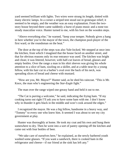yard seemed brilliant with lights. Two wires were strung its length, dotted with many electric lamps. In a corner a striped tent stood out in grotesque relief; it seemed to be empty, and the weather was an easy explanation. From the twostory house beyond there came suddenly a burst of piano music and a none too steady masculine voice. Hunter turned to me, with his foot on the wooden steps.

"Above everything else," he warned, "keep your temper. Nobody gives a hang in here whether you're the mayor of the town, the champion pool-player of the first ward, or the roundsman on the beat."

The door at the top of the steps was also Yale-locked. We stepped at once into the kitchen, from which I imagined that the house faced on another street, and that for obvious reasons only its rear entrance was used. The kitchen was bright and clean; it was littered, however, with half-cut loaves of bread, glasses and empty bottles. Over the range a man in his shirt sleeves was giving his whole attention to a slice of ham, sizzling on a skillet, and at a table near-by a young fellow, with his hair cut in a barber's oval over the back of his neck, was spreading slices of bread and cheese with mustard.

"How are you, Mr. Mayor?" Hunter said, as he shed his raincoat. "This is Mr. Knox, the man who's engineering the *Star-Eagle* fight."

The man over the range wiped one greasy hand and held it out to me.

"The Cat is purring a welcome," he said, indicating the frying ham. "If my cooking turns out right I'll ask you to have some ham with me. I don't know why in thunder it gets black in the middle and won't cook around the edges."

I recognized the mayor. He was a big fellow, handsome in a heavy way, and "Tommy" to every one who knew him. It seemed I was about to see my city government at play.

Hunter was thoroughly at home. He took my coat and his own and hung them somewhere to dry. Then he went into a sort of pantry opening off the kitchen and came out with four bottles of beer.

"We take care of ourselves here," he explained, as the newly barbered youth washed some glasses. "If you want a sandwich, there is cooked ham in the refrigerator and cheese—if our friend at the sink has left any."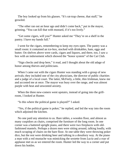The boy looked up from his glasses. "It's rat-trap cheese, that stuff," he growled.

"The other ran out an hour ago and didn't come back," put in the mayor, grinning. "You can kill that with mustard, if it's too lively."

"Get some cigars, will you?" Hunter asked me "They're on a shelf in the pantry. I have my hands full."

I went for the cigars, remembering to keep my eyes open. The pantry was a small room: it contained an ice-box, stocked with drinkables, ham, eggs and butter. On shelves above were cards, cigars and liquors, and there, too, I saw a box with an indorsement which showed the "honor system" of the Cat Club.

"Sign checks and drop here," it read, and I thought about the old adage of honor among thieves and politicians.

When I came out with the cigars Hunter was standing with a group of new arrivals; they included one of the city physicians, the director of public charities and a judge of a local court. The latter, McFeely, a little, thin Irishman, knew me and accosted me at once. The mayor was busy over the range, and was almost purple with heat and unwonted anxiety.

When the three new-comers went upstairs, instead of going into the grillroom, I looked at Hunter.

"Is this where the political game is played?" I asked.

"Yes, if the political game is poker," he replied, and led the way into the room which adjoined the kitchen.

No one paid any attention to us. Bare tables, a wooden floor, and almost as many cuspidors as chairs, comprised the furniture of the long room. In one corner was a battered upright piano, and there were two fireplaces with oldfashioned mantels. Perhaps a dozen men were sitting around, talking loudly, with much scraping of chairs on the bare floor. At one table they were throwing poker dice, but the rest were drinking beer and talking in a desultory way. At the piano a man with a red mustache was mimicking the sextette from *Lucia* and a roar of applause met us as we entered the room. Hunter led the way to a corner and put down his bottles.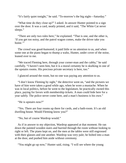"It's fairly quiet tonight," he said. "To-morrow's the big night—Saturday."

"What time do they close up?" I asked. In answer Hunter pointed to a sign over the door. It was a card, neatly printed, and it said, "The White Cat never sleeps."

"There are only two rules here," he explained. "That is one, and the other is, 'If you get too noisy, and the patrol wagon comes, make the driver take you home.'"

The crowd was good-humored; it paid little or no attention to us, and when some one at the piano began to thump a waltz, Hunter, under cover of the noise, leaned over to me.

"We traced Fleming here, through your corner-man and the cabby," he said carefully. "I haven't seen him, but it is a moral certainty he is skulking in one of the upstairs rooms. His precious private secretary is here, too."

I glanced around the room, but no one was paying any attention to us.

"I don't know Fleming by sight," the detective went on, "and the pictures we have of him were taken a good while ago, when he wore a mustache. When he was in local politics, before he went to the legislature, he practically owned this place, paying for favors with membership tickets. A man could hide here for a year safely. The police never come here, and a man's business is his own."

"He is upstairs now?"

"Yes. There are four rooms up there for cards, and a bath-room. It's an old dwelling house. Would Fleming know you?"

"No, but of course Wardrop would."

As if in answer to my objection, Wardrop appeared at that moment. He ran down the painted wooden stairs and hurried through the room without looking to right or left. The piano kept on, and the men at the tables were still engrossed with their glasses and one another. Wardrop was very pale; he bolted into a man at the door, and pushed him aside without ceremony.

"You might go up now," Hunter said, rising. "I will see where the young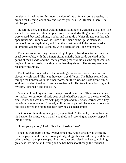gentleman is making for. Just open the door of the different rooms upstairs, look around for Fleming, and if any one notices you, ask if Al Hunter is there. That will let you out."

He left me then, and after waiting perhaps a minute, I went upstairs alone. The second floor was the ordinary upper story of a small dwelling house. The doors were closed, but loud talking, smoke, and the rattle of chips floated out through open transoms. From below the noise of the piano came up the staircase, unmelodious but rhythmical, and from the street on which the house faced an automobile was starting its engine, with a series of shot-like explosions.

The noise was confusing, disconcerting. I opened two doors, to find only the usual poker table, with the winners sitting quietly, their cards bunched in the palms of their hands, and the losers, growing more voluble as the night went on, buying chips recklessly, drinking more than they should. The atmosphere was reeking with smoke.

The third door I opened was that of a dingy bath-room, with a zinc tub and a slovenly wash-stand. The next, however, was different. The light streamed out through the transom as in the other rooms, but there was no noise from within. With my hand on the door, I hesitated—then, with Hunter's injunction ringing in my ears, I opened it and looked in.

A breath of cool night air from an open window met me. There was no noise, no smoke, no sour odor of stale beer. A table had been drawn to the center of the small room, and was littered with papers, pen and ink. At one corner was a tray, containing the remnants of a meal; a pillow and a pair of blankets on a couch at one side showed the room had been serving as a bedchamber.

But none of these things caught my eye at first. At the table, leaning forward, his head on his arms, was a man. I coughed, and receiving no answer, stepped into the room.

"I beg your pardon," I said, "but I am looking for—"

Then the truth burst on me, overwhelmed me. A thin stream was spreading over the papers on the table, moving slowly, sluggishly, as is the way with blood when the heart pump is stopped. I hurried over and raised the heavy, wobbling, gray head. It was Allan Fleming and he had been shot through the forehead.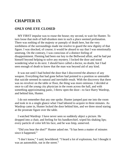## **CHAPTER IX**

#### **ONLY ONE EYE CLOSED**

MY FIRST impulse was to rouse the house; my second, to wait for Hunter. To turn loose that mob of half-drunken men in such a place seemed profanation. There was nothing of the majesty or panoply of death here, but the very sordidness of the surroundings made me resolve to guard the new dignity of that figure. I was shocked, of course; it would be absurd to say that I was emotionally unstrung. On the contrary, I was conscious of a distinct feeling of disappointment. Fleming had been our key to the Bellwood affair, and he had put himself beyond helping to solve any mystery. I locked the door and stood wondering what to do next. I should have called a doctor, no doubt, but I had seen enough of death to know that the man was beyond aid of any kind.

It was not until I had bolted the door that I discovered the absence of any weapon. Everything that had gone before had pointed to a position so untenable that suicide seemed its natural and inevitable result. With the discovery that there was no revolver on the table or floor, the thing was more ominous. I decided at once to call the young city physician in the room across the hall, and with something approximating panic, I threw open the door—to face Harry Wardrop, and behind him, Hunter.

I do not remember that any one spoke. Hunter jumped past me into the room and took in in a single glance what I had labored to acquire in three minutes. As Wardrop came in, Hunter locked the door behind him, and we three stood staring at the prostrate figure over the table.

I watched Wardrop: I have never seen so suddenly abject a picture. He dropped into a chair, and feeling for his handkerchief, wiped his shaking lips; every particle of color left his face, and he was limp, unnerved.

"Did you hear the shot?" Hunter asked me. "It has been a matter of minutes since it happened."

"I don't know," I said, bewildered. "I heard a lot of explosions, but I thought it was an automobile, out in the street."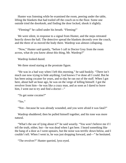Hunter was listening while he examined the room, peering under the table, lifting the blankets that had trailed off the couch on to the floor. Some one outside tried the doorknob, and finding the door locked, shook it slightly.

"Fleming!" he called under his breath. "Fleming!"

We were silent, in response to a signal from Hunter, and the steps retreated heavily down the hall. The detective spread the blankets decently over the couch, and the three of us moved the body there. Wardrop was almost collapsing.

"Now," Hunter said quietly, "before I call in Doctor Gray from the room across, what do you know about this thing, Mr. Wardrop?"

Wardrop looked dazed.

We three stood staring at the prostrate figure.

"He was in a bad way when I left this morning," he said huskily. "There isn't much use now trying to hide anything; God knows I've done all I could. But he has been using cocaine for years, and to-day he ran out of the stuff. When I got here, about half an hour ago, he was on the verge of killing himself. I got the revolver from him—he was like a crazy man, and as soon as I dared to leave him, I went out to try and find a doctor-"

"To get some cocaine?"

"Yes."

"Not—because he was already wounded, and you were afraid it was fatal?"

Wardrop shuddered; then he pulled himself together, and his tone was more natural.

"What's the use of lying about it?" he said wearily. "You won't believe me if I tell the truth, either, but—he was dead when I got here. I heard something like the bang of a door as I went upstairs, but the noise was terrific down below, and I couldn't tell. When I went in, he was just dropping forward, and—" he hesitated.

"The revolver?" Hunter queried, lynx-eyed.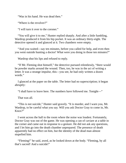"Was in his hand. He was dead then."

"Where is the revolver?"

"I will turn it over to the coroner."

"You will give it to me," Hunter replied sharply. And after a little fumbling, Wardrop produced it from his hip pocket. It was an ordinary thirty-eight. The detective opened it and glanced at it. Two chambers were empty.

"And you waited—say ten minutes, before you called for help, and even then you went outside hunting a doctor! What were you doing in those ten minutes?"

Wardrop shut his lips and refused to reply.

"If Mr. Fleming shot himself," the detective pursued relentlessly, "there would be powder marks around the wound. Then, too, he was in the act of writing a letter. It was a strange impulse, this—you see, he had only written a dozen words."

I glanced at the paper on the table. The letter had no superscription; it began abruptly:

"I shall have to leave here. The numbers have followed me. Tonight—"

That was all.

"This is not suicide," Hunter said gravely. "It is murder, and I warn you, Mr. Wardrop, to be careful what you say. Will you ask Doctor Gray to come in, Mr. Knox?"

I went across the hall to the room where the noise was loudest. Fortunately, Doctor Gray was out of the game. He was opening a can of caviare at a table in the corner and came out in response to a gesture. He did not ask any questions, and I let him go into the death chamber unprepared. The presence of death apparently had no effect on him, but the identity of the dead man almost stupefied him.

"Fleming!" he said, awed, as he looked down at the body. "Fleming, by all that's sacred! And a suicide!"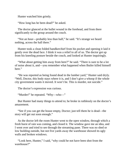Hunter watched him grimly.

"How long has he been dead?" he asked.

The doctor glanced at the bullet wound in the forehead, and from there significantly to the group around the couch.

"Not an hour—probably less than half," he said. "It's strange we heard nothing, across the hall there."

Hunter took a clean folded handkerchief from his pocket and opening it laid it gently over the dead face. I think it was a relief to all of us. The doctor got up from his kneeling posture beside the couch, and looked at Hunter inquiringly.

"What about getting him away from here?" he said. "There is sure to be a lot of noise about it, and—you remember what happened when Butler killed himself here."

"He was reported as being found dead in the lumber yard," Hunter said dryly. "Well, Doctor, this body stays where it is, and I don't give a whoop if the whole city government wants it moved. It won't be. This is murder, not suicide."

The doctor's expression was curious.

"Murder!" he repeated. "Why—who—"

But Hunter had many things to attend to; he broke in ruthlessly on the doctor's amazement.

"See if you can get the house empty, Doctor; just tell them he is dead—the story will get out soon enough."

As the doctor left the room Hunter went to the open window, through which a fresh burst of rain was coming, and closed it. The window gave me an idea, and I went over and tried to see through the streaming pane. There was no shed or low building outside, but not five yards away the warehouse showed its ugly walls and broken windows.

"Look here, Hunter," I said, "why could he not have been shot from the warehouse?"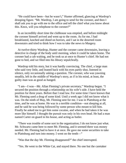"He could have been—but he wasn't," Hunter affirmed, glancing at Wardrop's drooping figure. "Mr. Wardrop, I am going to send for the coroner, and then I shall ask you to go with me to the office and tell the chief what you know about this. Knox, will you telephone to the coroner?"

In an incredibly short time the clubhouse was emptied, and before midnight the coroner himself arrived and went up to the room. As for me, I had breakfasted, lunched and dined on horrors, and I sat in the deserted room downstairs and tried to think how I was to take the news to Margery.

At twelve-thirty Wardrop, Hunter and the coroner came downstairs, leaving a detective in charge of the body until morning, when it could be taken home. The coroner had a cab waiting, and he took us at once to Hunter's chief. He had not gone to bed, and we filed into his library sepulchrally.

Wardrop told his story, but it was hardly convincing. The chief, a large man who said very little, and leaned back with his eyes partly shut, listened in silence, only occasionally asking a question. The coroner, who was yawning steadily, left in the middle of Wardrop's story, as if in his mind, at least, the guilty man was as good as hanged.

"I am—I was—Mr. Allan Fleming's private secretary," Wardrop began. "I secured the position through a relationship on his wife's side. I have held the position for three years. Before that I read law. For some time I have known that Mr. Fleming used a drug of some kind. Until a week ago I did not know what it was. On the ninth of May, Mr. Fleming sent for me. I was in Plattsburg at the time, and he was at home. He was in a terrible condition—not sleeping at all, and he said he was being followed by some person who meant to kill him. Finally he asked me to get him some cocaine, and when he had taken it he was more like himself. I thought the pursuit was only in his own head. He had a man named Carter on guard in his house, and acting as butler.

"There was trouble of some sort in the organization; I do not know just what. Mr. Schwartz came here to meet Mr. Fleming, and it seemed there was money needed. Mr. Fleming had to have it at once. He gave me some securities to take to Plattsburg and turn into money. I went on the tenth—"

"Was that the day Mr. Fleming disappeared?" the chief interrupted.

"Yes. He went to the White Cat, and stayed there. No one but the caretaker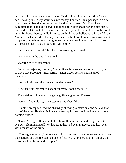and one other man knew he was there. On the night of the twenty-first, I came back, having turned my securities into money. I carried it in a package in a small Russia leather bag that never left my hand for a moment. Mr. Knox here suggested that I had put it down, and it had been exchanged for one just like it, but I did not let it out of my hand on that journey until I put it down on the porch at the Bellwood house, while I tried to get in. I live at Bellwood, with the Misses Maitland, sisters of Mr. Fleming's deceased wife. I don't pretend to know how it happened, but while I was trying to get into the house it was rifled. Mr. Knox will bear me out in that. I found my grip empty."

I affirmed it in a word. The chief was growing interested.

"What was in the bag?" he asked.

Wardrop tried to remember.

"A pair of pajamas," he said, "two military brushes and a clothes-brush, two or three soft-bosomed shirts, perhaps a half-dozen collars, and a suit of underwear."

"And all this was taken, as well as the money?"

"The bag was left empty, except for my railroad schedule."

The chief and Hunter exchanged significant glances. Then—

"Go on, if you please," the detective said cheerfully.

I think Wardrop realized the absurdity of trying to make any one believe that part of the story. He shut his lips and threw up his head as if he intended to say nothing further.

"Go on," I urged. If he could clear himself he must. I could not go back to Margery Fleming and tell her that her father had been murdered and her lover was accused of the crime.

"The bag was empty," he repeated. "I had not been five minutes trying to open the shutters, and yet the bag had been rifled. Mr. Knox here found it among the flowers below the veranda, empty."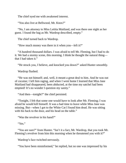The chief eyed me with awakened interest.

"You also live at Bellwood, Mr. Knox?"

"No, I am attorney to Miss Letitia Maitland, and was there one night as her guest. I found the bag as Mr. Wardrop described, empty."

The chief turned back to Wardrop.

"How much money was there in it when you—left it?"

"A hundred thousand dollars. I was afraid to tell Mr. Fleming, but I had to do it. We had a stormy scene, this morning. I think he thought the natural thing that I had taken it."

"He struck you, I believe, and knocked you down?" asked Hunter smoothly.

Wardrop flushed.

"He was not himself; and, well, it meant a great deal to him. And he was out of cocaine; I left him raging, and when I went home I learned that Miss Jane Maitland had disappeared, been abducted, at the time my satchel had been emptied! It's no wonder I question my sanity."

"And then—tonight?" the chief persisted.

"Tonight, I felt that some one would have to look after Mr. Fleming; I was afraid he would kill himself. It was a bad time to leave while Miss Jane was missing. But—when I got to the White Cat I found him dead. He was sitting with his back to the door, and his head on the table."

"Was the revolver in his hand?"

"Yes."

"You are sure?" from Hunter. "Isn't it a fact, Mr. Wardrop, that you took Mr. Fleming's revolver from him this morning when he threatened you with it?"

Wardrop's face twitched nervously.

"You have been misinformed," he replied, but no one was impressed by his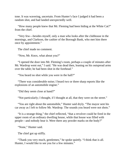tone. It was wavering, uncertain. From Hunter's face I judged it had been a random shot, and had landed unexpectedly well.

"How many people knew that Mr. Fleming had been hiding at the White Cat?" from the chief.

"Very few—besides myself, only a man who looks after the clubhouse in the mornings, and Clarkson, the cashier of the Borough Bank, who met him there once by appointment."

The chief made no comment.

"Now, Mr. Knox, what about you?"

"I opened the door into Mr. Fleming's room, perhaps a couple of minutes after Mr. Wardrop went out," I said. "He was dead then, leaning on his outspread arms over the table; he had been shot in the forehead."

"You heard no shot while you were in the hall?"

"There was considerable noise; I heard two or three sharp reports like the explosions of an automobile engine."

"Did they seem close at hand?"

"Not particularly; I thought, if I thought at all, that they were on the street."

"You are right about the automobile," Hunter said dryly. "The mayor sent his car away as I left to follow Mr. Wardrop. The sounds you heard were not shots."

"It is a strange thing," the chief reflected, "that a revolver could be fired in the upper room of an ordinary dwelling house, while that house was filled with people—and nobody hear it. Were there any powder marks on the body?"

"None," Hunter said.

The chief got up stiffly.

"Thank you very much, gentlemen," he spoke quietly. "I think that is all. Hunter, I would like to see you for a few minutes."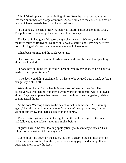I think Wardrop was dazed at finding himself free; he had expected nothing less than an immediate charge of murder. As we walked to the corner for a car or cab, whichever materialized first, he looked back.

"I thought so," he said bitterly. A man was loitering after us along the street. The police were not asleep, they had only closed one eye.

The last train had gone. We took a night electric car to Wynton, and walked the three miles to Bellwood. Neither of us was talkative, and I imagine we were both thinking of Margery, and the news she would have to hear.

It had been raining, and the roads were vile.

Once Wardrop turned around to where we could hear the detective splashing along, well behind.

"I hope he's enjoying it," he said. "I brought you by this road, so he'd have to wade in mud up to his neck."

"The devil you did!" I exclaimed. "I'll have to be scraped with a knife before I can get my clothes off."

We both felt better for the laugh; it was a sort of nervous reaction. The detective was well behind, but after a while Wardrop stood still, while I plowed along. They came up together presently, and the three of us trudged on, talking of immaterial things.

At the door Wardrop turned to the detective with a faint smile. "It's raining again," he said, "you'd better come in. You needn't worry about me; I'm not going to run away, and there's a couch in the library."

The detective grinned, and in the light from the hall I recognized the man I had followed to the police station two nights before.

"I guess I will," he said, looking apologetically at his muddy clothes. "This thing is only a matter of form, anyhow."

But he didn't lie down on the couch. He took a chair in the hall near the foot of the stairs, and we left him there, with the evening paper and a lamp. It was a queer situation, to say the least.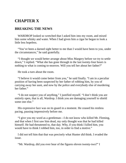# **CHAPTER X**

### **BREAKING THE NEWS**

WARDROP looked so wretched that I asked him into my room, and mixed him some whisky and water. When I had given him a cigar he began to look a little less hopeless.

"You've been a darned sight better to me than I would have been to you, under the circumstances," he said gratefully.

"I thought we would better arrange about Miss Margery before we try to settle down," I replied. "What she has gone through in the last twenty-four hours is nothing to what is coming to-morrow. Will you tell her about her father?"

He took a turn about the room.

"I believe it would come better from you," he said finally. "I am in a peculiar position of having been suspected by her father of robbing him, by you of carrying away her aunt, and now by the police and everybody else of murdering her father."

"I do not suspect you of anything," I justified myself. "I don't think you are entirely open, that is all, Wardrop. I think you are damaging yourself to shield some one else."

His expressive face was on its guard in a moment. He ceased his restless pacing, pausing impressively before me.

"I give you my word as a gentleman—I do not know who killed Mr. Fleming, and that when I first saw him dead, my only thought was that he had killed himself. He had threatened to, that day. Why, if you think I killed him, you would have to think I robbed him, too, in order to find a motive."

I did not tell him that that was precisely what Hunter *did* think. I evaded the issue.

"Mr. Wardrop, did you ever hear of the figures eleven twenty-two?" I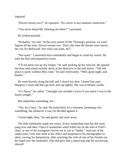inquired.

"Eleven twenty-two?" he repeated. "No, never in any unusual connection."

"You never heard Mr. Fleming use them?" I persisted.

He looked puzzled.

"Probably," he said. "In the very nature of Mr. Fleming's position, we used figures all the time. Eleven twenty-two. That's the time the theater train leaves the city for Bellwood. Not what you want, eh?"

"Not quite," I answered non-committally and began to wind my watch. He took the hint and prepared to leave.

"I'll not keep you up any longer," he said, picking up his raincoat. He opened the door and stared ruefully down at the detective in the hall below. "The old place is queer without Miss Jane," he said irrelevantly. "Well, good night, and thanks."

He went heavily along the hall and I closed my door. I heard him pass Margery's room and then go back and rap lightly. She was evidently awake.

"It's Harry," he called. "I thought you wouldn't worry if you knew I was in the house tonight."

She asked him something, for—

"Yes, he is here," he said. He stood there for a moment, hesitating over something, but whatever it was, he decided against it.

"Good night, dear," he said gently and went away.

The little familiarity made me wince. Every unattached man has the same pang now and then. I have it sometimes when Edith sits on the arm of Fred's chair, or one of the youngsters leaves me to run to "daddy." And one of the sanest men I ever met went to his office and proposed to his stenographer in sheer craving for domesticity, after watching the wife of one of his friends run her hand over her husband's chin and give him a reproving slap for not having shaved!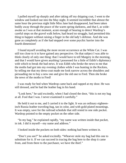I pulled myself up sharply and after taking off my dripping coat, I went to the window and looked out into the May night. It seemed incredible that almost the same hour the previous night little Miss Jane had disappeared, had been taken bodily away through the peace of the warm spring darkness, and that I, as wideawake as I was at that moment, acute enough of hearing to detect Wardrop's careful steps on the gravel walk below, had heard no struggle, had permitted this thing to happen without raising a finger in the old lady's defense. And she was gone as completely as if she had stepped over some psychic barrier into the fourth dimension!

I found myself avoiding the more recent occurrence at the White Cat. I was still too close to it to have gained any perspective. On that subject I was able to think clearly of only one thing: that I would have to tell Margery in the morning, and that I would have given anything I possessed for a little of Edith's diplomacy with which to break the bad news. It was Edith who broke the news to me that the moths had got into my evening clothes while I was hunting in the Rockies, by telling me that my dress-coat made me look narrow across the shoulders and persuading me to buy a new one and give the old one to Fred. Then she broke the news of the moths to Fred!

I was ready for bed when Wardrop came back and rapped at my door. He was still dressed, and he had the leather bag in his hand.

"Look here," he said excitedly, when I had closed the door, "this is not my bag at all. Fool that I was. I never examined it carefully."

He held it out to me, and I carried it to the light. It was an ordinary eighteeninch Russia leather traveling-bag, tan in color, and with gold-plated mountings. It was empty, save for the railroad schedule that still rested in one side pocket. Wardrop pointed to the empty pocket on the other side.

"In my bag," he explained rapidly, "my name was written inside that pocket, in ink. I did it myself—my name and address."

I looked inside the pockets on both sides: nothing had been written in.

"Don't you see?" he asked excitedly. "Whoever stole my bag had this one to substitute for it. If we can succeed in tracing the bag here to the shop it came from, and from there to the purchaser, we have the thief."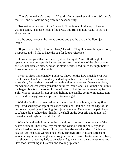"There's no makers's name in it," I said, after a casual examination. Wardrop's face fell, and he took the bag from me despondently.

"No matter which way I turn," he said, "I run into a blind alley. If I were worth a damn, I suppose I could find a way out. But I'm not. Well, I'll let you sleep this time."

At the door, however, he turned around and put the bag on the floor, just inside.

"If you don't mind, I'll leave it here," he said. "They'll be searching my room, I suppose, and I'd like to have the bag for future reference."

He went for good that time, and I put out the light. As an afterthought I opened my door perhaps six inches, and secured it with one of the pink conchshells which flanked either end of the stone hearth. I had failed the night before: I meant to be on hand that night.

I went to sleep immediately, I believe. I have no idea how much later it was that I roused. I wakened suddenly and sat up in bed. There had been a crash of some kind, for the shock was still vibrating along my nerves. Dawn was close; the window showed gray against the darkness inside, and I could make out dimly the larger objects in the room. I listened intently, but the house seemed quiet. Still I was not satisfied. I got up and, lighting the candle, got into my raincoat in lieu of a dressing-gown, and prepared to investigate.

With the fatality that seemed to pursue my feet in that house, with my first step I trod squarely on top of the conch-shell, and I fell back on the edge of the bed swearing softly and holding the injured member. Only when the pain began to subside did I realize that I had left the shell on the door-sill, and that it had moved at least eight feet while I slept!

When I could walk I put it on the mantel, its mate from the other end of the hearth beside it. Then I took my candle and went out into the hall. My door, which I had left open, I found closed; nothing else was disturbed. The leather bag sat just inside, as Wardrop had left it. Through Miss Maitland's transom were coming certain strangled and irregular sounds, now falsetto, now deep bass, that showed that worthy lady to be asleep. A glance down the staircase revealed Davidson, stretching in his chair and looking up at me.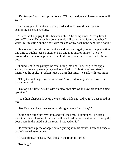"I'm frozen," he called up cautiously. "Throw me down a blanket or two, will you?"

I got a couple of blankets from my bed and took them down. He was examining his chair ruefully.

"There isn't any grip to this horsehair stuff," he complained. "Every time I doze off I dream I'm coasting down the old hill back on the farm, and when I wake up I'm sitting on the floor, with the end of my back bone bent like a hook."

He wrapped himself in the blankets and sat down again, taking the precaution this time to put his legs on another chair and thus anchor himself. Then he produced a couple of apples and a penknife and proceeded to pare and offer me one.

"Found 'em in the pantry," he said, biting into one. "I belong to the apple society. Eat one apple every day and keep healthy!" He stopped and stared intently at the apple. "I reckon I got a worm that time," he said, with less ardor.

"I'll get something to wash him down," I offered, rising, but he waved me back to my stair.

"Not on your life," he said with dignity. "Let him walk. How are things going upstairs?"

"You didn't happen to be up there a little while ago, did you?" I questioned in turn.

"No, I've been kept busy trying to sit tight where I am. Why?"

"Some one came into my room and wakened me," I explained. "I heard a racket and when I got up I found a shell that I had put on the door-sill to keep the door open, in the middle of the room. I stepped on it."

He examined a piece of apple before putting it in his mouth. Then he turned a pair of shrewd eyes on me.

"That's funny," he said. "Anything in the room disturbed?"

"Nothing."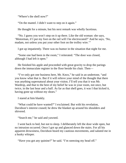"Where's the shell now?"

"On the mantel. I didn't want to step on it again."

He thought for a minute, but his next remark was wholly facetious.

"No. I guess you won't step on it up there. Like the old woman: she says, 'Motorman, if I put my foot on the rail will I be electrocuted?' And he says, 'No, madam, not unless you put your other foot on the trolley wire.'"

I got up impatiently. There was no humor in the situation that night for me.

"Some one had been in the room," I reiterated. "The door was closed, although I had left it open."

He finished his apple and proceeded with great gravity to drop the parings down the immaculate register in the floor beside his chair. Then—

"I've only got one business here, Mr. Knox," he said in an undertone, "and you know what that is. But if it will relieve your mind of the thought that there was anything supernatural about your visitor, I'll tell you that it was Mr. Wardrop, and that to the best of my belief he was in your room, not once, but twice, in the last hour and a half. As far as that shell goes, it was I that kicked it, having gone up without my shoes."

I stared at him blankly.

"What could he have wanted?" I exclaimed. But with his revelation, Davidson's interest ceased; he drew the blanket up around his shoulders and shivered.

"Search me," he said and yawned.

I went back to bed, but not to sleep. I deliberately left the door wide open, but no intrusion occurred. Once I got up and glanced down the stairs. For all his apparent drowsiness, Davidson heard my cautious movements, and saluted me in a husky whisper.

"Have you got any quinine?" he said. "I'm sneezing my head off."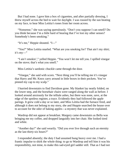But I had none. I gave him a box of cigarettes, and after partially dressing, I threw myself across the bed to wait for daylight. I was roused by the sun beating on my face, to hear Miss Letitia's tones from her room across.

"Nonsense," she was saying querulously. "Don't you suppose I can smell? Do you think because I'm a little hard of hearing that I've lost my other senses? Somebody's been smoking."

"It's me," Heppie shouted. "I—"

"You?" Miss Letitia snarled. "What are you smoking for? That ain't my shirt; it's my—"

"I ain't smokin'," yelled Heppie. "You won't let me tell you. I spilled vinegar on the stove; that's what you smell."

Miss Letitia's sardonic chuckle came through the door.

"Vinegar," she said with scorn. "Next thing you'll be telling me it's vinegar that Harry and Mr. Knox carry around in little boxes in their pockets. You've pinned my cap to my scalp."

I hurried downstairs to find Davidson gone. My blanket lay neatly folded, on the lower step, and the horsehair chairs were ranged along the wall as before. I looked around anxiously for the telltale ashes, but there was none, save, at the edge of the spotless register, a trace. Evidently they had followed the apple parings. It grew cold a day or so later, and Miss Letitia had the furnace fired, and although it does not belong to my story, she and Heppie searched the house over to account for the odor of baking apples—a mystery that was never explained.

Wardrop did not appear at breakfast. Margery came downstairs as Bella was bringing me my coffee, and dropped languidly into her chair. She looked tired and white.

"Another day!" she said wearily. "Did you ever live through such an eternity as the last thirty-six hours?"

I responded absently; the duty I had assumed hung heavy over me. I had a frantic impulse to shirk the whole thing: to go to Wardrop and tell him it was his responsibility, not mine, to make this sad-eyed girl sadder still. That as I had not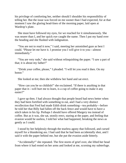his privilege of comforting her, neither should I shoulder his responsibility of telling her. But the issue was forced on me sooner than I had expected, for at that moment I saw the glaring head-lines of the morning paper, laid open at Wardrop's plate.

She must have followed my eyes, for we reached for it simultaneously. She was nearer than I, and her quick eye caught the name. Then I put my hand over the heading and she flushed with indignation.

"You are not to read it now," I said, meeting her astonished gaze as best I could. "Please let me have it. I promise you I will give it to you—almost immediately."

"You are very rude," she said without relinquishing the paper. "I saw a part of that; it is about my father!"

"Drink your coffee, please," I pleaded. "I will let you read it then. On my honor."

She looked at me; then she withdrew her hand and sat erect.

"How can you be so childish!" she exclaimed. "If there is anything in that paper that it—will hurt me to learn, is a cup of coffee going to make it any easier?"

I gave up then. I had always thought that people heard bad news better when they had been fortified with something to eat, and I had a very distinct recollection that Fred had made Edith drink something—tea probably—before he told her that Billy had fallen off the back fence and would have to have a stitch taken in his lip. Perhaps I should have offered Margery tea instead of coffee. But as it was, she sat, stonily erect, staring at the paper, and feeling that evasion would be useless, I told her what had happened, breaking the news as gently as I could.

I stood by her helplessly through the tearless agony that followed, and cursed myself for a blundering ass. I had said that he had been accidentally shot, and I said it with the paper behind me, but she put the evasion aside bitterly.

"Accidentally!" she repeated. The first storm of grief over, she lifted her head from where it had rested on her arms and looked at me, scorning my subterfuge.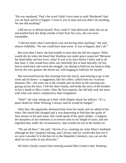"He was murdered. That's the word I didn't have time to read! Murdered! And you sat back and let it happen. I went to you in time and you didn't do anything. No one did anything!"

I did not try to defend myself. How could I? And afterward when she sat up and pushed back the damp strands of hair from her eyes, she was more reasonable.

"I did not mean what I said about your not having done anything," she said, almost childishly. "No one could have done more. It was to happen, that's all."

But even then I knew she had trouble in store that she did not suspect. What would she do when she heard that Wardrop was under grave suspicion? Between her dead father and her lover, what? It was to be days before I knew and in all that time, I, who would have died, not cheerfully but at least stoically, for her, had to stand back and watch the struggle, not daring to hold out my hand to help, lest by the very gesture she divine my wild longing to hold her for myself.

She recovered bravely that morning from the shock, and refusing to go to her room and lie down—a suggestion, like the coffee, culled from my vicarious domestic life—she went out to the veranda and sat there in the morning sun, gazing across the lawn. I left her there finally, and broke the news of her brotherin-law's death to Miss Letitia. After the first surprise, the old lady took the news with what was nearer complacency than resignation.

"Shot!" she said, sitting up in bed, while Heppie shook her pillows. "It's a queer death for Allan Fleming; I always said he would be hanged."

After that, she apparently dismissed him from her mind, and we talked of her sister. Her mood had changed and it was depressing to find that she spoke of Jane always in the past tense. She could speak of her quite calmly—I suppose the sharpness of our emotions is in inverse ratio to our length of years, and she regretted that, under the circumstances, Jane would not rest in the family lot.

"We are all there," she said, "eleven of us, counting my sister Mary's husband, although he don't properly belong, and I always said we would take him out if we were crowded. It is the best lot in the Hopedale Cemetery; you can see the shaft for two miles in any direction."

We held a family council that morning around Miss Letitia's bed: Wardrop,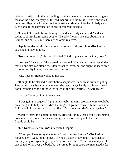who took little part in the proceedings, and who stood at a window looking out most of the time, Margery on the bed, her arm around Miss Letitia's shriveled neck, and Heppie, who acted as interpreter and shouted into the old lady's ear such parts of the conversation as she considered essential.

"I have talked with Miss Fleming," I said, as clearly as I could, "and she seems to shrink from seeing people. The only friends she cares about are in Europe, and she tells me there are no other relatives."

Heppie condensed this into a vocal capsule, and thrust it into Miss Letitia's ear. The old lady nodded.

"No other relatives," she corroborated. "God be praised for that, anyhow."

"And yet," I went on, "there are things to look after, certain necessary duties that no one else can attend to. I don't want to insist, but she ought, if she is able, to go to the city house, for a few hours, at least.

"City house!" Heppie yelled in her ear.

"It ought to be cleaned," Miss Letitia acquiesced, "and fresh curtains put up. Jane would have been in her element; she was always handy at a funeral. And don't let them get one of those let-down-at-the-side coffins. They're leaky."

Luckily Margery did not notice this.

"I was going to suggest," I put in hurriedly, "that my brother's wife would be only too glad to help, and if Miss Fleming will go into town with me, I am sure Edith would know just what to do. She isn't curious and she's very capable."

Margery threw me a grateful glance, grateful, I think, that I could understand how, under the circumstances, a stranger was more acceptable than curious friends could be.

"Mr. Knox's sister-in-law!" interpreted Heppie.

"When you have to say the letter 's,' turn your head away," Miss Letitia rebuked her. "Well, I don't object, if Knox's sister-in-law don't." She had an uncanny way of expanding Heppie's tabloid speeches. "You can take my white silk shawl to lay over the body, but be sure to bring it back. We may need it for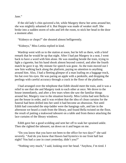Jane."

If the old lady's chin quivered a bit, while Margery threw her arms around her, she was mightily ashamed of it. But Heppie was made of weaker stuff. She broke into a sudden storm of sobs and left the room, to stick her head in the door a moment after.

"Kidneys or chops?" she shouted almost belligerently.

"Kidneys," Miss Letitia replied in kind.

Wardrop went with us to the station at noon, but he left us there, with a brief remark that he would be up that night. After I had put Margery in a seat, I went back to have a word with him alone. He was standing beside the train, trying to light a cigarette, but his hand shook almost beyond control, and after the fourth match he gave it up. My minute for speech was gone. As the train moved out I saw him walking back along the platform, paying no attention to anything around him. Also, I had a fleeting glimpse of a man loafing on a baggage truck, his hat over his eyes. He was paring an apple with a penknife, and dropping the peelings with careful accuracy through a crack in the floor of the platform.

I had arranged over the telephone that Edith should meet the train, and it was a relief to see that she and Margery took to each other at once. We drove to the house immediately, and after a few tears when she saw the familiar things around her, Margery rose to the situation bravely. Miss Letitia had sent Bella to put the house in order, and it was evident that the idea of clean curtains for the funeral had been drilled into her until it had become an obsession. Not until Edith had concealed the step-ladder were the hangings safe, and late in the afternoon we heard a crash from the library, and found Bella twisted on the floor, the result of putting a teakwood tabouret on a table and from thence attacking the lace curtains of the library windows.

Edith gave her a good scolding and sent her off to soak her sprained ankle. Then she righted the tabouret, sat down on it and began on me.

"Do you know that you have not been to the office for two days?" she said severely. "And do you know that Hawes had hysterics in our front hall last night? You had a case in court yesterday, didn't you?"

"Nothing very much," I said, looking over her head. "Anyhow, I'm tired. I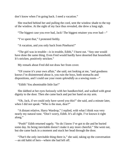don't know when I'm going back. I need a vacation."

She reached behind her and pulling the cord, sent the window shade to the top of the window. At the sight of my face thus revealed, she drew a long sigh.

"The biggest case you ever had, Jack! The biggest retainer you ever had—"

"I've spent that," I protested feebly.

"A vacation, and you only back from Pinehurst!"

"The girl was in trouble—*is* in trouble, Edith," I burst out. "Any one would have done the same thing. Even Fred would hardly have deserted that household. It's stricken, positively stricken."

My remark about Fred did not draw her from cover.

"Of course it's your own affair," she said, not looking at me, "and goodness knows I'm disinterested about it, you ruin the boys, both stomachs and dispositions, and I could use your room *splendidly* as a sewing room—"

"Edith! You abominable little liar!"

She dabbed at her eyes furiously with her handkerchief, and walked with great dignity to the door. Then she came back and put her hand on my arm.

"Oh, Jack, if we could only have saved you this!" she said, and a minute later, when I did not speak: "Who is the man, dear?"

"A distant relative, Harry Wardrop," I replied, with what I think was very nearly my natural tone. "Don't worry, Edith. It's all right. I've known it right along."

"Pooh!" Edith returned sagely. "So do I know I've got to die and be buried some day. Its being inevitable doesn't make it any more cheerful." She went out, but she came back in a moment and stuck her head through the door.

"*That's* the only inevitable thing there is," she said, taking up the conversation —an old habit of hers—where she had left off.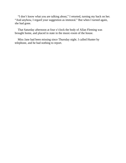"I don't know what you are talking about," I retorted, turning my back on her. "And anyhow, I regard your suggestion as immoral." But when I turned again, she had gone.

That Saturday afternoon at four o'clock the body of Allan Fleming was brought home, and placed in state in the music-room of the house.

Miss Jane had been missing since Thursday night. I called Hunter by telephone, and he had nothing to report.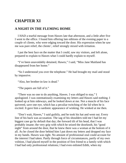# **CHAPTER XI**

#### **A NIGHT IN THE FLEMING HOME**

I HAD a tearful message from Hawes late that afternoon, and a little after five I went to the office. I found him offering late editions of the evening paper to a couple of clients, who were edging toward the door. His expression when he saw me was pure relief, the clients', relief strongly mixed with irritation.

I put the best face on the matter that I could, saw my visitors, and left alone, prepared to explain to Hawes what I could hardly explain to myself.

"I've been unavoidably detained, Hawes," I said, "Miss Jane Maitland has disappeared from her home."

"So I understood you over the telephone." He had brought my mail and stood by impassive.

"Also, her brother-in-law is dead."

"The papers are full of it."

"There was no one to do anything, Hawes. I was obliged to stay," I apologized. I was ostentatiously examining my letters and Hawes said nothing. I looked up at him sideways, and he looked down at me. Not a muscle of his face quivered, save one eye, which has a peculiar twitching of the lid when he is excited. It gave him a sardonic appearance of winking. He winked at me then.

"Don't wait, Hawes," I said guiltily, and he took his hat and went out. Every line of his back was accusation. The sag of his shoulders told me I had let my biggest case go by default that day; the forward tilt of his head, that I was probably insane; the very grip with which he seized the doorknob, his "good night" from around the door, that he knew there was a woman at the bottom of it all. As he closed the door behind him I put down my letters and dropped my face in my hands. Hawes was right. No amount of professional zeal could account for the interest I had taken. Partly through force of circumstances, partly of my own volition, I had placed myself in the position of first friend to a family with which I had had only professional relations; I had even enlisted Edith, when my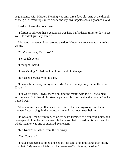acquaintance with Margery Fleming was only three days old! And at the thought of the girl, of Wardrop's inefficiency and my own hopelessness, I groaned aloud.

I had not heard the door open.

"I forgot to tell you that a gentleman was here half a dozen times to-day to see you. He didn't give any name."

I dropped my hands. From around the door Hawes' nervous eye was winking wildly.

"You're not sick, Mr. Knox?"

"Never felt better."

"I thought I heard—"

"I was singing," I lied, looking him straight in the eye.

He backed nervously to the door.

"I have a little sherry in my office, Mr. Knox—twenty-six years in the wood. If you—"

"For God's sake, Hawes, there's nothing the matter with me!" I exclaimed, and he went. But I heard him stand a perceptible time outside the door before he tiptoed away.

Almost immediately after, some one entered the waiting-room, and the next moment I was facing, in the doorway, a man I had never seen before.

He was a tall man, with thin, colorless beard trimmed to a Vandyke point, and pale eyes blinking behind glasses. He had a soft hat crushed in his hand, and his whole manner was one of subdued excitement.

"Mr. Knox?" he asked, from the doorway.

"Yes. Come in."

"I have been here six times since noon," he said, dropping rather than sitting in a chair. "My name is Lightfoot. I am—was—Mr. Fleming's cashier."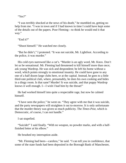"Yes?"

"I was terribly shocked at the news of his death," he stumbled on, getting no help from me. "I was in town and if I had known in time I could have kept some of the details out of the papers. Poor Fleming—to think he would end it that way."

"End it?"

"Shoot himself." He watched me closely.

"But he didn't," I protested. "It was not suicide, Mr. Lightfoot. According to the police, it was murder."

His cold eyes narrowed like a cat's. "Murder is an ugly word, Mr. Knox. Don't let us be sensational. Mr. Fleming had threatened to kill himself more than once; ask young Wardrop. He was sick and despondent; he left his home without a word, which points strongly to emotional insanity. He could have gone to any one of a half dozen large clubs here, or at the capital. Instead, he goes to a little third-rate political club, where, presumably, he does his own cooking and hides in a dingy room. Is that sane? Murder! It was suicide, and that puppy Wardrop knows it well enough. I—I wish I had him by the throat!"

He had worked himself into quite a respectable rage, but now he calmed himself.

"I have seen the police," he went on. "They agree with me that it was suicide, and the party newspapers will straighten it out to-morrow. It is only unfortunate that the murder theory was given so much publicity. The *Times-Post*, which is Democratic, of course, I can not handle."

I sat stupefied.

"Suicide!" I said finally. "With no weapon, no powder marks, and with a halffinished letter at his elbow."

He brushed my interruption aside.

"Mr. Fleming had been—careless," he said. "I can tell you in confidence, that some of the state funds had been deposited in the Borough Bank of Manchester,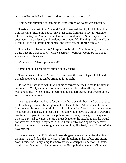and—the Borough Bank closed its doors at ten o'clock to-day."

I was hardly surprised at that, but the whole trend of events was amazing.

"I arrived here last night," he said, "and I searched the city for Mr. Fleming. This morning I heard the news. I have just come from the house: his daughter referred me to you. After all, what I want is a small matter. Some papers—state documents—are missing, and no doubt are among Mr. Fleming's private effects. I would like to go through his papers, and leave tonight for the capital."

"I have hardly the authority," I replied doubtfully. "Miss Fleming, I suppose, would have no objection. His private secretary, Wardrop, would be the one to superintend such a search."

"Can you find Wardrop—at once?"

Something in his eagerness put me on my guard.

"I will make an attempt," I said. "Let me have the name of your hotel, and I will telephone you if it can be arranged for tonight."

He had to be satisfied with that, but his eagerness seemed to me to be almost desperation. Oddly enough, I could not locate Wardrop after all. I got the Maitland house by telephone, to learn that he had left there about three o'clock, and had not come back.

I went to the Fleming house for dinner. Edith was still there, and we both tried to cheer Margery, a sad little figure in her black clothes. After the meal, I called Lightfoot at his hotel, and told him that I could not find Wardrop; that there were no papers at the house, and that the office safe would have to wait until Wardrop was found to open it. He was disappointed and furious; like a good many men who are physical cowards, he said a great deal over the telephone that he would not have dared to say to my face, and I cut him off by hanging up the receiver. From that minute, in the struggle that was coming, like Fred, I was "forninst" the government.

It was arranged that Edith should take Margery home with her for the night. I thought it a good idea; the very sight of Edith tucking in her babies and sitting down beside the library lamp to embroider me a scarfpin-holder for Christmas would bring Margery back to normal again. Except in the matter of Christmas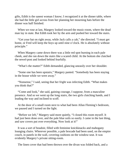gifts, Edith is the sanest woman I know; I recognized it at the dinner table, where she had the little girl across from her planning her mourning hats before the dinner was half finished.

When we rose at last, Margery looked toward the music-room, where the dead man lay in state. But Edith took her by the arm and pushed her toward the stairs.

"Get your hat on right away, while Jack calls a cab," she directed. "I must get home, or Fred will keep the boys up until nine o'clock. He is absolutely without principle."

When Margery came down there was a little red spot burning in each pale cheek, and she ran down the stairs like a scared child. At the bottom she clutched the newel-post and looked behind fearfully.

"What's the matter?" Edith demanded, glancing uneasily over her shoulder.

"Some one has been upstairs," Margery panted. "Somebody has been staying in the house while we were away."

"Nonsense," I said, seeing that her fright was infecting Edith. "What makes you think that?"

"Come and look," she said, gaining courage, I suppose, from a masculine presence. And so we went up the long stairs, the two girls clutching hands, and I leading the way and inclined to scoff.

At the door of a small room next to what had been Allan Fleming's bedroom, we paused and I turned on the light.

"Before we left," Margery said more quietly, "I closed this room myself. It had just been done over, and the pale blue soils so easily. I came in the last thing, and saw covers put over everything. Now look at it!"

It was a sort of boudoir, filled with feminine knickknacks and mahogany lounging chairs. Wherever possible, a pale brocade had been used, on the empire couch, in panels in the wall, covering cushions on the window-seat. It was evidently Margery's private sitting-room.

The linen cover that had been thrown over the divan was folded back, and a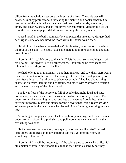pillow from the window-seat bore the imprint of a head. The table was still covered, knobby protuberances indicating the pictures and books beneath. On one corner of the table, where the cover had been pushed aside, was a cup, empty and clean-washed, and as if to prove her contention, Margery picked up from the floor a newspaper, dated Friday morning, the twenty-second.

A used towel in the bath-room near-by completed the inventory; Margery had been right; some one had used the room while the house was closed.

"Might it not have been your—father?" Edith asked, when we stood again at the foot of the stairs. "He could have come here to look for something, and lain down to rest."

"I don't think so," Margery said wanly. "I left the door so he could get in with his key, but—he always used his study coach. I don't think he ever spent five minutes in my sitting-room in his life."

We had to let it go at that finally. I put them in a cab, and saw them start away: then I went back into the house. I had arranged to sleep there and generally to look after things—as I said before. Whatever scruples I had had about taking charge of Margery Fleming and her affairs, had faded with Wardrop's defection and the new mystery of the blue boudoir.

The lower floor of the house was full of people that night, local and state politicians, newspaper men and the usual crowd of the morbidly curious. The undertaker took everything in hand, and late that evening I could hear them carrying in tropical plants and stands for the flowers that were already arriving. Whatever panoply the death scene had lacked, Allan Fleming was lying in state now.

At midnight things grew quiet. I sat in the library, reading, until then, when an undertaker's assistant in a pink shirt and polka-dot cravat came to tell me that everything was done.

"Is it customary for somebody to stay up, on occasions like this?" I asked. "Isn't there an impression that wandering cats may get into the room, or something of that sort?"

"I don't think it will be necessary, sir," he said, trying to conceal a smile. "It's all a matter of taste. Some people like to take their troubles hard. Since they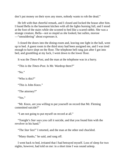don't put money on their eyes any more, nobody wants to rob the dead."

He left with that cheerful remark, and I closed and locked the house after him. I found Bella in the basement kitchen with all the lights burning full, and I stood at the foot of the stairs while she scooted to bed like a scared rabbit. She was a strange creature, Bella—not so stupid as she looked, but sullen, morose —"smouldering" about expresses it.

I closed the doors into the dining-room and, leaving one light in the hall, went up to bed. A guest room in the third story had been assigned me, and I was tired enough to have slept on the floor. The telephone bell rang just after I got into bed, and grumbling at my luck, I went down to the lower floor.

It was the *Times-Post*, and the man at the telephone was in a hurry.

"This is the *Times-Post*. Is Mr. Wardrop there?"

"No."

"Who is this?"

"This is John Knox."

"The attorney?"

"Yes."

"Mr. Knox, are you willing to put yourself on record that Mr. Fleming committed suicide?"

"I am not going to put myself on record at all."

"Tonight's *Star* says you call it suicide, and that you found him with the revolver in his hand."

"The *Star* lies!" I retorted, and the man at the other end chuckled.

"Many thanks," he said, and rang off.

I went back to bed, irritated that I had betrayed myself. Loss of sleep for two nights, however, had told on me: in a short time I was sound asleep.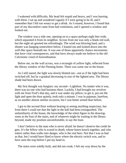I wakened with difficulty. My head felt stupid and heavy, and I was burning with thirst. I sat up and wondered vaguely if I were going to be ill, and I remember that I felt too weary to get a drink. As I roused, however, I found that part of my discomfort came from bad ventilation, and I opened a window and looked out.

The window was a side one, opening on to a space perhaps eight feet wide, which separated it from its neighbor. Across from me was only a blank red wall, but the night air greeted me refreshingly. The wind was blowing hard, and a shutter was banging somewhere below. I leaned out and looked down into the well-like space beneath me. It was one of those apparently chance movements that have vital consequences, and that have always made me believe in the old Calvinistic creed of foreordination.

Below me, on the wall across, was a rectangle of yellow light, reflected from the library window of the Fleming home. There was some one in the house.

As I still stared, the light was slowly blotted out—not as if the light had been switched off, but by a gradual decreasing in size of the lighted area. The library shade had been drawn.

My first thought was burglars: my second—Lightfoot. No matter who it was, there was no one who had business there. Luckily, I had brought my revolver with me from Fred's that day, and it was under my pillow; to get it, put out the light and open the door quietly, took only a minute. I was in pajamas, barefoot, as on another almost similar occasion, but I was better armed than before.

I got to the second floor without hearing or seeing anything suspicious, but from there I could see that the light in the hall had been extinguished. The unfamiliarity of the house, the knowledge of the silent figure in the drawingroom at the foot of the stairs, and of whatever might be waiting in the library beyond, made my position uncomfortable, to say the least.

I don't believe in the man who is never afraid: he doesn't deserve the credit he gets. It's the fellow who is scared to death, whose knees knock together, and who totters rather than walks into danger, who is the real hero. Not that I was as bad as that, but I would have liked to know where the electric switch was, and to have seen the trap before I put my head in.

The stairs were solidly built, and did not creak. I felt my way down by the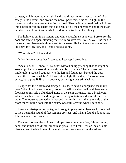baluster, which required my right hand, and threw my revolver to my left. I got safely to the bottom, and around the newel-post: there was still a light in the library; and the door was not entirely closed. Then, with my usual bad luck, I ran into a heap of folding chairs that had been left by the undertaker, and if the crash paralyzed me, I don't know what it did to the intruder in the library.

The light was out in an instant, and with concealment at an end, I broke for the door and threw it open, standing there with my revolver leveled. We—the man in the room, and I—were both in absolute darkness. He had the advantage of me. He knew my location, and I could not guess his.

"Who is here?" I demanded.

Only silence, except that I seemed to hear rapid breathing.

"Speak up, or I'll shoot!" I said, not without an ugly feeling that he might be —even probably was—taking careful aim by my voice. The darkness was intolerable: I reached cautiously to the left and found, just beyond the door frame, the electric switch. As I turned it the light flashed up. The room was empty, but a porti $\bigcirc$   $\bigcirc$  re in a doorway at my right was still shaking.

I leaped for the curtain and dragged it aside, to have a door just close in my face. When I had jerked it open, I found myself in a short hall, and there were footsteps to my left. I blundered along in the semi-darkness, into a black void which must have been the dining-room, for my out-stretched hand skirted the table. The footsteps seemed only beyond my reach, and at the other side of the room the swinging door into the pantry was still swaying when I caught it.

I made a misstep in the pantry, and brought up against a blank wall. It seemed to me I heard the sound of feet running up steps, and when I found a door at last, I threw it open and dashed in.

The next moment the solid earth slipped from under my feet, I threw out my hand, and it met a cold wall, smooth as glass. Then I fell—fell an incalculable distance, and the blackness of the night came over me and smothered me.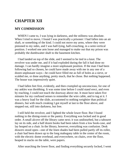# **CHAPTER XII**

#### **MY COMMISSION**

WHEN I came to, I was lying in darkness, and the stillness was absolute. When I tried to move, I found I was practically a prisoner: I had fallen into an air shaft, or something of the kind. I could not move my arms, where they were pinioned to my sides, and I was half-lying, half-crouching, in a semi-vertical position. I worked one arm loose and managed to make out that my prison was probably the dumbwaiter shaft to the basement kitchen.

I had landed on top of the slide, and I seemed to be tied in a knot. The revolver was under me, and if it had exploded during the fall it had done no damage. I can hardly imagine a more unpleasant position. If the man I had been following had so chosen, he could have made away with me in any one of a dozen unpleasant ways—he could have filled me as full of holes as a sieve, or scalded me, or done anything, pretty much, that he chose. But nothing happened. The house was impressively quiet.

I had fallen feet first, evidently, and then crumpled up unconscious, for one of my ankles was throbbing. It was some time before I could stand erect, and even by reaching, I could not touch the doorway above me. It must have taken five minutes for my confused senses to remember the wire cable, and to tug at it. I was a heavy load for the slide, accustomed to nothing weightier than political dinners, but with much creaking I got myself at last to the floor above, and stepped out, still into darkness, but free.

I still held the revolver, and I lighted the whole lower floor. But I found nothing in the dining-room or the pantry. Everything was locked and in good order. A small alcove off the library came next; it was undisturbed, but a tabouret lay on its side, and a half dozen books had been taken from a low book-case, and lay heaped on a chair. In the library, however, everything was confusion. Desk drawers stood open—one of the linen shades had been pulled partly off its roller, a chair had been drawn up to the long mahogany table in the center of the room, with the electric dome overhead, and everywhere, on chairs, over the floor, heaped in stacks on the table, were papers.

After searching the lower floor, and finding everything securely locked, I went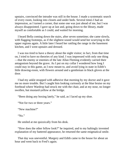upstairs, convinced the intruder was still in the house. I made a systematic search of every room, looking into closets and under beds. Several times I had an impression, as I turned a corner, that some one was just ahead of me, but I was always disappointed. I gave up at last and, going down to the library, made myself as comfortable as I could, and waited for morning.

I heard Bella coming down the stairs, after seven sometime; she came slowly, with flagging footsteps, as if the slightest sound would send her scurrying to the upper regions again. A little later I heard her rattling the range in the basement kitchen, and I went upstairs and dressed.

I was too tired to have a theory about the night visitor; in fact, from that time on, I tried to have no theories of any kind. I was impressed with only one thing —that the enemy or enemies of the late Allan Fleming evidently carried their antagonism beyond the grave. As I put on my collar I wondered how long I could stay in this game, as I now meant to, and avoid lying in state in Edith's little drawing-room, with flowers around and a gentleman in black gloves at the door.

I had my ankle strapped with adhesive that morning by my doctor and it gave me no more trouble. But I caught him looking curiously at the blue bruise on my forehead where Wardrop had struck me with the chair, and at my nose, no longer swollen, but mustard-yellow at the bridge.

"Been doing any boxing lately," he said, as I laced up my shoe.

"Not for two or three years."

"New machine?"

"No."

He smiled at me quizzically from his desk.

"How does the other fellow look?" he inquired, and to my haltingly invented explanation of my battered appearance, he returned the same enigmatical smile.

That day was uneventful. Margery and Edith came to the house for about an hour and went back to Fred's again.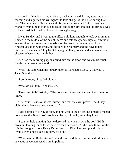A cousin of the dead man, an elderly bachelor named Parker, appeared that morning and signified his willingness to take charge of the house during that day. The very hush of his voice and his black tie prompted Edith to remove Margery from him as soon as she could, and as the girl dreaded the curious eyes of the crowd that filled the house, she was glad to go.

It was Sunday, and I went to the office only long enough to look over my mail. I dined in the middle of the day at Fred's and felt heavy and stupid all afternoon as a result of thus reversing the habits of the week. In the afternoon I had my first conversation with Fred and Edith, while Margery and the boys talked quietly in the nursery. They had taken a great fancy to her, and she was almost cheerful when she was with them.

Fred had the morning papers around him on the floor, and was in his usual Sunday argumentative mood.

"Well," he said, when the nursery door upstairs had closed, "what was it, Jack? Suicide?"

"I don't know," I replied bluntly.

"What do you think?" he insisted.

"How can I tell?" irritably. "The police say it was suicide, and they ought to know."

"The *Times-Post* says it was murder, and that they will prove it. And they claim the police have been called off."

I said nothing of Mr. Lightfoot, and his visit to the office, but I made a mental note to see the *Times-Post* people and learn, if I could, what they knew.

"I can not help thinking that he deserved very nearly what he got," Edith broke in, looking much less vindictive than her words. "When one thinks of the ruin he brought to poor Henry Butler, and that Ellen has been practically an invalid ever since, I can't be sorry for him."

"What was the Butler story?" I asked. But Fred did not know, and Edith was as vague as women usually are in politics.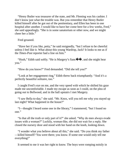"Henry Butler was treasurer of the state, and Mr. Fleming was his cashier. I don't know just what the trouble was. But you remember that Henry Butler killed himself after he got out of the penitentiary, and Ellen has been in one hospital after another. I would like to have her come here for a few weeks, Fred," she said appealingly. "She is in some sanatorium or other now, and we might cheer her a little."

Fred groaned.

"Have her if you like, petty," he said resignedly, "but I refuse to be cheerful unless I feel like it. What about this young Wardrop, Jack? It looks to me as if the *Times-Post* reporter had a line on him."

"Hush," Edith said softly. "He is Margery's fianc $\hat{\bullet} \hat{\bullet}$ , and she might hear you."

"How do you know?" Fred demanded. "Did she tell you?"

"Look at her engagement ring," Edith threw back triumphantly. "And it's a perfectly beautiful solitaire, too."

I caught Fred's eye on me, and the very speed with which he shifted his gaze made me uncomfortable. I made my escape as soon as I could, on the plea of going out to Bellwood, and in the hall upstairs I met Margery.

"I saw Bella to-day," she said. "Mr. Knox, will you tell me why you stayed up last night? What happened in the house?"

"I—thought I heard some one in the library," I stammered, "but I found no one."

"Is that all the truth or only part of it?" she asked. "Why do men always evade issues with a woman?" Luckily, woman-like, she did not wait for a reply. She closed the nursery door and stood with her hand on the knob, looking down.

"I wonder what you believe about all this," she said. "Do you think my father —killed himself? You were there; you know. If some one would only tell me everything!"

It seemed to me it was her right to know. The boys were romping noisily in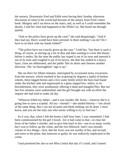the nursery. Downstairs Fred and Edith were having their Sunday afternoon discussion of what in the world had become of the money from Fred's latest book. Margery and I sat down on the stairs, and, as well as I could remember the details, I told her what had happened at the White Cat. She heard me through quietly.

"And so the police have given up the case!" she said despairingly. "And if they had not, Harry would have been arrested. Is there nothing I can do? Do I have to sit back with my hands folded?"

"The police have not exactly given up the case," I told her, "but there is such a thing, of course, as stirring up a lot of dust and then running to cover like blazes before it settles. By the time the public has wiped it out of its eyes and sneezed it out of its nose and coughed it out of its larynx, the dust has settled in a heavy layer, clues are obliterated, and the public lifts its skirts and chooses another direction. The 'no thoroughfare' sign is up."

She sat there for fifteen minutes, interrupted by occasional noisy excursions from the nursery, which resulted in her acquiring by degrees a lapful of broken wheels, three-legged horses and a live water beetle which the boys had found under the kitchen sink and imprisoned in a glass topped box, where, to its bewilderment, they were assiduously offering it dead and mangled flies. But our last five minutes were undisturbed, and the girl brought out with an effort the request she had tried to make all day.

"Whoever killed my father—and it was murder, Mr. Knox—whoever did it is going free to save a scandal. All my—friends"—she smiled bitterly—"are afraid of the same thing. But I can not sit quiet and think nothing can be done. I *must* know, and you are the only one who seems willing to try to find out."

So it was, that, when I left the house a half hour later, I was committed. I had been commissioned by the girl I loved—for it had come to that—to clear her lover of her father's murder, and so give him back to her—not in so many words, but I was to follow up the crime, and the rest followed. And I was morally certain of two things—first, that her lover was not worthy of her, and second, and more to the point, that innocent or guilty, he was indirectly implicated in the crime.

I had promised her also to see Miss Letitia that day if I could, and I turned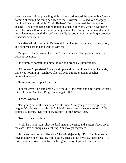over the events of the preceding night as I walked toward the station, but I made nothing of them. One thing occurred to me, however. Bella had told Margery that I had been up all night. Could Bella—? But I dismissed the thought as absurd—Bella, who had scuttled to bed in a panic of fright, would never have dared the lower floor alone, and Bella, given all the courage in the world, could never have moved with the swiftness and light certainty of my midnight prowler. It had not been Bella.

But after all I did not go to Bellwood. I met Hunter on my way to the station, and he turned around and walked with me.

"So you've lain down on the case!" I said, when we had gone a few steps without speaking.

He grumbled something unintelligible and probably unrepeatable.

"Of course," I persisted, "being a simple and uncomplicated case of suicide, there was nothing in it anyhow. If it had been a murder, under peculiar circumstances—"

He stopped and gripped my arm.

"For ten cents," he said gravely, "I would tell the chief and a few others what I think of them. And then I'd go out and get full."

"Not on ten cents!"

"I'm going out of the business," he stormed. "I'm going to drive a garbage wagon: it's cleaner than this job. Suicide! I never saw a cleaner case of—" He stopped suddenly. "Do you know Burton—of the *Times-Post*?"

"No: I've heard of him."

"Well, he's your man. They're dead against the ring, and Burton's been given the case. He's as sharp as a steel trap. You two get together."

He paused at a corner. "Good-by," he said dejectedly. "I'm off to hunt some boys that have been stealing milk bottles. That's about my size, these days." He turned around, however, before he had gone many steps and came back.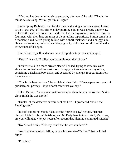"Wardrop has been missing since yesterday afternoon," he said. "That is, he thinks he's missing. We've got him all right."

I gave up my Bellwood visit for the time, and taking a car downtown, I went to the *Times-Post* office. The Monday morning edition was already under way, as far as the staff was concerned, and from the waiting-room I could see three or four men, with their hats on, most of them rattling typewriters. Burton came in in a moment, a red-haired young fellow, with a short thick nose and a muggy skin. He was rather stocky in build, and the pugnacity of his features did not hide the shrewdness of his eyes.

I introduced myself, and at my name his perfunctory manner changed.

"Knox!" he said. "I called you last night over the 'phone."

"Can't we talk in a more private place?" I asked, trying to raise my voice above the confusion of the next room. In reply he took me into a tiny office, containing a desk and two chairs, and separated by an eight-foot partition from the other room.

"This is the best we have," he explained cheerfully. "Newspapers are agents of publicity, not privacy—if you don't care what you say."

I liked Burton. There was something genuine about him; after Wardrop's kidglove finish, he was a relief.

"Hunter, of the detective bureau, sent me here," I proceeded, "about the Fleming case."

He took out his notebook. "You are the fourth to-day," he said. "Hunter himself, Lightfoot from Plattsburg, and McFeely here in town. Well, Mr. Knox, are you willing now to put yourself on record that Fleming committed suicide?"

"No," I said firmly. "It is my belief that he was murdered."

"And that the secretary fellow, what's his name?—Wardrop? that he killed him?"

"Possibly."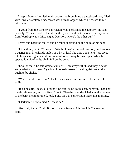In reply Burton fumbled in his pocket and brought up a pasteboard box, filled with jeweler's cotton. Underneath was a small object, which he passed to me with care.

"I got it from the coroner's physician, who performed the autopsy," he said casually. "You will notice that it is a thirty-two, and that the revolver they took from Wardrop was a thirty-eight. Question, where's the other gun?"

I gave him back the bullet, and he rolled it around on the palm of his hand.

"Little thing, isn't it?" he said. "We think we're lords of creation, until we see a quarter-inch bi-chloride tablet, or a bit of lead like this. Look here." He dived into his pocket again and drew out a roll of ordinary brown paper. When he opened it a bit of white chalk fell on the desk.

"Look at that," he said dramatically. "Kill an army with it, and they'd never know what struck them. Cyanide of potassium—and the druggist that sold it ought to be choked."

"Where did it come from?" I asked curiously. Burton smiled his cheerful smile.

"It's a beautiful case, all around," he said, as he got his hat. "I haven't had any Sunday dinner yet, and it's five o'clock. Oh—the cyanide? Clarkson, the cashier of the bank Fleming ruined, took a bite off that corner right there, this morning."

"Clarkson!" I exclaimed. "How is he?"

"God only knows," said Burton gravely, from which I took it Clarkson was dead.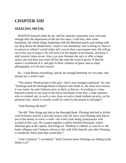## **CHAPTER XIII**

### **SIZZLING METAL**

BURTON listened while he ate, and his cheerful comments were welcome enough after the depression of the last few days. I told him, after some hesitation, the whole thing, beginning with the Maitland pearls and ending with my drop down the dumbwaiter. I knew I was absolutely safe in doing so: there is no person to whom I would rather tell a secret than a newspaper man. He will go out of his way to keep it: he will lock it in the depths of his bosom, and keep it until seventy times seven. Also, you may threaten the rack or offer a larger salary, the seal does not come off his lips until the word is given. If then he makes a scarehead of it, and gets in three columns of space and as many photographs, it is his just reward.

So—I told Burton everything, and he ate enough beefsteak for two men, and missed not a word I said.

"The money Wardrop had in the grip—that's easy enough explained," he said. "Fleming used the Borough Bank to deposit state funds in. He must have known it was rotten: he and Clarkson were as thick as thieves. According to a timehonored custom in our land of the brave and home of the free, a state treasurer who is crooked can, in such a case, draw on such a bank without security, on his personal note, which is usually worth its value by the pound as old paper."

"And Fleming did that?"

"He did. Then things got bad at the Borough Bank. Fleming had had to divide with Schwartz and the Lord only knows who all, but it was Fleming who had to put in the money to avert a crash—the word crash being synonymous with scandal in this case. He scrapes together a paltry hundred thousand, which Wardrop gets at the capital, and brings on. Wardrop is robbed, or says he is: the bank collapses and Clarkson, driven to the wall, kills himself, just after Fleming is murdered. What does that sound like?"

"Like Clarkson!" I exclaimed. "And Clarkson knew Fleming was hiding at the White Cat!"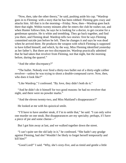"Now, then, take the other theory," he said, pushing aside his cup. "Wardrop goes in to Fleming: with a story that he has been robbed: Fleming gets crazy and attacks him. All that is in the morning—Friday. Now, then—Wardrop goes back there that night. Within twenty minutes after he enters the club he rushes out, and when Hunter follows him, he says he is looking for a doctor, to get cocaine for a gentleman upstairs. He is white and trembling. They go back together, and find you there, and Fleming dead. Wardrop tells two stories: first he says Fleming committed suicide just before he left. Then he changes it and says he was dead when he arrived there. He produces the weapon with which Fleming is supposed to have killed himself, and which, by the way, Miss Fleming identified yesterday as her father's. But there are two discrepancies. Wardrop practically admitted that he had taken that revolver from Fleming, not that night, but the morning before, during the quarrel."

"And the other discrepancy?"

"The bullet. Nobody ever fired a thirty-two bullet out of a thirty-eight caliber revolver—unless he was trying to shoot a double-compound curve. Now, then, who does it look like?"

"Like Wardrop," I confessed. "By Jove, they didn't both do it."

"And he didn't do it himself for two good reasons: he had no revolver that night, and there were no powder marks."

"And the eleven twenty-two, and Miss Maitland's disappearance?"

He looked at me with his quizzical smile.

"I'll have to have another steak, if I'm to settle that," he said. "I can only solve one murder on one steak. But disappearances are my specialty; perhaps, if I have a piece of pie and some cheese—"

But I got him away at last, and we walked together down the street.

"I can't quite see the old lady in it," he confessed. "She hadn't any grudge against Fleming, had she? Wouldn't be likely to forget herself temporarily and kill him?"

"Good Lord!" I said. "Why, she's sixty-five, and as timid and gentle a little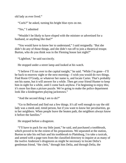old lady as ever lived."

"Curls?" he asked, turning his bright blue eyes on me.

"Yes," I admitted

"Wouldn't be likely to have eloped with the minister or advertised for a husband, or anything like that?"

"You would have to know her to understand," I said resignedly. "But she didn't do any of those things, and she didn't run off to join a theatrical troupe. Burton, who do you think was in the Fleming house last night?"

"Lightfoot," he said succinctly.

He stopped under a street lamp and looked at his watch.

"I believe I'll run over to the capital tonight," he said. "While I'm gone—I'll be back to-morrow night or the next morning—I wish you would do two things. Find Rosie O'Grady, or whatever her name is, and locate Carter. That's probably not his name, but it will answer for a while. Then get your friend Hunter to keep him in sight for a while, until I come back anyhow. I'm beginning to enjoy this; it's more fun than a picture puzzle. We're going to make the police department look like a kindergarten playing jackstraws."

"And the second thing I am to do?"

"Go to Bellwood and find out a few things. It's all well enough to say the old lady was a meek and, timid person, but if you want to know her peculiarities, go to her neighbors. When people leave the beaten path, the neighbors always know it before the families."

He stopped before a drugstore.

"I'll have to pack for my little jaunt," he said, and purchased a toothbrush, which proved to be the extent of his preparations. We separated at the station, Burton to take his red hair and his toothbrush to Plattsburg, I to take a taxicab, and armed with a page torn from the classified directory to inquire at as many of the twelve Anderson's drugstores as might be necessary to locate Delia's gentleman friend, "the clerk," through him Delia, and through Delia, the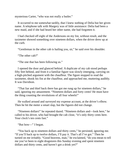mysterious Carter, "who was not really a butler."

It occurred to me somewhat tardily, that I knew nothing of Delia but her given name. A telephone talk with Margery was of little assistance: Delia had been a new maid, and if she had heard her other name, she had forgotten it.

I had checked off eight of the Andersons on my list, without result, and the taximeter showed something over nineteen dollars, when the driver drew up at the curb.

"Gentleman in the other cab is hailing you, sir," he said over his shoulder.

"The other cab?"

"The one that has been following us."

I opened the door and glanced behind. A duplicate of my cab stood perhaps fifty feet behind, and from it a familiar figure was slowly emerging, carrying on a high-pitched argument with the chauffeur. The figure stopped to read the taximeter, shook his fist at the chauffeur, and approached me, muttering audibly. It was Davidson.

"That liar and thief back there has got me rung up for nineteen dollars," he said, ignoring my amazement. "Nineteen dollars and forty cents! He must have the thing counting the revolutions of all four wheels!"

He walked around and surveyed my expense account, at the driver's elbow. Then he hit the meter a smart slap, but the figures did not change.

"Nineteen dollars!" he repeated dazed. "Nineteen dollars and—look here," he called to his driver, who had brought the cab close, "it's only thirty cents here. Your clock's ten cents fast."

"But how—" I began.

"You back up to nineteen dollars and thirty cents," he persisted, ignoring me. "If you'll back up to twelve dollars, I'll pay it. That's all I've got." Then he turned on me irritably. "Good heavens, man," he exclaimed, "do you mean to tell me you've been to eight drugstores this Sunday evening and spent nineteen dollars and thirty cents, and haven't got a drink yet?"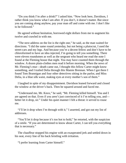"Do you think I'm after a drink?" I asked him. "Now look here, Davidson, I rather think you know what I am after. If you don't, it doesn't matter. But since you are coming along anyhow, pay your man off and come with me. I don't like to be followed."

He agreed without hesitation, borrowed eight dollars from me to augment his twelve and crawled in with me.

"The next address on the list is the right one," he said, as the man waited for directions. "I did the same round yesterday, but not being a plutocrat, I used the street-cars and my legs. And because you're a decent fellow and don't have to be chloroformed to have an idea injected, I'm going to tell you something. There were eleven roundsmen as well as the sergeant who heard me read the note I found at the Fleming house that night. You may have counted them through the window. A dozen plain-clothes men read it before morning. When the news of Mr. Fleming's mur—death came out, I thought this fellow Carter might know something, and I trailed Delia through this Mamie Brennan. When I got there I found Tom Brannigan and four other detectives sitting in the parlor, and Miss Delia, in a blue silk waist, making eyes at every mother's son of them."

I laughed in spite of my disappointment. Davidson leaned forward and closed the window at the driver's back. Then he squared around and faced me.

"Understand me, Mr. Knox," he said, "Mr. Fleming killed himself. You and I are agreed on that. Even if you aren't just convinced of it I'm telling you, and better let it drop, sir." Under his quiet manner I felt a threat: it served to rouse me.

"I'll let it drop when I'm through with it," I asserted, and got out my list of addresses.

"You'll let it drop because it's too hot to hold," he retorted, with the suspicion of a smile. "If you are determined to know about Carter, I can tell you everything that is necessary."

The chauffeur stopped his engine with an exasperated jerk and settled down in his seat, every line of his back bristling with irritation.

"I prefer learning from Carter himself."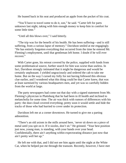He leaned back in his seat and produced an apple from the pocket of his coat.

"You'll have to travel some to do it, son," he said. "Carter left for parts unknown last night, taking with him enough money to keep him in comfort for some little time."

"Until all this blows over," I said bitterly.

"The trip was for the benefit of his health. He has been suffering—and is still suffering, from a curious lapse of memory." Davidson smiled at me engagingly. "He has entirely forgotten everything that occurred from the time he entered Mr. Fleming's employment, until that gentleman left home. I doubt if he will ever recover."

With Carter gone, his retreat covered by the police, supplied with funds from some problematical source, further search for him was worse than useless. In fact, Davidson strongly intimated that it might be dangerous and would be certainly unpleasant. I yielded ungraciously and ordered the cab to take me home. But on the way I cursed my folly for not having followed this obvious clue earlier, and I wondered what this thing could be that Carter knew, that was at least surmised by various headquarters men, and yet was so carefully hidden from the world at large.

The party newspapers had come out that day with a signed statement from Mr. Fleming's physician in Plattsburg that he had been in ill health and inclined to melancholia for some time. The air was thick with rumors of differences with his party: the dust cloud covered everything; pretty soon it would settle and hide the tracks of those who had hurried to cover under its protection.

Davidson left me at a corner downtown. He turned to give me a parting admonition.

"There's an old axiom in the mills around here, 'never sit down on a piece of metal until you spit on it. If it sizzles, don't sit." He grinned. "Your best position just now, young man, is standing, with your hands over your head. Confidentially, there ain't anything within expectorating distance just now that ain't pretty well het up."

He left me with that, and I did not see him again until the night at the White Cat, when he helped put me through the transom. Recently, however, I have met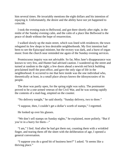him several times. He invariably mentions the eight dollars and his intention of repaying it. Unfortunately, the desire and the ability have not yet happened to coincide.

I took the evening train to Bellwood, and got there shortly after eight, in the midst of the Sunday evening calm, and the calm of a place like Bellwood is the peace of death without the hope of resurrection.

I walked slowly up the main street, which was lined with residences; the town relegated its few shops to less desirable neighborhoods. My first intention had been to see the Episcopal minister, but the rectory was dark, and a burst of organ music from the church near reminded me again of the Sunday evening services.

Promiscuous inquiry was not advisable. So far, Miss Jane's disappearance was known to very few, and Hunter had advised caution. I wandered up the street and turned at random to the right; a few doors ahead a newish red brick building proclaimed itself the post-office, and gave the only sign of life in the neighborhood. It occurred to me that here inside was the one individual who, theoretically at least, in a small place always knows the idiosyncrasies of its people.

The door was partly open, for the spring night was sultry. The postmaster proved to be a one-armed veteran of the Civil War, and he was sorting rapidly the contents of a mail-bag, emptied on the counter.

"No delivery tonight," he said shortly. "Sunday delivery, two to three."

"I suppose, then, I couldn't get a dollar's worth of stamps," I regretted.

He looked up over his glasses.

"We don't sell stamps on Sunday nights," he explained, more politely. "But if you're in a hurry for them—"

"I am," I lied. And after he had got them out, counting them with a wrinkled finger, and tearing them off the sheet with the deliberation of age, I opened a general conversation.

"I suppose you do a good bit of business here?" I asked. "It seems like a thriving place."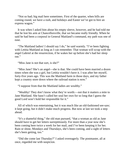"Not so bad; big mail here sometimes. First of the quarter, when bills are coming round, we have a rush, and holidays and Easter we've got to hire an express wagon."

It was when I asked him about his empty sleeve, however, and he had told me that he lost his arm at Chancellorsville, that we became really friendly. When he said he had been a corporal in General Maitland's command, my path was one of ease.

"The Maitland ladies! I should say I do," he said warmly. "I've been fighting with Letitia Maitland as long as I can remember. That woman will scrap with the angel Gabriel at the resurrection, if he wakes her up before she's had her sleep out."

"Miss Jane is not that sort, is she?"

"Miss Jane? She's an angel—she is that. She could have been married a dozen times when she was a girl, but Letitia wouldn't have it. I was after her myself, forty-five years ago. This was the Maitland farm in those days, and my father kept a country store down where the railroad station is now."

"I suppose from that the Maitland ladies are wealthy."

"Wealthy! They don't know what they're worth:—not that it matters a mite to Jane Maitland. She hasn't called her soul her own for so long that I guess the good Lord won't hold her responsible for it."

All of which was entertaining, but it was much like an old-fashioned see-saw; it kept going, but it didn't make much progress. But now at last we took a step ahead.

"It's a shameful thing," the old man pursued, "that a woman as old as Jane should have to get her letters surreptitiously. For more than a year now she's been coming here twice a week for her mail, and I've been keeping it for her. Rain or shine, Mondays and Thursdays, she's been coming, and a sight of letters she's been getting, too."

"Did she come last Thursday?" I asked overeagerly. The postmaster, all at once, regarded me with suspicion.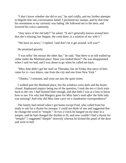"I don't know whether she did or not," he said coldly, and my further attempts to beguile him into conversation failed. I pocketed my stamps, and by that time his resentment at my curiosity was fading. He followed me to the door, and lowered his voice cautiously.

"Any news of the old lady?" he asked. "It ain't generally known around here that she's missing, but Heppie, the cook there, is a relation of my wife's."

"We have no news," I replied, "and don't let it get around, will you?"

He promised gravely.

"I was tellin' the missus the other day," he said, "that there is an old walled-up cellar under the Maitland place. Have you looked there?" He was disappointed when I said we had, and I was about to go when he called me back.

"Miss Jane didn't get her mail on Thursday, but on Friday that niece of hers came for it—two letters, one from the city and one from New York."

"Thanks," I returned, and went out into the quiet street.

I walked past the Maitland place, but the windows were dark and the house closed. Haphazard inquiry being out of the question, I took the ten o'clock train back to the city. I had learned little enough, and that little I was at a loss to know how to use. For why had Margery gone for Miss Jane's mail *after* the little lady was missing? And why did Miss Jane carry on a clandestine correspondence?

The family had retired when I got home except Fred, who called from his study to ask for a rhyme for mosque. I could not think of one and suggested that he change the word to "temple." At two o'clock he banged on my door in a temper, said he had changed the rhythm to fit, and now couldn't find a rhyme for "temple!" I suggested "dimple" drowsily whereat he kicked the panel of the door and went to bed.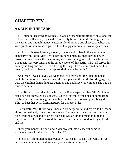### **CHAPTER XIV**

### **A wALK IN THE PARK**

THE funeral occurred on Monday. It was an ostentatious affair, with a long list of honorary pallbearers, a picked corps of city firemen in uniform ranged around the casket, and enough money wasted in floral pillows and sheaves of wheat tied with purple ribbon, to have given all the hungry children in town a square meal.

Amid all this state Margery moved, stricken and isolated. She went to the cemetery with Edith, Miss Letitia having sent a message that, having never broken her neck to see the man living, she wasn't going to do it to see him dead. The music was very fine, and the eulogy spoke of this patriot who had served his country so long and so well. "Following the flag," Fred commented under his breath, "as long as there was an appropriation attached to it."

And when it was all over, we went back to Fred's until the Fleming house could be put into order again. It was the best place in the world for Margery, for, with the children demanding her attention and applause every minute, she had no time to be blue.

Mrs. Butler arrived that day, which made Fred suspicious that Edith's plan to bring her, far antedated his consent. But she was there when he got home from the funeral, and after one glimpse at her thin face and hollow eyes, I begged Edith to keep her away from Margery, for that day at least.

Fortunately, Mrs. Butler was exhausted by her journey, and retired to her room almost immediately. I watched her slender figure go up the stairs, and, with her black trailing gown and colorless face, she was an embodiment of all that is lonely and helpless. Fred closed the door behind her and stood looking at Edith and me.

"I tell you, honey," he declared, "*that* brought into a cheerful home is sufficient cause for divorce. Isn't it, Jack?"

"She is ill," Edith maintained valiantly. "She is my cousin, too, which gives her some claim on me, and my guest, which gives her more."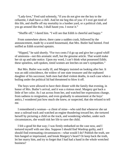"Lady-love," Fred said solemnly, "if you do not give me the key to the cellarette, I shall have a chill. And let me beg this of you: if I ever get tired of this life, and shuffle off my mortality in a lumber yard, or a political club, and you go around like that, I shall haunt you. I swear it."

"Shuffle off," I dared him. "I will see that Edith is cheerful and happy."

From somewhere above, there came a sudden crash, followed by the announcement, made by a scared housemaid, that Mrs. Butler had fainted. Fred sniffed as Edith scurried upstairs.

"Hipped," he said shortly. "For two cents I'd go up and give her a good whiff of ammonia—not this aromatic stuff, but the genuine article. That would make her sit up and take notice. Upon my word, I can't think what possessed Edith; these spineless, soft-spoken, timid women are leeches on one's sympathies."

But Mrs. Butler was really ill, and Margery insisted on looking after her. It was an odd coincidence, the widow of one state treasurer and the orphaned daughter of his successor; both men had died violent deaths, in each case when a boiling under the political lid had threatened to blow it off.

The boys were allowed to have their dinner with the family that evening, in honor of Mrs. Butler's arrival, and it was a riotous meal. Margery got back a little of her color. As I sat across from her, and watched her expressions change, from sadness to resignation, and even gradually to amusement at the boys' antics, I wondered just how much she knew, or suspected, that she refused to tell me.

I remembered a woman—a client of mine—who said that whenever she sat near a railroad track and watched an engine thundering toward her, she tortured herself by picturing a child on the track, and wondering whether, under such circumstances, she would risk her life to save the child.

I felt a good bit that way; I was firmly embarked on the case now, and I tortured myself with one idea. Suppose I should find Wardrop guilty, and I should find extenuating circumstances—what would I do? Publish the truth, see him hanged or imprisoned, and break Margery's heart? Or keep back the truth, let her marry him, and try to forget that I had had a hand in the whole wretched business?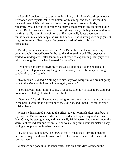After all, I decided to try to stop my imaginary train. Prove Wardrop innocent, I reasoned with myself, get to the bottom of this thing, and then—it would be man and man. A fair field and no favor. I suppose my proper attitude, romantically taken, was to consider Margery's engagement ring an indissoluble barrier. But this was not romance; I was fighting for my life happiness, and as to the ring—well, I am of the opinion that if a man really loves a woman, and thinks he can make her happy, he will tell her so if she is strung with engagement rings to the ends of her fingers. Dangerous doctrine? Well, this is not propaganda.

Tuesday found us all more normal. Mrs. Butler had slept some, and very commendably allowed herself to be tea'd and toasted in bed. The boys were started to kindergarten, after ten minutes of frenzied cap hunting. Margery went with me along the hall when I started for the office.

"You have not learned anything?" she asked cautiously, glancing back to Edith, at the telephone calling the grocer frantically for the Monday morning supply of soap and starch.

"Not much," I evaded. "Nothing definite, anyhow. Margery, you are not going back to the Monmouth Avenue house again, are you?"

"Not just yet; I don't think I could. I suppose, later, it will have to be sold, but not at once. I shall go to Aunt Letitia's first."

"Very well," I said. "Then you are going to take a walk with me this afternoon in the park. I won't take no; you need the exercise, and I need—to talk to you," I finished lamely.

When she had agreed I went to the office. It was not much after nine, but, to my surprise, Burton was already there. He had struck up an acquaintance with Miss Grant, the stenographer, and that usually frigid person had melted under the warmth of his red hair and his smile. She was telling him about her sister's baby having whooping-cough, when I went in.

"I wish I had studied law," he threw at me. "'What shall it profit a man to become a lawyer and lose his own soul?' as the psalmist says. I like this ten-tofour business."

When we had gone into the inner office, and shut out Miss Grant and the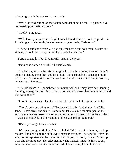whooping-cough, he was serious instantly.

"Well," he said, sitting on the radiator and dangling his foot, "I guess we've got Wardrop for theft, anyhow."

"Theft?" I inquired.

"Well, larceny, if you prefer legal terms. I found where he sold the pearls—in Plattsburg, to a wholesale jeweler named, suggestively, Cashdollar."

"Then," I said conclusively, "if he took the pearls and sold them, as sure as I sit here, he took the money out of that Russia leather bag."

Burton swung his foot rhythmically against the pipes.

"I'm not so darned sure of it," he said calmly.

If he had any reason, he refused to give it. I told him, in my turn, of Carter's escape, aided by the police, and he smiled. "For a suicide it's causing a lot of excitement," he remarked. When I told him the little incident of the post-office, he was much interested.

"The old lady's in it, somehow," he maintained. "She may have been lending Fleming money, for one thing. How do you know it wasn't her hundred thousand that was stolen?"

"I don't think she ever had the uncontrolled disposal of a dollar in her life."

"There's only one thing to do," Burton said finally, "and that is, find Miss Jane. If she's alive, she can tell something. I'll stake my fountain pen on that and it's my dearest possession on earth, next to my mother. If Miss Jane is dead —well, somebody killed her; and it's time it was being found out."

"It's easy enough to say find her."

"It's easy enough to find her;" he exploded. "Make a noise about it; send up rockets. Put a half-column ad in every paper in town, or—better still—give the story to the reporters and let them find her for you. I'd do it, if I wasn't tied up with this Fleming case. Describe her, how she walked, what she liked to eat, what she wore—in this case what she didn't wear. Lord, I wish I had that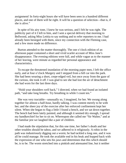assignment! In forty-eight hours she will have been seen in a hundred different places, and one of them will be right. It will be a question of selection—that is, if she is alive."

In spite of his airy tone, I knew he was serious, and I felt he was right. The publicity part of it I left to him, and I sent a special delivery that morning to Bellwood, asking Miss Letitia to say nothing and to refer reporters to me. I had already been besieged with them, since my connection with the Fleming case, and a few more made no difference.

Burton attended to the matter thoroughly. The one o'clock edition of an afternoon paper contained a short and vivid scarlet account of Miss Jane's disappearance. The evening editions were full, and while vague as to the manner of her leaving, were minute as regarded her personal appearance and characteristics.

To escape the threatened inundation of the morning paper men, I left the office early, and at four o'clock Margery and I stepped from a hill car into the park. She had been wearing a short, crepe-edged veil, but once away from the gaze of the curious, she took it off. I was glad to see she had lost the air of detachment she had worn for the last three days.

"Hold your shoulders well back," I directed, when we had found an isolated path, "and take long breaths. Try breathing in while I count ten."

She was very tractable—unusually so, I imagined, for her. We swung along together for almost a half-hour, hardly talking. I was content merely to be with her; and the sheer joy of the exercise after her enforced confinement kept her silent. When she began to flag a little I found a bench, and we sat down together. The bench had been lately painted, and although it seemed dry enough, I spread my handkerchief for her to sit on. Whereupon she called me "Sir Walter," and at the familiar jest we laughed like a pair of children.

I had made the stipulation that, for this one time, her father's death and her other troubles should be taboo, and we adhered to it religiously. A robin in the path was industriously digging out a worm; he had tackled a long one, and it was all he could manage. He took the available end in his beak and hopped back with the expression of one who sets his jaws and determines that this which should be, is to be. The worm stretched into a pinkish and attenuated line, but it neither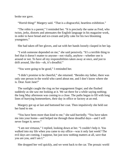broke nor gave.

"Horrid thing!" Margery said. "That is a disgraceful, heartless exhibition."

"The robin is a parent," I reminded her. "It is precisely the same as Fred, who twists, jerks, distorts and attenuates the English language in his magazine work, in order to have bread and ice-cream and jelly cake for his two blooming youngsters."

She had taken off her gloves, and sat with her hands loosely clasped in her lap.

"I wish someone depended on me," she said pensively. "It's a terrible thing to feel that it doesn't matter to anyone—not vitally, anyhow—whether one is around or not. To have all my responsibilities taken away at once, and just to drift around, like this—oh, it's dreadful."

"You were going to be good," I reminded her.

"I didn't promise to be cheerful," she returned. "Besides my father, there was only one person in the world who cared about me, and I don't know where she is. Dear Aunt Jane!"

The sunlight caught the ring on her engagement finger; and she flushed suddenly as she saw me looking at it. We sat there for a while saying nothing; the long May afternoon was coming to a close. The paths began to fill with long lines of hurrying homeseekers, their day in office or factory at an end.

Margery got up at last and buttoned her coat. Then impulsively she held out her hand to me.

"You have been more than kind to me," she said hurriedly. "You have taken me into your home—and helped me through these dreadful days—and I will never forget it; never."

"I am not virtuous," I replied, looking down at her. "I couldn't help it. You walked into my life when you came to my office—was it only last week? The evil days are coming, I suppose, but just now nothing matters at all, save that you are you, and I am I."

She dropped her veil quickly, and we went back to the car. The prosaic world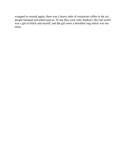wrapped us around again; there was a heavy odor of restaurant coffee in the air; people bumped and jolted past us. To me they were only shadows; the real world was a girl in black and myself, and the girl wore a betrothal ring which was not mine.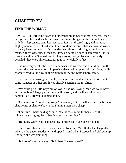# **CHAPTER XV**

#### **FIND THE WOMAN**

MRS. BUTLER came down to dinner that night. She was more cheerful than I had yet seen her; and she had changed her mournful garments to something a trifle less depressing. With her masses of fair hair dressed high, and her face slightly animated, I realized what I had not done before—that she was the wreck of a very beautiful woman. Frail as she was, almost shrinkingly timid in her manner; there were times when she drew up her tall figure in something like its former stateliness. She had beautiful eyebrows, nearly black and perfectly penciled; they were almost incongruous in her colorless face.

She was very weak; she used a cane when she walked, and after dinner, in the library, she was content to sit impassive, detached, propped with cushions, while Margery read to the boys in their night nursery and Edith embroidered.

Fred had been fussing over a play for some time, and he had gone to read it to some manager or other. Edith was already spending the royalties.

"We could go a little ways out of town," she was saying, "and we could have an automobile; Margery says theirs will be sold, and it will certainly be a bargain. Jack, are you laughing at me?'

"Certainly *not*," I replied gravely. "Dream on, Edith. Shall we train the boys as chauffeurs, or shall we buy in the Fleming man, also cheap."

"I am sure," Edith said aggrieved, "that it costs more for horse feed this minute for your gray, Jack, than it would for gasoline."

"But Lady Gray won't eat gasoline," I protested. "She doesn't like it."

Edith turned her back on me and sewed. Near me, Mrs. Butler had languidly taken up the paper; suddenly she dropped it, and when I stooped and picked it up I noticed she was trembling.

"Is it true?" she demanded. "Is Robert Clarkson dead?"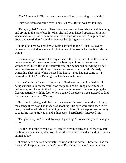"Yes," I assented. "He has been dead since Sunday morning—a suicide."

Edith had risen and come over to her. But Mrs. Butler was not fainting.

"I'm glad, glad," she said. Then she grew weak and semi-hysterical, laughing and crying in the same breath. When she had been helped upstairs, for in her weakened state it had been more of a shock than we realized, Margery came down and we tried to forget the scene we had just gone through.

"I am glad Fred was not here," Edith confided to me. "Ellen is a lovely woman,and as kind as she is mild; but in one of her—attacks, she is a little bit trying."

It was strange to contrast the way in which the two women took their similar bereavements. Margery represented the best type of normal American womanhood; Ellen Butler the neurasthenic; she demanded everything by her very helplessness and timidity. She was a constant drain on Edith's ready sympathy. That night, while I closed the house—Fred had not come in—I advised her to let Mrs. Butler go back to her sanatorium.

At tweIve-thirty I was still downstairs; Fred was out, and I waited for him, being curious to know the verdict on the play. The bell rang a few minutes before one, and I went to the door; some one in the vestibule was tapping the floor impatiently with his foot. When I opened the door; I was surprised to find that the late visitor was Wardrop.

He came in quietly, and I had a chance to see him well, under the hall light; the change three days had made was shocking. His eyes were sunk deep in his head, his reddened lids and twitching mouth told of little sleep, of nerves ready to snap. He was untidy, too, and a three days' beard hardly improved him.

"I'm glad it's you," he said, by way of greeting. "I was afraid you'd have gone to bed."

'It's the top of the evening yet," I replied perfunctorily, as I led the way into the library. Once inside, Wardrop closed the door and looked around him like an animal at bay.

"I came here," he said nervously, looking at the windows, "because I had an idea you'd keep your head. Mine's gone; I'm either crazy, or I'm on my way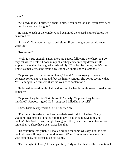there."

"Sit down, man," I pushed a chair to him. "You don't look as if you have been in bed for a couple of nights."

He went to each of the windows and examined the closed shutters before he answered me.

"I haven't. You wouldn't go to bed either; if you thought you would never wake up."

"Nonsense."

"Well, it's true enough. Knox, there are people following me wherever I go; they eat where I eat; if I doze in my chair they come into my dreams!" He stopped there, then he laughed a little wildly. "That last isn't sane, but it's true. There's a man across the street now, eating an apple under a lamppost."

"Suppose you *are* under surveillance," I said. "It's annoying to have a detective following you around, but it's hardly serious. The police say now that Mr. Fleming killed himself; that was your own contention."

He leaned forward in his chair and, resting his hands on his knees, gazed at me somberly.

"Suppose I say he didn't kill himself?" slowly. "Suppose I say he was murdered? Suppose—good God—suppose I killed him myself?"

I drew back in stupefaction, but he hurried on.

"For the last two days I've been wondering—if I did it! He hadn't any weapon; I had one, his. I hated him that day; I had tried to save him, and couldn't. My God, Knox, I might have gone off my head and done it—and not remember it. There have been cases like that."

His condition was pitiable. I looked around for some whiskey, but the best I could do was a little port on the sideboard. When I came back he was sitting with bent head, his forehead on his palms.

"I've thought it all out," he said painfully. "My mother had spells of emotional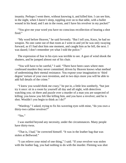insanity. Perhaps I went there, without knowing it, and killed him. I can see him, in the night, when I daren't sleep, toppling over on to that table, with a bullet wound in his head, and I am in the room, and I have his revolver in my pocket!"

"You give me your word you have no conscious recollection of hearing a shot fired."

"My word before Heaven," he said fervently. "But I tell you, Knox, he had no weapon. No one came out of that room as I went in and yet he was only swaying forward, as if I had shot him one moment, and caught him as he fell, the next. I was dazed; I don't remember yet what I told the police."

The expression of fear in his eyes was terrible to see. A gust of wind shook the shutters, and he jumped almost out of his chair.

"You will have to be careful," I said. "There have been cases where men confessed murders they never committed, driven by Heaven knows what method of undermining their mental resistance. You expose your imagination to 'third degree' torture of your own invention, and in two days more you will be able to add full details of the crime."

"I knew you would think me crazy," he put in, a little less somberly, "but just try it once: sit in a room by yourself all day and all night, with detectives watching you; sit there and puzzle over a murder of a man you are suspected of killing; you know you felt like killing him, and you have a revolver; and he is shot. Wouldn't you begin to think as I do?"

"Wardrop," I asked, trying to fix his wavering eyes with mine, "do you own a thirty-two caliber revolver?"

"Yes."

I was startled beyond any necessity, under the circumstances. Many people have thirty-twos.

"That is, I had," he corrected himself. "It was in the leather bag that was stolen at Bellwood."

"I can relieve your mind of one thing," I said. "If your revolver was stolen with the leather bag, you had nothing to do with the murder. Fleming was shot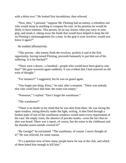with a thirty-two." He looked first incredulous, then relieved.

"Now, then," I pursued, "suppose Mr. Fleming had an enemy, a relentless one who would stoop to anything to compass his ruin. In his position he would be likely to have enemies. This person, let us say, knows what you carry in your grip, and steals it, taking away the funds that would have helped to keep the lid on Fleming's mismanagement for a time. In the grip is your revolver; would you know it again?"

He nodded affirmatively.

"This person—this enemy finds the revolver; pockets it and at the first opportunity, having ruined Fleming, proceeds humanely to put him out of his suffering. Is it far-fetched?"

"There were a dozen—a hundred—people who would have been glad to ruin him!" His gaze wavered again suddenly. It was evident that I had renewed an old train of thought."

"For instance?" I suggested, but he was on guard again.

"You forget one thing, Knox," he said, after a moment. "There was nobody else who could have shot him: the room was empty."

"Nonsense," I replied. "Don't forget the warehouse."

"The warehouse!"

"There is no doubt in my mind that he was shot from there. He was facing the open window, sitting directly under the light, writing. A shot fired through a broken pane of one of the warehouse windows would meet every requirement of the case: the empty room, the absence of powder marks—even the fact that no shot was heard. There was a report, of course, but the noise in the clubhouse and the thunder-storm outside covered it!"

"By George!" he exclaimed. "The warehouse, of course. I never thought of it!" He was relieved, for some reason.

"It's a question now of how many people knew he was at the club, and which of them hated him enough to kill him."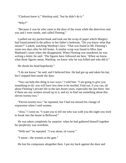"Clarkson knew it," Wardrop said, "but he didn't do it."

"Why?"

"Because it was he who came to the door of the room while the detectives and you and I were inside, and called Fleming."

I pulled out my pocket-book and took out the scrap of paper which Margery had found pinned to the pillow in her father's bedroom. "Do you know what that means?" I asked, watching Wardrop's face. "That was found in Mr. Fleming's room two days after he left home. A similar scrap was found in Miss Jane Maitland's room when she disappeared. When Fleming was murdered, he was writing a letter; he said: 'The figures have followed me here.' When we know what those figures mean, Wardrop, we know why he was killed and who did it."

He shook his head hopelessly."

"I do not know," he said, and I believed him. He had got up and taken his hat, but I stopped him inside the door.

"You can help this thing in two ways," I told him. "I am going to give you something to do: you will have less time to be morbid. Find out, if you can, all about Fleming's private life in the last dozen years, especially the last three. See if there are any women mixed up in it, and try to find out something about this eleven twenty-two."

"Eleven twenty-two," he repeated, but I had not missed his change of expression when I said women.

"Also," I went on, "I want you to tell me who was with you the night you tried to break into the house at Bellwood."

He was taken completely by surprise: when he had gathered himself together his perplexity was overdone.

"With me!" he repeated. "I was alone, of course."

"I mean—the woman at the gate."

He lost his composure altogether then. I put my back against the door and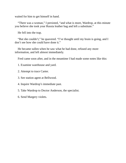waited for him to get himself in hand.

"There was a woman," I persisted, "and what is more, Wardrop, at this minute you believe she took your Russia leather bag and left a substitute."

He fell into the trap.

"But she couldn't," he quavered. "I've thought until my brain is going, and I don't see how she could have done it."

He became sullen when he saw what he had done, refused any more information, and left almost immediately.

Fred came soon after, and in the meantime I had made some notes like this:

- 1. Examine warehouse and yard.
- 2. Attempt to trace Carter.
- 3. See station agent at Bellwood.
- 4. Inquire Wardrop's immediate past.
- 5. Take Wardrop to Doctor Anderson, the specialist.
- 6. Send Margery violets.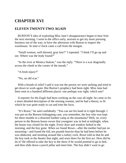# **CHAPTER XVI**

#### **ELEVEN TWENTY-TWO AGAIN**

BURTON'S idea of exploiting Miss Jane's disappearance began to bear fruit the next morning. I went to the office early, anxious to get my more pressing business out of the way, to have the afternoon with Burton to inspect the warehouse. At nine o'clock came a call from the morgue.

"Small woman, well dressed, gray hair?" I repeated. "I think I'll go up and see. Where was the body found?"

"In the river at Monica Station," was the reply. "There is a scar diagonally across the cheek to the corner of the mouth."

"A fresh injury?"

"No, an old scar."

With a breath of relief I said it was not the person we were seeking and tried to get down to work again. But Burton's prophecy had been right. Miss Jane had been seen in a hundred different places: one perhaps was right; which one?

A reporter for the *Eagle* had been working on the case all night: he came in for a more detailed description of the missing woman, and he had a theory, to fit which he was quite ready to cut and trim the facts.

"It's Rowe," he said confidently. "You can see his hand in it right through. I was put on the Benson kidnapping case, you remember, the boy who was kept for three months in a deserted lumber camp in the mountains? Well, sir, every person in the Benson house swore that youngster was in bed at midnight, when the house was closed for the night. Every door and window bolted in the morning, and the boy gone. When we found Rowe—after the mother had put on mourning—and found the kid, ten pounds heavier than he had been before he was abducted, and strutting around like a turkey cock, Rowe told us that he and the boy took in the theater that night, and were there for the first act. How did he do it? He offered to take the boy to the show if he would pretend to go to bed, and then slide down a porch pillar and meet him. The boy didn't want to go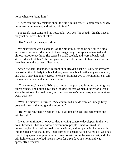home when we found him."

"There can't be any mistake about the time in this case," I commented. "I saw her myself after eleven, and said good night."

The *Eagle* man consulted his notebook. "Oh, yes," he asked; "did she have a diagonal cut across her cheek?"

"No," I said for the second time.

My next visitor was a cabman. On the night in question he had taken a small and a very nervous old woman to the Omega ferry. She appeared excited and almost forgot to pay him. She carried a small satchel, and wore a black veil. What did she look like? She had gray hair, and she seemed to have a scar on her face that drew the corner of her mouth.

At ten o'clock I telephoned Burton: "For Heaven's sake," I said, "if anybody has lost a little old lady in a black dress, wearing a black veil, carrying a satchel, and with a scar diagonally across her cheek from her eye to her mouth, I can tell them all about her, and where she is now."

"That's funny," he said. "We're stirring up the pool and bringing up things we didn't expect. The police have been looking for that woman quietly for a week: she's the widow of a coal baron, and her son-in-law's under suspicion of making away with her."

"Well, he didn't," I affirmed. "She committed suicide from an Omega ferry boat and she's at the morgue this morning."

"Bully," he returned. "Keep on; you'll get lots of clues, and remember one will be right."

It was not until noon, however, that anything concrete developed. In the two hours between, I had interviewed seven more people. I had followed the depressing last hours of the coal baron's widow, and jumped with her, mentally, into the black river that night. I had learned of a small fairish-haired girl who had tried to buy cyanide of potassium at three drugstores on the same street, and of a tall, light woman who had taken a room for three days at a hotel and was apparently demented.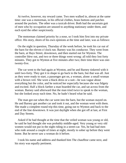At twelve, however, my reward came. Two men walked in, almost at the same time: one was a motorman, in his official clothes, brass buttons and patches around the pockets. The other was a taxicab driver. Both had the uncertain gait of men who by occupation are unused to anything stationary under them, and each eyed the other suspiciously.

The motorman claimed priority by a nose, so I took him first into my private office. His story, shorn of his own opinions at the time and later, was as follows:

On the night in question, Thursday of the week before, he took his car out of the barn for the eleven o'clock run. Barney was his conductor. They went from the barn, at Hays Street, downtown, and then started out for Wynton. The controller blew out, and two or three things went wrong: all told they lost forty minutes. They got to Wynton at five minutes after two; their time there was onetwenty-five.

The car went to the bad again at Wynton, and he and Barney tinkered with it until two-forty. They got it in shape to go back to the barn, but that was all. Just as they were ready to start, a passenger got on, a woman, alone: a small woman with a brown veil. She wore a black dress or a suit—he was vague about everything but the color, and he noticed her especially because she was fidgety and excited. Half a block farther a man boarded the car, and sat across from the woman. Barney said afterward that the man tried twice to speak to the woman, but she looked away each time. No, he hadn't heard what he said.

The man got out when the car went into the barn, but the woman stayed on. He and Barney got another car and took it out, and the woman went with them. She made a complete round trip this time, going out to Wynton and back to the end of the line downtown. It was just daylight when she got off at last, at First and Day Streets.

Asked if he had thought at the time that the veiled woman was young or old, he said he had thought she was probably middle-aged. Very young or very old women would not put in the night riding in a street-car. Yes, he had had men who rode around a couple of times at night, mostly to sober up before they went home. But he never saw a woman do it before.

I took his name and address and thanked him The chauffeur came next, and his story was equally pertinent.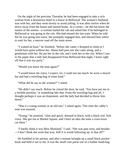On the night of the previous Thursday he had been engaged to take a sick woman from a downtown hotel to a house at Bellwood. The woman's husband was with her, and they went slowly to avoid jolting. It was after twelve when he drove away from the house and started home. At a corner—he did not know the names of the streets—a woman hailed the cab and asked him if he belonged in Bellwood or was going to the city. She had missed the last train. When he told her he was going into town, she promptly engaged him, and showed him where to wait for her, a narrow road off the main street.

"I waited an hour," he finished, "before she came; I dropped to sleep or I would have gone without her. About half-past one she came along, and a gentleman with her. He put her in the cab, and I took her to the city. When I saw in the paper that a lady had disappeared from Bellwood that night, I knew right off that it was my party."

"Would you know the man again?"

"I would know his voice, I expect, sir; I could not see much: he wore a slouch hat and had a traveling-bag of some kind."

"What did he say to the woman?" I asked.

"He didn't say much. Before he closed the door, he said, 'You have put me in a terrible position,' or something like that. From the traveling-bag and all, I thought perhaps it was an elopement, and the lady had decided to throw him down."

"Was it a young woman or an old one," I asked again. This time the cabby's tone was assured.

"Young," he asserted, "slim and quick: dressed in black, with a black veil. Soft voice. She got out at Market Square, and I have an idea she took a cross-town car there."

"I hardly think it was Miss Maitland," I said. "She was past sixty, and besides —I don't think she went that way. Still it is worth following up. Is that all?"

He fumbled in his pocket, and after a minute brought up a small black pocketbook and held it out to me. It was the small coin purse out of a leather hand-bag.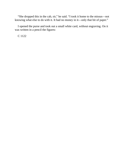"She dropped this in the cab, sir," he said. "I took it home to the missus—not knowing what else to do with it. It had no money in it—only that bit of paper."

I opened the purse and took out a small white card, without engraving. On it was written in a pencil the figures:

C 1122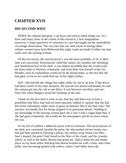## **CHAPTER XVII**

#### **HIS SECOND WIFE**

WHEN the cabman had gone, I sat down and tried to think things out. As I have said many times in the course of this narrative, I lack imagination: moreover, a long experience of witnesses in court had taught me the unreliability of average observation. The very fact that two men swore to having taken solitary women away from Bellwood that night, made me doubt if either one had really seen the missing woman.

Of the two stories, the taxicab driver's was the more probable, as far as Miss Jane was concerned. Knowing her child-like nature, her timidity, her shrinking and shamefaced fear of the dark, it was almost incredible that she would walk the three miles to Wynton, voluntarily, and from there lose herself in the city. Besides, such an explanation would not fit the blood-stains, or the fact that she had gone, as far as we could find out, in her night-clothes.

Still—she had left the village that night, either by cab or on foot. If the driver had been correct in his time, however, the taxicab was almost eliminated; he said the woman got into the cab at one-thirty. It was between one-thirty and oneforty-five when Margery heard the footsteps in the attic.

I think for the first time it came to me, that day, that there was at least a possibility that Miss Jane had not been attacked, robbed or injured: that she had left home voluntarily, under stress of great excitement. But if she had, why? The mystery was hardly less for being stripped of its gruesome details. Nothing in my knowledge of the missing woman gave me a clue. I had a vague hope that, if she had gone voluntarily, she would see the newspapers and let us know where she was.

To my list of exhibits I added the purse with its inclosure. The secret drawer of my desk now contained, besides the purse, the slip marked eleven twenty-two that had been pinned to Fleming's pillow; the similar scrap found over Miss Jane's mantel; the pearl I had found on the floor of the closet, and the cyanide, which, as well as the bullet, Burton had given me. Add to these the still tender place on my head where Wardrop had almost brained me with a chair, and a blue ankle, now becoming spotted with yellow, where I had fallen down the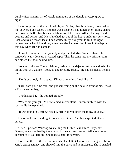dumbwaiter, and my list of visible reminders of the double mystery grew to eight.

I was not proud of the part I had played. So far, I had blundered, it seemed to me, at every point where a blunder was possible. I had fallen over folding chairs and down a shaft; I had been a half-hour too late to save Allan Fleming; I had been up and awake, and Miss Jane had got out of the house under my very nose. Last, and by no means least, I had waited thirty-five years to find the right woman, and when I found her, some one else had won her. I was in the depths that day when Burton came in.

He walked into the office jauntily and presented Miss Grant with a club sandwich neatly done up in waxed paper. Then he came into my private room and closed the door behind him.

"Avaunt, dull care!" he exclaimed, taking in my dejected attitude and exhibits on the desk at a glance. "Look up and grin, my friend." He had his hands behind him.

"Don't be a fool," I snapped. "I'll not grin unless I feel like it."

"Grin, darn you," he said, and put something on the desk in front of me. It was a Russia leather bag.

"*The* leather bag!" he pointed proudly.

"Where did you get it?" I exclaimed, incredulous. Burton fumbled with the lock while he explained.

"It was found in Boston," he said. "How do you open the thing, anyhow?"

It was not locked, and I got it open in a minute. As I had expected, it was empty.

"Then—perhaps Wardrop was telling the truth," I exclaimed. "By Jove, Burton, he was robbed by the woman in the cab, and he can't tell about her on account of Miss Fleming! She made a haul, for certain."

I told him then of the two women who had left Bellwood on the night of Miss Jane's disappearance, and showed him the purse and its inclosure. The C puzzled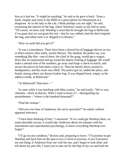him as it had me. "It might be anything," he said as he gave it back, "from a book, chapter and verse in the Bible to a prescription for rheumatism at a drugstore. As to the lady in the cab, I think perhaps you are right," he said, examining the interior of the bag, where Wardrop's name in ink told its story. "Of course, we have only Wardrop's word that he brought the bag to Bellwood; if we grant that we can grant the rest—that he was robbed, that the thief emptied the bag, and either took it or shipped it to Boston."

"How on earth did you get it?"

"It was a coincidence. There have been a shrewd lot of baggage thieves in two or three eastern cities lately, mostly Boston. The method, the police say, was something like this—one of them, the chief of the gang, would get a wagon, dress like an expressman and go round the depots looking at baggage. He would make a mental note of the numbers, go away and forge a check to match, and secure the pieces he had taken a fancy to. Then he merely drove around to headquarters, and the trunk was rifled. The police got on, raided the place, and found, among others our Russia leather bag. It was shipped back, empty, to the address inside, at Bellwood."

"At Bellwood? Then how—"

"It came while I was lunching with Miss Letitia," he said easily. "We're very chummy—thick as thieves. What I want to know is"—disregarding my astonishment—"where is the hundred thousand?"

"Find the woman."

"Did you ever hear of Anderson, the nerve specialist?" he asked, without apparent relevancy.

"I have been thinking of him," I answered. "If we could get Wardrop there, on some plausible excuse, it would take Anderson about ten minutes with his instruments and experimental psychology, to know everything Wardrop ever forgot."

"I'll go on one condition," Burton said, preparing to leave. "I'll promise to get Wardrop and have him on the spot at two o'clock to-morrow, if you'll promise me one thing: if Anderson fixes me with his eye, and I begin to look dotty and tell about my past life, I want you to take me by the flap of my ear and lead me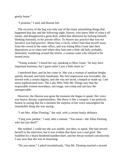gently home."

"I promise," I said, and Burton left.

The recovery of the bag was only one of the many astonishing things that happened that day and the following night. Hawes, who knew little of what it all meant, and disapproved a great deal, ended that afternoon by locking himself, blinking furiously, in his private office. To Hawes any practice that was not lucrative was bad practice. About four o'clock, when I had shut myself away from the crowd in the outer office, and was letting Miss Grant take their depositions as to when and where they had seen a little old lady, probably demented, wandering around the streets, a woman came who refused to be turned away.

"Young woman," I heard her say, speaking to Miss Grant, "he may have important business, but I guess mine's just a little more so."

I interfered then, and let her come in. She was a woman of medium height, quietly dressed, and fairly handsome. My first impression was favorable; she moved with a certain dignity, and she was not laced, crimped or made up. I am more sophisticated now; The Lady Who Tells Me Things says that the respectable women nowadays, out-rouge, out-crimp and out-lace the unrespectable.

However, the illusion was gone the moment she began to speak. Her voice was heavy, throaty, expressionless. She threw it like a weapon: I am perfectly honest in saying that for a moment the surprise of her voice outweighed the remarkable thing she was saying.

"I am Mrs. Allan Fleming," she said, with a certain husky defiance.

"I beg your pardon," I said, after a minute. "You mean—the Allan Fleming who has just died?"

She nodded. I could see she was unable, just then, to speak. She had nerved herself to the interview, but it was evident that there was a real grief. She fumbled for a black-bordered handkerchief, and her throat worked convulsively. I saw now that she was in mourning.

"Do you mean," I asked incredulously, "that Mr. Fleming married a second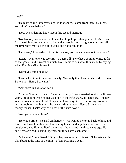time?"

"He married me three years ago, in Plattsburg. I came from there last night. I —couldn't leave before."

"Does Miss Fleming know about this second marriage?"

"No. Nobody knew about it. I have had to put up with a great deal, Mr. Knox. It's a hard thing for a woman to know that people are talking about her, and all the time she's married as tight as ring and book can do it."

"I suppose," I hazarded, "if that is the case, you have come about the estate."

"Estate!" Her tone was scornful. "I guess I'll take what's coming to me, as far as that goes—and it won't be much. No, I came to ask what they mean by saying Allan Fleming killed himself."

"Don't you think he did?"

"I know he did not," she said tensely. "Not only that: I know who did it. It was Schwartz—Henry Schwartz."

"Schwartz! But what on earth—"

"You don't know Schwartz," she said grimly. "I was married to him for fifteen years. I took him when he had a saloon in the Fifth Ward, at Plattsburg. The next year he was alderman: I didn't expect in those days to see him riding around in an automobile—not but what he was making money—Henry Schwartz is a money-maker. That's why he's boss of the state now."

"And you divorced him?"

"He was a brute," she said vindictively. "He wanted me to go back to him, and I told him I would rather die. I took a big house, and kept bachelor suites for gentlemen. Mr. Fleming lived there, and—he married me three years ago. He and Schwartz had to stand together, but they hated each other."

"Schwartz?" I meditated. "Do you happen to know if Senator Schwartz was in Plattsburg at the time of the mur—of Mr. Fleming's death?"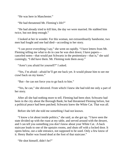"He was here in Manchester."

"He had threatened Mr. Fleming's life?"

"He had already tried to kill him, the day we were married. He stabbed him twice, but not deep enough."

I looked at her in wonder. For this woman, not extraordinarily handsome, two men had fought and one had died—according to her story.

"I can prove everything I say," she went on rapidly. "I have letters from Mr. Fleming telling me what to do in case he was shot down; I have papers canceled notes—that would put Schwartz in the penitentiary—that is," she said cunningly, "I did have them. Mr. Fleming took them away."

"Aren't you afraid for yourself?" I asked.

"Yes, I'm afraid—afraid he'll get me back yet. It would please him to see me crawl back on my knees."

"But—he can not force you to go back to him."

"Yes, he can," she shivered. From which I knew she had told me only a part of her story.

After all she had nothing more to tell. Fleming had been shot; Schwartz had been in the city about the Borough Bank; he had threatened Fleming before, but a political peace had been patched; Schwartz knew the White Cat. That was all.

Before she left she told me something I had not known.

"I know a lot about inside politics," she said, as she got up. "I have seen the state divided up with the roast at my table, and served around with the dessert, and I can tell you something you don't know about your White Cat. :A back staircase leads to one of the upstairs rooms, and shuts off with a locked door. It opens below, out a side entrance, not supposed to be used. Only a few know of it. Henry Butler was found dead at the foot of that staircase."

"He shot himself, didn't he?"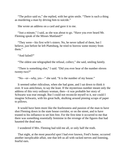"The police said so," she replied, with her grim smile. "There is such a thing as murdering a man by driving him to suicide."

She wrote an address on a card and gave it to me.

"Just a minute," I said, as she was about to go. "Have you ever heard Mr. Fleming speak of the Misses Maitland?"

"They were—his first wife's sisters. No, he never talked of them, but I believe, just before he left Plattsburg, he tried to borrow some money from them."

"And failed?"

"The oldest one telegraphed the refusal, collect," she said, smiling faintly.

"There is something else," I said. "Did you ever hear of the number eleven twenty-two?"

"No—or—why, yes—" she said. "It is the number of my house."

It seemed rather ridiculous, when she had gone, and I sat down to think it over. It was anticlimax, to say the least. If the mysterious number meant only the address of this very ordinary woman, then—it was probable her story of Schwartz was true enough. But I could not reconcile myself to it, nor could I imagine Schwartz, with his great bulk, skulking around pinning scraps of paper to pillows.

It would have been more like the fearlessness and passion of the man to have shot Fleming down in the state house corridor, or on the street, and to have trusted to his influence to set him free. For the first time it occurred to me that there was something essentially feminine in the revenge of the figures that had haunted the dead man.

I wondered if Mrs. Fleming had told me all, or only half the truth.

That night, at the most peaceful spot I had ever known, Fred's home, occurred another inexplicable affair, one that left us all with racked nerves and listening, fearful ears.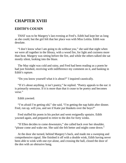# **CHAPTER XVIII**

### **EDITH'S COUSIN**

THAT was to be Margery's last evening at Fred's. Edith had kept her as long as she could, but the girl felt that her place was with Miss Letitia. Edith was desolate.

"I don't know what I am going to do without you," she said that night when we were all together in the library, with a wood fire, for light and coziness more than heat. Margery was sitting before the fire, and while the others talked she sat mostly silent, looking into the blaze.

The May night was cold and rainy, and Fred had been reading us a poem he had just finished, receiving with indifference my comment on it, and basking in Edith's rapture.

"Do you know yourself what it is about?" I inquired caustically.

"If it's about anything, it isn't poetry," he replied. "Poetry appeals to the ear: it is primarily sensuous. If it is more than that it cease to be poetry and becomes verse."

Edith yawned.

"I'm afraid I'm getting old," she said, "I'm getting the nap habit after dinner. Fred, run up, will you, and see if Katie put blankets over the boys?"

Fred stuffed his poem in his pocket and went resignedly upstairs. Edith yawned again, and prepared to retire to the den for forty winks.

"If Ellen decides to come downstairs," she called back over her shoulder, "please come and wake me. She said she felt better and might come down."

At the door she turned, behind Margery's back, and made me a sweeping and comprehensive signal. She finished it off with a double wink, Edith having never been able to wink with one eye alone, and crossing the hall, closed the door of the den with an obtrusive bang.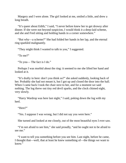Margery and I were alone. The girl looked at me, smiled a little, and drew a long breath.

"It's queer about Edith," I said, "I never before knew her to get drowsy after dinner. If she were not beyond suspicion, I would think it a deep-laid scheme, and she and Fred sitting and holding hands in a corner somewhere."

"But why—a scheme?" She had folded her hands in her lap, and the eternal ring sparkled malignantly.

"They might think I wanted to talk to you," I suggested.

"To me?"

"To you— The fact is I do."

Perhaps I was morbid about the ring: it seemed to me she lifted her hand and looked at it.

"It's drafty in here: don't you think so?" she asked suddenly, looking back of her. Probably she had not meant it, but I got up and closed the door into the hall. When I came back I took the chair next to her, and for a moment we said nothing. The log threw out tiny red devil sparks, and the clock chimed eight, very slowly.

"Harry Wardrop was here last night," I said, poking down the log with my heel.

"Here?"

"Yes. I suppose I was wrong, but I did not say you were here."

She turned and looked at me closely, out of the most beautiful eyes I ever saw.

"I'm not afraid to see him," she said proudly, "and he ought not to be afraid to see me."

"I want to tell you something before you see him. Last night, before he came, I thought that—well, that at least he knew something of—the things we want to know."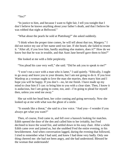"Yes?"

"In justice to him, and because I want to fight fair, I tell you tonight that I don't believe he knows anything about your father's death, and that I believe he was robbed that night at Bellwood."

"What about the pearls he sold at Plattsburg?" she asked suddenly.

"I think when the proper time comes, he will tell about that too, Margery." I did not notice my use of her name until too late. If she heard, she failed to resent it. "After all, if you love him, hardly anything else matters, does it?" How do we know but that he was in trouble, and that Aunt Jane herself gave them to him?"

She looked at me with a little perplexity.

"You plead his case very well," she said. "Did he ask you to speak to me?"

"I won't run a race with a man who is lame," I said quietly. "Ethically, I ought to go away and leave you to your dreams, but I am not going to do it. If you love Wardrop as a woman ought to love the man she marries, then marry him and I hope you will be happy. If you don't—no, let me finish. I have made up my mind to clear him if I can: to bring him to you with a clear slate. Then, I know it is audacious, but I am going to come, too, and—I'm going to plead for myself then, unless you send me away."

She sat with her head bent, her color coming and going nervously. Now she looked up at me with what was the ghost of a smile.

"It sounds like a threat," she said in a low voice. "And you—I wonder if you always get what you want?"

Then, of course, Fred came in, and fell over a hassock looking for matches. Edith opened the door of the den and called him to her irritably, but Fred declined to leave the wood fire, and settled down in his easy chair. After a while Edith came over and joined us, but she snubbed Fred the entire evening, to his bewilderment. And when conversation lagged, during the evening that followed, I tried to remember what I had said, and knew I had done very badly. Only one thing cheered me: she had not been angry, and she had understood. Blessed be the woman that understands!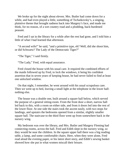We broke up for the night about eleven. Mrs. Butler had come down for a while, and had even played a little, something of Tschaikovsky's, a singing, plaintive theme that brought sadness back into Margery's face, and made me think, for no reason, of a wet country road and a plodding, back-burdened peasant.

Fred and I sat in the library for a while after the rest had gone, and I told him a little of what I had learned that afternoon.

"A second wife!" he said, "and a primitive type, eh? Well, did she shoot him, or did Schwartz? The Lady of the Democratic Tiger?"

"The Tiger," I said firmly.

"The Lady," Fred, with equal assurance.

Fred closed the house with his usual care. It required the combined efforts of the maids followed up by Fred, to lock the windows, it being his confident assertion that in seven years of keeping house, he had never failed to find at least one unlocked window.

On that night, I remember, he went around with his usual scrupulous care. Then we went up to bed, leaving a small light at the telephone in the lower hall: nothing else.

The house was a double one, built around a square hall below, which served the purpose of a general sitting-room. From the front door a short, narrow hall led back to this, with a room on either side, and from it doors led into the rest of the lower floor. At one side the stairs took the ascent easily, with two stops for landings, and upstairs the bedrooms opened from a similar, slightly smaller square hall. The staircase to the third floor went up from somewhere back in the nursery wing.

My bedroom was over the library, and Mrs. Butler and Margery Fleming had connecting rooms, across the hall. Fred and Edith slept in the nursery wing, so they would be near the children. In the square upper hall there was a big reading table, a lamp, and some comfortable chairs. Here, when they were alone, Fred read aloud the evening paper, or his latest short story, and Edith's sewing basket showed how she put in what women miscall their leisure.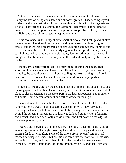I did not go to sleep at once: naturally the rather vital step I had taken in the library insisted on being considered and almost regretted. I tried reading myself to sleep, and when that failed, I tried the soothing combination of a cigarette and a book. That worked like a charm; the last thing I remember is of holding the cigarette in a death grip as I lay with my pillows propped back of me, my head to the light, and a delightful languor creeping over me.

I was awakened by the pungent acrid smell of smoke, and I sat up and blinked my eyes open. The side of the bed was sending up a steady column of gray smoke, and there was a smart crackle of fire under me somewhere. I jumped out of bed and saw the trouble instantly. My cigarette had dropped from my hand, still lighted, and as is the way with cigarettes, determined to burn to the end. In doing so it had fired my bed, the rug under the bed and pretty nearly the man on the bed.

It took some sharp work to get it all out without rousing the house. Then I stood amid the wreckage and looked ruefully at Edith's pretty room. I could see, mentally, the spot of water on the library ceiling the next morning, and I could hear Fred's strictures on the heedlessness and indifference to property of bachelors in general and me in particular.

Three pitchers of water on the bed had made it an impossible couch. I put on a dressing-gown, and, with a blanket over my arm, I went out to hunt some sort of place to sleep. I decided on the davenport in the hall just outside, and as quietly as I could, I put a screen around it and settled down for the night.

I was wakened by the touch of a hand on my face. I started, I think, and the hand was jerked away—I am not sure: I was still drowsy. I lay very quiet, listening for footsteps, but none came. With the feeling that there was some one behind the screen, I jumped up. The hall was dark and quiet. When I found no one I concluded it had been only a vivid dream, and I sat down on the edge of the davenport and yawned.

I heard Edith moving back in the nursery: she has an uncomfortable habit of wandering around in the night, covering the children, closing windows, and sniffing for fire. I was afraid some of the smoke from my conflagration had reached her suspicious nose, but she did not come into the front hall. I was wideawake by that time, and it was then, I think, that I noticed a heavy, sweetish odor in the air. At first I thought one of the children might be ill, and that Edith was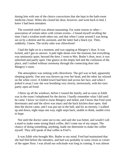dosing him with one of the choice concoctions that she kept in the bath-room medicine closet. When she closed her door, however, and went back to bed, I knew I had been mistaken.

The sweetish smell was almost nauseating. For some reason or other association of certain odors with certain events—I found myself recalling the time I had a wisdom tooth taken out, and that when I came around I was being sat on by a dentist and his assistant, and the latter had a black eye. Then, suddenly, I knew. The sickly odor was chloroform!

I had the light on in a moment, and was rapping at Margery's door. It was locked, and I got no answer. A pale light shone over the transom, but everything was ominously quiet, beyond the door. I went to Mrs. Butler's door, next; it was unlocked and partly open. One glance at the empty bed and the confusion of the place, and I rushed without ceremony through the connecting door into Margery's room.

The atmosphere was reeking with chloroform. The girl was in bed, apparently sleeping quietly. One arm was thrown up over her head, and the other lay relaxed on the white cover. A folded towel had been laid across her face, and when I jerked it away I saw she was breathing very slowly, stertorously, with her eyes partly open ad fixed.

I threw up all the windows, before I roused the family, and as soon as Edith was in the room I telephoned for the doctor. I hardly remember what I did until he came: I know we tried to rouse Margery and failed, and I know that Fred went downstairs and said the silver was intact and the back kitchen door open. And then the doctor came, and I was put out in the hall, and for an eternity, I walked up and down, eight steps one way, eight steps back, unable to think, unable even to hope.

Not until the doctor came out to me, and said she was better, and would I call a maid to make some strong black coffee, did I come out of my stupor. The chance of doing something, anything, made me determine to make the coffee myself. They still speak of that coffee at Fred's.

It was Edith who brought Mrs. Butler to my mind. Fred had maintained that she had fled before the intruders, and had was probably in some closet or corner of the upper floor. I was afraid our solicitude was long in coming. It was almost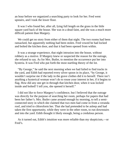an hour before we organized a searching party to look for her. Fred went upstairs, and I took the lower floor.

It was I who found her, after all, lying full length on the grass in the little square yard back of the house. She was in a dead faint, and she was a much more difficult patient than Margery.

We could get no story from either of them that night. The two rooms had been ransacked, but apparently nothing had been stolen. Fred vowed he had locked and bolted the kitchen door, and that it had been opened from within.

It was a strange experience, that night intrusion into the house, without robbery as a motive. If Margery knew or suspected the reason for the outrage, she refused to say. As for Mrs. Butler, to mention the occurrence put her into hysteria. It was Fred who put forth the most startling theory of the lot.

"By George," he said the next morning when we had failed to find tracks in the yard, and Edith had reported every silver spoon in its place, "by George, it wouldn't surprise me if the lady in the grave clothes did it to herself. There isn't anything a hysterical woman won't do to rouse your interest in her, if it begins to flag. How did any one get in through that kitchen door, when it was locked inside and bolted? I tell you, she opened it herself."

I did not like to force Margery's confidence, but I believed that the outrage was directly for the purpose of searching her room, perhaps for papers that had been her father's. Mrs. Butler came around enough by morning, to tell a semiconnected story in which she claimed that two men had come in from a veranda roof, and tried to chloroform her. That she had pretended to be asleep and had taken the first opportunity, while they were in the other room, to run downstairs and into the yard. Edith thought it likely enough, being a credulous person.

As it turned out, Edith's intuition was more reliable than my skepticism,—or Fred's.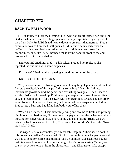### **CHAPTER XIX**

### **BACK TO BELLWOOD**

THE inability of Margery Fleming to tell who had chloroformed her, and Mrs. Butler's white face and brooding eyes made a very respectable mystery out of the affair. Only Fred, Edith and I came down to breakfast that morning. Fred's expression was half amused, half puzzled. Edith fluttered uneasily over the coffee machine, her cheeks as red as the bow of ribbon at her throat. I was preoccupied, and, like Fred, I propped the morning paper in front of me and proceeded to think in its shelter.

"Did you find anything, Fred?" Edith asked. Fred did not reply, so she repeated the question with some emphasis.

"Eh—what?" Fred inquired, peering around the corner of the paper.

"Did—you—find—any—clue?"

"Yes, dear—that is, no. Nothing to amount to anything. Upon my soul, Jack, if I wrote the editorials of this paper, I'd *say* something." He subsided into inarticulate growls behind the paper, and everything was quiet. Then I heard a sniffle, distinctly. I looked up. Edith was crying—pouring cream into a coffee cup, and feeling blindly for the sugar, with her pretty face twisted and her pretty eyes obscured. In a second I was up, had crumpled the newspapers, including Fred's, into a ball, and had lifted him bodily out of his chair.

"When I am married," I said fiercely, jerking him around to Edith and pushing him into a chair beside her, "if I ever read the paper at breakfast when my wife is bursting for conversation, may I have some good and faithful friend who will bring me back to a sense of my duty." I drew a chair to Edith's other side. "Now, let's talk," I said.

She wiped her eyes shamelessly with her table napkin. "There isn't a soul in this house I can talk to," she wailed. "All kinds of awful things happening—and we had to send for coffee this morning, Jack. You must have used four pounds last night—and nobody will tell me a thing. There's no use asking Margery she's sick at her stomach from the chloroform—and Ellen never talks except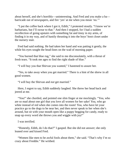about herself, and she's horribly—uninteresting. And Fred and you make a ba barricade out of newspapers, and fire 'yes' at me when you mean 'no.'"

"I put the coffee back where I got it, Edith," I protested stoutly. "I know we're barbarians, but I'll swear to that." And then I stopped, for I had a sudden recollection of going upstairs with something fat and tinny in my arms, of finding it in my way, and of hastily thrusting it into the boys' boot closet under the nursery stair.

Fred had said nothing. He had taken her hand and was patting it gently, the while his eyes sought the head-lines on the wad of morning paper.

"You burned that blue rug," she said to me disconsolately, with a threat of fresh tears. "It took me ages to find the right shade of blue."

"I will buy you that Shirvan you wanted," I hastened to assure her.

"Yes, to take away when you get married." There is a hint of the shrew in all good women.

"I will buy the Shirvan and *not* get married."

Here, I regret to say, Edith suddenly laughed. She threw her head back and jeered at me.

"You!" she chortled, and pointed one slim finger at me mockingly. "You, who are so mad about one girl that you love all women for her sake! You, who go white instead of red when she comes into the room! You, who have let your practice go to the dogs to be near her, and then never speak to her when she's around, but sit with your mouth open like a puppy begging for candy, ready to snap up every word she throws you and wiggle with joy!"

I was terrified.

"Honestly, Edith, do I do that?" I gasped. But she did not answer; she only leaned over and kissed Fred.

"Women like men to be awful fools about them," she said. "That's why I'm so crazy about Freddie." He writhed.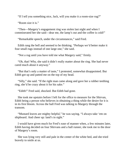"If I tell you something nice, Jack, will you make it a room-size rug?"

"Room size it is."

"Then—Margery's engagement ring was stolen last night and when I commiserated her she said—dear me, the lamp's out and the coffee is cold!"

"Remarkable speech, under the circumstances," said Fred.

Edith rang the bell and seemed to be thinking. "Perhaps we'd better make it four small rugs instead of one large one," she said.

"Not a rug until you have told me what Margery said," firmly.

"Oh, that! Why, she said it didn't really matter about the ring. She had never cared much about it anyway."

"But that's only a matter of taste," I protested, somewhat disappointed. But Edith got up and patted me on the top of my head.

"Silly," she said. "If the right man came along and gave her a rubber teething ring, she'd be crazy about it for his sake."

"Edith!" Fred said, shocked. But Edith had gone.

She took me upstairs before I left for the office to measure for the Shirvan, Edith being a person who believes in obtaining a thing while the desire for it is in its first bloom. Across the hall Fred was talking to Margery through the transom.

"Mustard leaves are mighty helpful," he was saying. "I always take 'em on shipboard. And cheer up: land's in sight."

I would have given much for Fred's ease of manner when, a few minutes later, Edith having decided on four Shirvans and a hall runner, she took me to the door of Margery's room.

She was lying very still and pale in the center of the white bed, and she tried bravely to smile at us.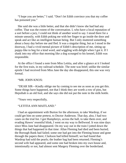"I hope you are better," I said. "Don't let Edith convince you that my coffee has poisoned you."

She said she was a little better, and that she didn't know she had had any coffee. That was the extent of the conversation. I, who have a local reputation of a sort before a jury, I could not think of another word to say. I stood there for a minute uneasily, with Edith poking me with her finger to go inside the door and speak and act like an intelligent human being. But I only muttered something about a busy day before me and fled. It was a singular thing, but as I stood in the doorway, I had a vivid mental picture of Edith's description of me, sitting up puppy-like to beg for a kind word, and wiggling with delight when I got it. If I slunk into my office that morning like a dog scourged to his kennel, Edith was responsible.

At the office I found a note from Miss Letitia, and after a glance at it I looked for the first train, in my railroad schedule. The note was brief; unlike the similar epistle I had received from Miss Jane the day she disappeared, this one was very formal.

#### "MR. JOHN KNOX:

"DEAR SIR—Kindly oblige me by coming to see me as soon as you get this. Some things have happened, not that I think they are worth a row of pins, but Hepsibah is an old fool, and she says she did not put the note in the milk bottle.

"Yours very respectfully,

#### "LETITIA ANN MAITLAND."

I had an appointment with Burton for the afternoon, to take Wardrop, if we could get him on some pretext, to Doctor Anderson. That day, also, I had two cases on the trial list. I got Humphreys, across the hall, to take them over, and evading Hawes' resentful blink, I went on my way to Bellwood. It was nine days since Miss Jane had disappeared. On my way out in the train I jotted down the things that had happened in that time: Allan Fleming had died and been buried; the Borough Bank had failed; some one had got into the Fleming house and gone through the papers there; Clarkson had killed himself; we had found that Wardrop had sold the pearls; the leather bag had been returned; Fleming's second wife had appeared, and some one had broken into my own house and, intentionally or not, had almost sent Margery Fleming over the borderland.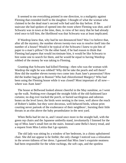It seemed to me everything pointed in one direction, to a malignity against Fleming that extended itself to the daughter. I thought of what the woman who claimed to be the dead man's second wife had said the day before. If the staircase she had spoken of opened into the room where Fleming was shot, and if Schwartz was in town at the time, then, in view of her story that he had already tried once to kill him, the likelihood was that Schwartz was at least implicated.

If Wardrop knew that, why had he not denounced him? Was I to believe that, after all the mystery, the number eleven twenty-two was to resolve itself into the number of a house? Would it be typical of the Schwartz I knew to pin bits of paper to a man's pillow? On the other hand, if he had reason to think that Fleming had papers that would incriminate him, it would be like Schwartz to hire some one to search for them, and he would be equal to having Wardrop robbed of the money he was taking to Fleming.

Granting that Schwartz had killed Fleming—then who was the woman with Wardrop the night he was robbed? Why did he take the pearls and sell them? How did the number eleven twenty-two come into Aunt Jane's possession? How did the leather bag get to Boston? Who had chloroformed Margery? Who had been using the Fleming house while it was closed? Most important of all now where was Aunt Jane?

The house at Bellwood looked almost cheerful in the May sunshine, as I went up the walk. Nothing ever changed the straight folds of the old-fashioned lace curtains; no dog ever tracked the porch, or buried sacrilegious and odorous bones on the level lawn; the birds were nesting in the trees, well above the reach of Robert's ladder, but they were decorous, well-behaved birds, whose prim courting never partook of the exuberance of their neighbors', bursting their little throats in an elm above the baby perambulator in the next yard.

When Bella had let me in, and I stood once more in the straight hall, with the green rep chairs and the Japanese umbrella stand, involuntarily I listened for the tap of Miss Jane's small feet on the stairs. Instead came Bella's heavy tread, and a request from Miss Letitia that I go upstairs.

The old lady was sitting by a window of her bedroom, in a chintz upholstered chair. She did not appear to be feeble; the only change I noticed was a relaxation in the severe tidiness of her dress. I guessed that Miss Jane's exquisite neatness had been responsible for the white ruchings, the soft caps, and the spotless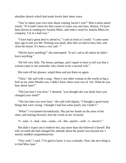shoulder shawls which had made lovely their latter years.

"You've taken your own time about coming, haven't you?" Miss Letitia asked sourly. "If it hadn't been for that cousin of yours you sent here, Burton, I'd have been driven to sending for Amelia Miles, and when I send for Amelia Miles for company, I'm in a bad way."

"I have had a great deal to attend to," I said as loud as I could. "I came some days ago to tell you Mr. Fleming was dead; after that we had to bury him, and close the house. It's been a very sad—"

"Did he leave anything?" she interrupted. "It isn't sad at all unless he didn't leave anything."

"He left very little. The house, perhaps, and I regret to have to tell you that a woman came to me yesterday who claims to be a second wife."

She took off her glasses, wiped them and put them on again.

"Then," she said with a snap, "there's one other woman in the world as big a fool as my sister Martha was. I didn't know there were two of 'em. What do you hear about Jane?"

"The last time I was here," I shouted, "you thought she was dead; have you changed your mind?"

"The last time you were here," she said with dignity, "I thought a good many things that were wrong. I thought I had lost some pearls, but I hadn't."

"What!" I exclaimed incredulously. She put her hands on the arms of her chair, and leaning forward, shot the words at me viciously.

"I—said—I—had—lost—some—of—the—pearls—well—I—haven't."

She didn't expect me to believe her, any more than she believed it herself. But why on earth she had changed her attitude about the pearls was beyond me. I merely nodded comprehensively.

"Very well," I said, "I'm glad to know it was a mistake. Now, the next thing is to find Miss Jane."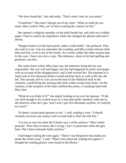"We have found her," she said tartly. "That's what I sent for you about."

"Found her!" This time I did get out of my chair. "What on earth do you mean, Miss Letitia? Why, we've been scouring the country for her."

She opened a religious monthly on the table beside her, and took out a folded paper. I had to control my impatience while she changed her glasses and read it slowly.

"Heppie found it on the back porch, under a milk bottle," she prefaced. Then she read it to me. I do not remember the wording, and Miss Letitia refused, both then and later, to let it out of her hands. As a result, unlike the other manuscripts in this case, I have not even a copy. The substance, shorn of its bad spelling and grammar, was this:

The writer knew where Miss Jane was; the inference being that he was responsible. She was well and happy, but she had happened to read a newspaper with an account of her disappearance, and it had worried her. The payment of a small sum of five thousand dollars would send her back as well as the day she left. The amount, left in a tin can on the base of the Maitland shaft in the cemetery, would bring the missing lady back within twenty-four hours. On the contrary, if the recipient of the letter notified the police, it would go hard with Miss Jane.

"What do you think of it?" she asked, looking at me over her glasses. "If she was fool enough to be carried away by a man that spells cemetery with one m, she deserves what she's got. And I won't pay five thousand, anyhow, it's entirely too much."

"It doesn't sound quite genuine to me," I said, reading it over. "I should certainly not leave any money until we had tried to find who left this."

"I'm not so sure but what she'd better stay a while anyhow," Miss Letitia pursued. "Now that we know she's living, I ain't so particular when she gets back. She's been notionate lately anyhow."

I had begun reading the note again. "There's one thing here that makes me doubt the whole story," I said. "What's this about her reading the papers? I thought her reading glasses were found in the library."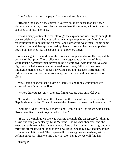Miss Letitia snatched the paper from me and read it again.

"Reading the paper!" she sniffed. "You've got more sense than I've been giving you credit for, Knox. Her glasses are here this minute; without them she can't see to scratch her nose."

It was a disappointment to me, although the explanation was simple enough. It was surprising that we had not had more attempts to play on our fears. But the really important thing bearing on Miss Jane's departure was when Heppie came into the room, with her apron turned up like a pocket and her dust cap pushed down over her eyes like the slouch hat of a bowery tough.

When she got to the middle of the room she stopped and abruptly dropped the corners of the apron. There rolled out a heterogeneous collection of things: a white muslin garment which proved to be a nightgown, with long sleeves and high collar; a half-dozen hair curlers—I knew those; Edith had been seen, in midnight emergencies, with her hair twisted around just such instruments of torture—a shoe buttoner; a railroad map, and one new and unworn black kid glove.

Miss Letitia changed her glasses deliberately, and took a comprehensive survey of the things on the floor.

"Where did you get 'em?" she said, fixing Heppie with an awful eye.

"I found 'em stuffed under the blankets in the chest of drawers in the attic," Heppie shouted at her. "If we'd washed the blankets last week, as I wanted to—"

"Shut up!" Miss Letitia said shortly, and Heppie's thin lips closed with a snap. "Now then, Knox, what do you make of that?"

"If that's the nightgown she was wearing the night she disappeared, I think it shows one thing very clearly, Miss Maitland. She was not abducted, and she knew perfectly well what she was about. None of her clothes is missing, and that threw us off the track; but look at this new glove! She may have had new things to put on and left the old. The map—well, she was going somewhere, with a definite purpose. When we find out what took her away, we will find her."

"Humph!"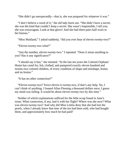"She didn't go unexpectedly—that is, she was prepared for whatever it was."

"I don't believe a word of it," the old lady burst out. "She didn't have a secret; she was the kind that couldn't keep a secret. She wasn't responsible, I tell you; she was extravagant. Look at that glove! And she had three pairs half worn in her bureau."

"Miss Maitland," I asked suddenly, "did you ever hear of eleven twenty-two?"

"Eleven twenty-two what?"

"Just the number, eleven twenty-two," I repeated. "Does it mean anything to you? Has it any significance?"

"I should say it has," she retorted. "In the last ten years the Colored Orphans' Home has cared for, fed, clothed, and pampered exactly eleven hundred and twenty-two colored children, of every condition of shape and misshape, brains and no brains."

"It has no other connection?"

"Eleven twenty-two? Twice eleven is twenty-two, if that's any help. No, I can't think of anything. I loaned Allan Fleming a thousand dollars once; I guess my mind was failing. It would be about eleven twenty-two by this time."

Neither of which explanations sufficed for the little scrap found in Jane's room. What connection, if any, had it with her flight? Where was she now? What was eleven twenty-two? And why did Miss Letitia deny that she had lost the pearls, when I already knew that nine of the ten had been sold, who had bought them, and approximately how much he had paid?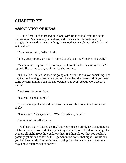# **CHAPTER XX**

### **ASSOCIATION OF IDEAS**

I ATE a light lunch at Bellwood, alone, with Bella to look after me in the dining-room. She was very solicitous, and when she had brought my tea, I thought she wanted to say something. She stood awkwardly near the door, and watched me.

"You needn't wait, Bella," I said.

"I beg your pardon, sir, but—I wanted to ask you—is Miss Fleming well?"

"She was not very well this morning, but I don't think it is serious, Bella," I replied. She turned to go, but I fancied she hesitated.

"Oh, Bella," I called, as she was going out, "I want to ask you something. The night at the Fleming home, when you and I watched the house, didn't you hear some person running along the hall outside your door? About two o'clock, I think?"

She looked at me stolidly.

"No, sir, I slept all night."

"That's strange. And you didn't hear me when I fell down the dumbwaiter shaft?"

"Holy saints!" she ejaculated. "Was *that* where you fell!"

She stopped herself abruptly.

"You heard that?" I asked gently, "and yet you slept all night? Bella, there's a hitch somewhere. You didn't sleep that night, at all; you told Miss Fleming I had been up all night. How did you know that? If I didn't know that you couldn't possibly get around as fast as the—person in the house that night, I would say you had been in Mr. Fleming's desk, looking for—let us say, postage stamps. May I have another cup of coffee?"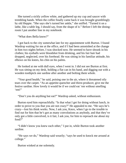She turned a sickly yellow white, and gathered up my cup and saucer with trembling hands. When the coffee finally came back it was brought grumblingly by old Heppie. "She says she's turned her ankle," she sniffed. "Turned it on a lathe, like a table leg, I should say, from the shape of it." Before I left the diningroom I put another line in my notebook:

"What does Bella know?"

I got back to the city somewhat late for my appointment with Burton. I found Wardrop waiting for me at the office, and if I had been astonished at the change in him two nights before, I was shocked now. He seemed to have shrunk in his clothes; his eyeballs were bloodshot from drinking, and his fair hair had dropped, neglected, over his forehead. He was sitting in his familiar attitude, his elbows on his knees, his chin on his palms.

He looked at me with dull eyes, when I went in. I did not see Burton at first. He was sitting on my desk, holding a flat can in his hand, and digging out with a wooden toothpick one sardine after another and bolting them whole.

"Your good health," he said, poising one in the air, where it threatened oily tears over the carpet. "As an appetite-quencher and thirst-producer, give me the festive sardine. How lovely it would be if we could eat 'em without smelling 'em!"

"Don't you do anything but eat?" Wardrop asked, without enthusiasm.

Burton eyed him reproachfully. "Is that what I get for doing without lunch, in order to prove to you that you are not crazy?" He appealed to me. "He says he's crazy—lost his think works. Now, I ask you, Knox, when I go to the trouble to find out for him that he's got as many convolutions as anybody, and that they've only got a little convolved, is it fair, I ask you, for him to reproach me about my food?"

"I didn't know you knew each other," I put in, while Burton took another sardine.

"He says we do," Wardrop said wearily; "says he used to knock me around at college."

Burton winked at me solemnly.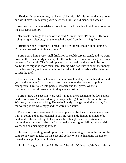"He doesn't remember me, but he will," he said. "It's his nerves that are gone, and we'll have him restrung with new wires, like an old piano, in a week."

Wardrop had that after-debauch suspicion of all men, but I think he grasped at me as a dependability.

"He wants me to go to a doctor," he said. "I'm not sick; it's only—" He was trying to light a cigarette, but the match dropped from his shaking fingers.

"Better see one, Wardrop," I urged—and I felt mean enough about doing it. "You need something to brace you up."

Burton gave him a very small drink, for he could scarcely stand, and we went down in the elevator. My contempt for the victim between us was as great as my contempt for myself. That Wardrop was in a bad position there could be no doubt; there might be more men than Fleming who had known about the money in the leather bag, and who thought he had taken it and probably killed Fleming to hide the theft.

It seemed incredible that an innocent man would collapse as he had done, and yet—at this minute I can name a dozen men who, under the club of public disapproval, have fallen into paresis, insanity and the grave. We are all indifferent to our fellow-men until they are against us.

Burton knew the specialist very well—in fact, there seemed to be few people he did not know. And considering the way he had got hold of Miss Letitia and Wardrop, it was not surprising. He had evidently arranged with the doctor, for the waiting-room was empty and we were after hours.

The doctor was a large man, his size emphasized by the clothes he wore, very light in color, and unprofessional in cut. He was sandy-haired, inclined to be bald, and with shrewd, light blue eyes behind his glasses. Not particularly impressive, except as to size, on first acquaintance; a good fellow, with a brisk voice, and an amazingly light tread.

He began by sending Wardrop into a sort of examining room in the rear of the suite somewhere, to take off his coat and collar. When he had gone the doctor looked at a slip of paper in his hand.

"I think I've got it all from Mr. Burton," he said. "Of course, Mr. Knox, this is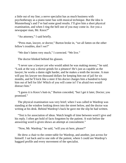a little out of my line; a nerve specialist has as much business with psychotherapy as a piano tuner has with musical technique. But the idea is Munsterburg's and I've had some good results. I'll give him a short physical examination, and when I ring the bell one of you may come in. Are you a newspaper man, Mr. Knox?"

"An attorney," I said briefly.

"Press man, lawyer, or doctor," Burton broke in, "we all fatten on the other fellow's troubles, don't we?"

"We don't fatten very much," I corrected. "We live."

The doctor blinked behind his glasses.

"I never saw a lawyer yet who would admit he was making money," he said. "Look at the way a doctor grinds for a pittance! He's just as capable as the lawyer; he works a damn sight harder, and he makes a tenth the income. A man will pay his lawyer ten thousand dollars for keeping him out of jail for six months, and he'll kick like a steer if his doctor charges him a hundred to keep him out of hell for life! Which of you will come in? I'm afraid two would distract him."

"I guess it is Knox's butt-in," Burton conceded, "but I get it later, Doctor; you promised."

The physical examination was very brief; when I was called in Wardrop was standing at the window looking down into the street below, and the doctor was writing at his desk. Behind Wardrop's back he gave me the slip he had written.

"Test is for association of ideas. Watch length of time between word I give and his reply. I often get hold of facts forgotten by the patient. A wait before the answering word is given shows an attempt at concealment."

"Now, Mr. Wardrop," he said, "will you sit here, please?"

He drew a chair to the center-table for Wardrop, and another, just across for himself. I sat back and to one side of the patient, where I could see Wardrop's haggard profile and every movement of the specialist.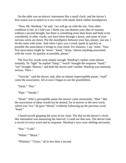On the table was an electric instrument like a small clock, and the doctor's first action was to attach to it two wires with small, black rubber mouthpieces.

"Now, Mr. Wardrop," he said, "we will go on with the test. Your other condition is fair, as I told you; I think you can dismiss your idea of insanity without a second thought, but there is something more than brain and body to be considered; in other words, you have been through a storm, and some of your nervous wires are down. Put the mouthpiece between your lips, please; you see, I do the same with mine. And when I give you a word, speak as quickly as possible the association it brings to your mind. For instance, I say 'noise.' Your first association might be 'street,' 'band,' 'drum,' almost anything associated with the word. As quickly as possible, please."

The first few words went simply enough. Wardrop's replies came almost instantly. To "light" he replied "lamp;" "touch" brought the response "hand;" "eat" brought "Burton," and both the doctor and I smiled. Wardrop was intensely serious. Then—

"Taxicab," said the doctor, and, after an almost imperceptible pause, "road" came the association. All at once I began to see the possibilities.

"Desk." "Pen."

"Pipe." "Smoke."

"Head." After a perceptible pause the answer came uncertainly. "Hair." But the association of ideas would not be denied, for in answer to the next word, which was "ice," he gave "blood," evidently following up the previous word "head."

I found myself gripping the arms of my chair. The dial on the doctor's clocklike instrument was measuring the interval; I could see that now. The doctor took a record of every word and its response. Wardrop's eyes were shifting nervously.

```
"Hot." "Cold."
"White." "Black."
```
"Whiskey." "Glass," all in less than a second.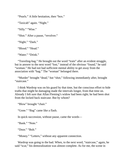"Pearls." A little hesitation, then "box."

"Taxicab" again. "Night."

"Silly." "Wise."

"Shot." After a pause, "revolver."

"Night." "Dark."

"Blood." "Head."

"Water." "Drink."

"Traveling-bag." He brought out the word "train" after an evident struggle, but in answer to the next word "lost," instead of the obvious "found," he said "woman." He had not had sufficient mental ability to get away from the association with "bag." The "woman" belonged there.

"Murder" brought "dead," but "shot," following immediately after, brought "staircase."

I think Wardrop was on his guard by that time, but the conscious effort to hide truths that might be damaging made the intervals longer, from that time on. Already I felt sure that Allan Fleming's widow had been right; he had been shot from the locked back staircase. But by whom?

"Blow" brought "chair."

"Gone." "Bag" came like a flash.

In quick succession, without pause, came the words—

"Bank." "Note."

"Door." "Bolt."

"Money." "Letters," without any apparent connection.

Wardrop was going to the bad. When, to the next word, "staircase," again, he said "scar," his demoralization was almost complete. As for me, the scene in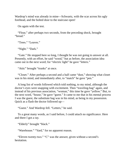Wardrop's mind was already in mine—Schwartz, with the scar across his ugly forehead, and the bolted door to the staircase open!

On again with the test.

"Flour," after perhaps two seconds, from the preceding shock, brought "bread."

"Trees." "Leaves."

"Night." "Dark."

"Gate." He stopped here so long, I thought he was not going to answer at all. Presently, with an effort, he said "wood," but as before, the association idea came out in the next word; for "electric light" he gave "letters."

"Attic" brought "trunks" at once.

"Closet." After perhaps a second and a half came "dust," showing what closet was in his mind, and immediately after, to "match" he gave "pen."

A long list of words followed which told nothing, to my mind, although the doctor's eyes were snapping with excitement. Then "traveling-bag" again, and instead of his previous association, "woman," this time he gave "yellow." But, to the next word, "house," he gave "guest." It came to me that in his mental process I was the guest, the substitute bag was in his mind, as being in my possession. Quick as a flash the doctor followed up—

"Guest." And Wardrop fell. "Letters," he said.

To a great many words, as I said before, I could attach no significance. Here and there I got a ray.

"Elderly" brought "black."

"Warehouse." "Yard," for no apparent reason.

"Eleven twenty-two." "C" was the answer, given without a second's hesitation.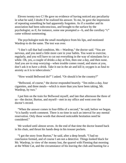Eleven twenty-two C! He gave no evidence of having noticed any peculiarity in what he said; I doubt if he realized his answer. To me, he gave the impression of repeating something he had apparently forgotten. As if a number and its association had been subconscious, and brought to the surface by the psychologist; as if, for instance, some one prompted a—b, and the corollary "c" came without summoning.

The psychologist took the small mouthpiece from his lips, and motioned Wardrop to do the same. The test was over.

"I don't call that bad condition, Mr.—Wardrop," the doctor said. "You are nervous, and you need a little more care in your habits. You want to exercise, regularly, and you will have to cut out everything in the way of stimulants for a while. Oh, yes, a couple of drinks a day at first, then one a day, and then none. And you are to stop worrying—when trouble comes round, and stares at you, don't ask it to have a drink. Take it out in the air and kill it; oxygen is as fatal to anxiety as it is to tuberculosis."

"How would Bellwood do?" I asked. "Or should it be the country?"

"Bellwood, of course," the doctor responded heartily. "Ten miles a day, four cigarettes, and three meals—which is more than you have been taking, Mr. Wardrop, by two."

I put him on the train for Bellwood myself, and late that afternoon the three of us—the doctor, Burton, and myself—met in my office and went over the doctor's record.

"When the answer comes in four-fifths of a second," he said, before we began, "it is hardly worth comment. There is no time in such an interval for any mental reservation. Only those words that showed noticeable hesitation need be considered."

We worked until almost seven. At the end of that time the doctor leaned back in his chair, and thrust his hands deep in his trouser pockets.

"I got the story from Burton," he said, after a deep breath. "I had no conclusion formed, and of course I am not a detective. Things looked black for Mr. Wardrop, in view of the money lost, the quarrel with Fleming that morning at the White Cat, and the circumstance of his leaving the club and hunting for a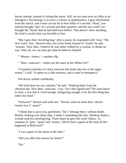doctor outside, instead of raising the alarm. Still, no two men ever act alike in an emergency. Psychology is as exact a science as mathematics; it gets information from the source, and a man can not lie in four-fifths of a second. 'Head,' you noticed brought 'hair' in a second and three quarters, and the next word 'ice,' brought the 'blood' that he had held back before. That doesn't show anything. He tried to avoid what was horrible to him.

"But I gave him 'traveling-bag;' after a pause, he responded with 'train.' The next word, 'lost,'showed what was in his mind; instead of 'found,' he said 'woman.' Now then, I believe he was either robbed by a woman, or thinks he was. After all, we can only get what he believes himself.

" 'Money—letters,'—another slip.

" 'Shot—staircase'—where are the stairs at the White Cat?"

"I learned yesterday of a back staircase that leads into one of the upper rooms," I said. "It opens on a side entrance, and is used in emergency."

The doctor smiled confidently.

"We look there for our criminal," he said. "Nothing hides from the chronoscope. Now then, 'staircase—scar.' Isn't that significant? The association is clear: a scar that is vivid enough, disfiguring enough, to be the first thing that enters his mind."

"Schwartz!" Burton said with awe. "Doctor, what on earth does 'eleven twenty-two C' mean?"

"I think that is up to you, gentlemen. The C belongs there, without doubt. Briefly, looking over these slips, I make it something like this: Wardrop thinks a woman took his traveling-bag. Three times he gave the word 'letters,' in response to 'gate,' 'guest' and 'money.' Did he have a guest at the time all this happened at Bellwood?"

"I was a guest in the house at the time."

"Did you offer him money for letters?"

"No."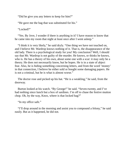"Did he give you any letters to keep for him?"

"He gave me the bag that was substituted for his."

"Locked?"

"Yes. By Jove, I wonder if there is anything in it? I have reason to know that he came into my room that night at least once after I went asleep."

"I think it is very likely," he said dryly. "One thing we have not touched on, and I believe Mr. Wardrop knows nothing of it. That is, the disappearance of the old lady. There is a psychological study for you! My conclusion? Well, I should say that Mr. Wardrop is not guilty of the murder. He knows, or thinks he knows, who is. He has a theory of his own, about some one with a scar: it may only be a theory. He does not necessarily know, but he hopes. He is in a state of abject fear. Also, he is hiding something concerning letters, and from the word 'money' in that connection, I believe he either sold or bought some damaging papers. He is not a criminal, but he is what is almost worse."

The doctor rose and picked up his hat. "He is a weakling," he said, from the doorway.

Burton looked at his watch. "By George!" he said. "Seven-twenty, and I've had nothing since lunch but a box of sardines. I'm off to chase the festive mutton chop. Oh, by the way, Knox, where is that locked bag?"

"In my office safe."

"I'll drop around in the morning and assist you to compound a felony," he said easily. But as it happened, he did not.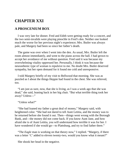## **CHAPTER XXI**

### **A PROSCENIUM BOX**

I was very late for dinner. Fred and Edith were getting ready for a concert, and the two semi-invalids were playing pinochle in Fred's den. Neither one looked much the worse for her previous night's experience; Mrs. Butler was always pale, and Margery had been so since her father's death.

The game was over when I went into the den. As usual, Mrs. Butler left the room almost immediately, and went to the piano across the hall. I had grown to accept her avoidance of me without question. Fred said it was because my overwhelming vitality oppressed her. Personally, I think it was because the neurasthenic type of woman is repulsive to me. No doubt Mrs. Butler deserved sympathy, but her open demand for it found me cold and unresponsive.

I told Margery briefly of my visit to Bellwood that morning. She was as puzzled as I about the things Heppie had found in the chest. She was relieved, too.

"I am just as sure, now, that she is living, as I was a week ago that she was dead," she said, leaning back in her big chair. "But what terrible thing took her away? Unless—"

"Unless what?"

"She had loaned my father a great deal of money," Margery said, with heightened color. "She had not dared to tell Aunt Letitia, and the money was to be returned before she found it out. Then—things went wrong with the Borough Bank, and—the money did not come back. If you know Aunt Jane, and how afraid she is of Aunt Letitia, you will understand how terrible it was for her. I have wondered if she would go—to Plattsburg, and try to find father there."

"The *Eagle* man is working on that theory now," I replied. "Margery, if there was a letter 'C' added to eleven twenty-two, would you know what it meant?"

She shook her head in the negative.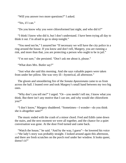"Will you answer two more questions?" I asked.

"Yes, if I can."

"Do you know why you were chloroformed last night, and who did it?"

"I think I know who did it, but I don't understand. I have been trying all day to think it out. I'm afraid to go to sleep tonight."

"You need not be," I assured her "If necessary we will have the city police in a ring around the house. If you know and don't tell, Margery, you are running a risk, and more than that, you are protecting a person who ought to be in jail."

"I'm not sure," she persisted. "Don't ask me about it, please."

"What does Mrs. Butler say?"

"Just what she said this morning. And she says valuable papers were taken from under her pillow. She was very ill—hysterical, all afternoon."

The gloom and smouldering fire of the *Sonata Apassionata* came to us from across the hall. I leaned over and took Margery's small hand between my two big ones.

"Why don't you tell me?" I urged. "Or—you needn't tell me, I know what you think. But there isn't any motive that I can see, and why would she chloroform you?"

"I don't know," Margery shuddered. "Sometimes—I wonder—do you think she is altogether sane?"

The music ended with the crash of a minor chord. Fred and Edith came down the stairs, and the next moment we were all together, and the chance for a quiet conversation was gone. At the door Fred turned and came back.

"Watch the house," he said. "And by the way, I guess"—he lowered his voice —"the lady's story was probably straight. I looked around again this afternoon, and there are fresh scratches on the porch roof under her window. It looks queer, doesn't it?"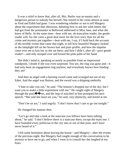It was a relief to know that, after all, Mrs. Butler was an enemy and a dangerous person to nobody but herself. She retired to her room almost as soon as Fred and Edith had gone. I was wondering whether or not to tell Margery about the experiment that afternoon; debating how to ask her what letters she had got from the postmaster at Bellwood addressed to Miss Jane, and what she knew of Bella. At the same time—bear with me, oh masculine reader, the gentle reader will, for she cares a great deal more for the love story than for all the crime and mystery put together—bear with me, I say, if I hold back the account of the terrible events that came that night, to tell how beautiful Margery looked as the lamplight fell on her brown hair and pure profile, and how the impulse came over me to kiss her as she sat there; and how I didn't, after all—poor gentle reader!—and only stooped over and kissed the pink palm of her hand.

She didn't mind it; speaking as nearly as possible from an impersonal standpoint, I doubt if she was even surprised. You see, the ring was gone and—it had only been an engagement ring anyhow, and everybody knows how binding they are!

And then an angel with a burning sword came and scourged me out of my Eden. And the angel was Burton, and the sword was a dripping umbrella.

"I hate to take you out," he said. "The bottom's dropped out of the sky; but I want you to make a little experiment with me." He caught sight of Margery through the porti $\bigcirc$  res, and the imp of mischief in him prompted his next speech. "She said she must see you," he said, very distinctly, and leered at me.

"Don't be an ass," I said angrily. "I don't know that I care to go out tonight."

He changed his manner then.

"Let's go and take a look at the staircase you fellows have been talking about," he said. "I don't believe there is a staircase there, except the main one. I have hounded every politician in the city into or out of that joint, and I have never heard of it."

I felt some hesitation about leaving the house—and Margery—after the events of the previous night. But Margery had caught enough of the conversation to be anxious to have me to go, and when I went in to consult her she laughed at my fears.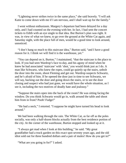"Lightning never strikes twice in the same place," she said bravely. "I will ask Katie to come down with me if I am nervous, and I shall wait up for the family."

I went without enthusiasm. Margery's departure had been delayed for a day only, and I had counted on the evening with her. In fact, I had sent the concert tickets to Edith with an eye single to that idea. But Burton's plan was right. It was, in view of what we knew, to go over the ground at the White Cat again, and Saturday night, with the place full of men, would be a good time to look around, unnoticed.

"I don't hang so much to this staircase idea," Burton said, "and I have a good reason for it. I think we will find it is the warehouse, yet."

"You can depend on it, Burton," I maintained, "that the staircase is the place to look. If you had seen Wardrop's face to-day, and his agony of mind when he knew he had associated 'staircase' with 'shot,' you would think just as I do. A man like Schwartz, who knew the ropes, could go quietly up the stairs, unbolt the door into the room, shoot Fleming and get out. Wardrop suspects Schwartz, and he's afraid of him. If he opened the door just in time to see Schwartz, we will say, backing out the door and going down the stairs, or to see the door closing and suspect who had just gone, we would have the whole situation, as I see it, including the two motives of deadly hate and jealousy."

"Suppose the stairs open into the back of the room? He was sitting facing the window. Do you think Schwartz would go in, walk around the table and shoot him from in front? Pooh! Fudge!"

"He had a neck," I retorted. "I suppose he might have turned his head to look around."

We had been walking through the rain. The White Cat, as far off as the poles socially, was only a half-dozen blocks actually from the best residence portion of the city. At the corner of the warehouse, Burton stopped and looked up at it.

"I always get mad when I look at this building," he said. "My great grandfather had a truck garden on this exact spot seventy years ago, and the old idiot sold out for three hundred dollars and a pair of mules! How do you get in?"

"What are you going in for?" I asked.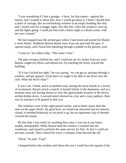"I was wondering if I had a grudge—I have, for that matter—against the mayor, and I wanted to shoot him, how I would go about it. I think I should find a point of vantage, like an overlooking window in an empty building like this, and I would wait for a muggy night, also like this, when the windows were up and the lights going. I could pot him with a thirty-eight at a dozen yards, with my eyes crossed."

We had stopped near the arched gate where I had stood and waited for Hunter, a week before. Suddenly Burton darted away from me and tried the gate. It opened easily, and I heard him splashing through a puddle in the gloomy yard.

"Come in," he called softly. "The water's fine."

The gate swung to behind me, and I could not see six inches from my nose. Burton caught my elbow and steered me, by touching the fence, toward the building.

"If it isn't locked too tight," he was saying, "we can get in, perhaps through a window, and get upstairs. From there we ought to be able to see down into the club. What the devil's that?"

It was a rat, I think, and it scrambled away among the loose boards in a frenzy of excitement. Burton struck a match; it burned faintly in the dampness, and in a moment went out, having shown us only the approximate location of the heavy, arched double doors. A second match showed us a bar and a rusty padlock; there was no entrance to be gained in that way

The windows were of the eight-paned variety, and in better repair than the ones on the upper floors. By good luck, we found one unlocked and not entirely closed; it shrieked hideously as we pried it up, but an opportune clap of thunder covered the sound.

By this time I was ready for anything that came; I was wet to my knees, muddy, disreputable. While Burton held the window I crawled into the warehouse, and turned to perform the same service for him. At first I could not see him, outside. Then I heard his voice, a whisper, from beyond the sill.

```
"Duck," he said. "Cop!"
```
I dropped below the window and above the rain I could hear the squash of the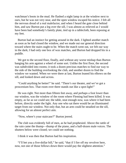watchman's boots in the mud. He flashed a night lamp in at the window next to ours, but he was not very near, and the open window escaped his notice. I felt all the nervous dread of a real malefactor, and when I heard the gate close behind him, and saw Burton put a leg over the sill, I was almost as relieved as I would have been had somebody's family plate, tied up in a tablecloth, been reposing at my feet.

Burton had an instinct for getting around in the dark. I lighted another match as soon as he had closed the window, and we made out our general direction toward where the stairs ought to be. When the match went out, we felt our way in the dark; I had only one box of wax matches, and Burton had dropped his in a puddle.

We got to the second floor, finally, and without any worse mishap than Burton banging his arm against a wheel of some sort. Unlike the first floor, the second was subdivided into rooms; it took a dozen precious matches to find our way to the side of the building overlooking the club, and another dozen to find the window we wanted. When we were there at last, Burton leaned his elbows on the sill, and looked down and across.

"Could anything be better!" he said. "There's our theater, and we've got a proscenium box. That room over there stands out like a spot-light!"

He was right. Not more than fifteen feet away, and perhaps a foot lower than our window, was the window of the room where Fleming had been killed. It was empty, as far as we could see; the table, neat enough now, was where it had been before, directly under the light. Any one who sat there would be an illuminated target from our window. Not only that, but an arm could be steadied on the sill, allowing for an almost perfect aim.

"Now, where's your staircase?" Burton jeered.

The club was evidently full of men, as he had prophesied. Above the rattle of the rain came the thump—thump of the piano, and a half-dozen male voices. The shutters below were closed; we could see nothing.

I think it was then that Burton had his inspiration.

"I'll bet you a five-dollar bill," he said, "that if I fire off my revolver here, now, not one of those fellows down there would pay the slightest attention."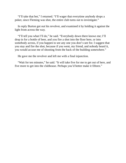"I'll take that bet," I returned. "I'll wager that everytime anybody drops a poker, since Fleming was shot, the entire club turns out to investigate."

In reply Burton got out his revolver, and examined it by holding it against the light from across the way.

"I'll tell you what I'll do," he said. "Everybody down there knows me; I'll drop in for a bottle of beer, and you fire a shot into the floor here, or into somebody across, if you happen to see any one you don't care for. I suggest that you stay and fire the shot, because if you went, my friend, and nobody heard it, you would accuse me of shooting from the back of the building somewhere."

He gave me the revolver and left me with a final injunction.

"Wait for ten minutes," he said. "It will take five for me to get out of here, and five more to get into the clubhouse. Perhaps you'd better make it fifteen."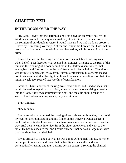## **CHAPTER XXII**

#### **IN THE ROOM OVER THE WAY**

HE WENT away into the darkness, and I sat down on an empty box by the window and waited. Had any one asked me, at that minute, how near we were to the solution of our double mystery, I would have said we had made no progress —save by eliminating Wardrop. Not for one instant did I dream that I was within less than half an hour of a revelation that changed my whole conception of the crime.

I timed the interval by using one of my precious matches to see my watch when he left. I sat there for what seemed ten minutes, listening to the rush of the rain and the creaking of a door behind me in the darkness somewhere, that swung back and forth rustily in the draft from the broken windows. The gloom was infinitely depressing; away from Burton's enthusiasm, his scheme lacked point; his argument, that the night duplicated the weather conditions of that other night, a week ago, seemed less worthy of consideration.

Besides, I have a horror of making myself ridiculous, and I had an idea that it would be hard to explain my position, alone in the warehouse, firing a revolver into the floor, if my own argument was right, and the club should rouse to a search. I looked again at my watch; only six minutes.

Eight minutes.

Nine minutes.

Everyone who has counted the passing of seconds knows how they drag. With my eyes on the room across, and my finger on the trigger, I waited as best I could. At ten minutes I was conscious there was some one in the room over the way. And then he came into view from the side somewhere, and went to the table. He had his back to me, and I could only see that he was a large man, with massive shoulders and dark hair.

It was difficult to make out what he was doing. After a half-minute, however, he stepped to one side, and I saw that he had lighted a candle, and was systematically reading and then burning certain papers, throwing the charred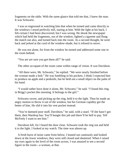fragments on the table. With the same glance that told me that, I knew the man. It was Schwartz.

I was so engrossed in watching him that when he turned and came directly to the windows I stood perfectly still, staring at him. With the light at his back, I felt certain I had been discovered, but I was wrong. He shook the newspaper which had held the fragments, out of the window, lighted a cigarette and flung the match out also, and turned back into the room. As a second thought, he went back and jerked at the cord of the window-shade, but it refused to move.

He was not alone, for from the window he turned and addressed some one in the room behind.

"You are are sure you got them all?" he said.

The other occupant of the room came within range of vision. It was Davidson.

"All there were, Mr. Schwartz," he replied. "We were nearly finished before the woman made a bolt." He was fumbling in his pockets. I think I expected him to produce an apple and a penknife, but he held out a small object on the palm of his hand.

"I would rather have done it alone, Mr. Schwartz," he said. "I found this ring in Brigg's pocket this morning. It belongs to the girl."

Schwartz swore, and picking up the ring, held it to the light. Then he made an angry motion to throw it out of the window, but his German cupidity got the better of him. He slid it into his vest pocket instead.

"You're damned poor stuff, Davidson," he said, with a snarl. "If she hasn't got them, then Wardrop has. You'll bungle this job and there'll be hell to pay. Tell McFeely I want to see him."

Davidson left, for I heard the door close. Schwartz took the ring out and held it to the light. I looked at my watch. The time was almost up.

A fresh burst of noise came from below. I leaned out cautiously and looked down at the lower windows; they were still closed and shuttered. When I raised my eyes again to the level of the room across, I was amazed to see a second figure in the room—a woman, at that.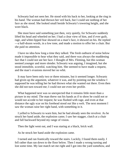Schwartz had not seen her. He stood with his back to her, looking at the ring in his hand. The woman had thrown her veil back, but I could see nothing of her face as she stood. She looked small beside Schwartz's towering height, and she wore black.

She must have said something just then, very quietly, for Schwartz suddenly lifted his head and wheeled on her. I had a clear view of him, and if ever guilt, rage, and white-lipped fear showed on a man's face, it showed on his. He replied —a half-dozen words, in a low tone, and made a motion to offer her a chair. But she paid no attention.

I have no idea how long a time they talked. The fresh outburst of noise below made it impossible to hear what they said, and there was always the maddening fact that I could not see her face. I thought of Mrs. Fleming, but this woman seemed younger and more slender. Schwartz was arguing, I imagined, but she stood immobile, scornful, watching him. She seemed to have made a request, and the man's evasions moved her no whit.

It may have been only two or three minutes, but it seemed longer. Schwartz had given up the argument, whatever it was, and by pointing out the window I supposed he was telling her he had thrown what she wanted out there. Even then she did not turn toward me; I could not see even her profile.

What happened next was so unexpected that it remains little more than a picture in my mind. The man threw out his hands as if to show he could not or would not accede to her request; he was flushed with rage, and even at that distance the ugly scar on his forehead stood out like a welt. The next moment I saw the woman raise her right hand, with something in it.

I yelled to Schwartz to warn him, but he had already seen the revolver. As he struck her hand aside, the explosion came; I saw her stagger, clutch at a chair and fall backward beyond my range of vision.

Then the light went out, and I was staring at a black, brick wall.

As he struck her hand aside the explosion came.

I turned and ran frantically toward the stairs. Luckily, I found them easily. I fell rather than ran down to the floor below. Then I made a wrong turning and lost some time. My last match set me right and I got into the yard somehow, and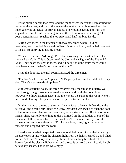to the street.

It was raining harder than ever, and the thunder was incessant. I ran around the corner of the street, and found the gate to the White Cat without trouble. The inner gate was unlocked, as Burton had said he would leave it, and from the steps of the club I could hear laughter and the refrain of a popular song. The door opened just as I reached the top step, and I half-tumbled inside.

Burton was there in the kitchen, with two other men whom I did not recognize, each one holding a stein of beer. Burton had two, and he held one out to me as I stood trying to get my breath.

"You win," he said. "Although I'm a hard-working journalist and need the money, I won't lie. This is Osborne of the *Star* and McTighe of the *Eagle*, Mr. Knox. They heard the shot in there, and if I hadn't told the story, there would have been a panic. What's the matter with you?"

I shut the door into the grill-room and faced the three men.

"For God's sake, Burton," I panted, "let's get upstairs quietly. I didn't fire any shot. There's a woman dead up there."

With characteristic poise, the three reporters took the situation quietly. We filed through the grill-room as casually as we could; with the door closed, however, we threw caution aside. I led the way up the stairs to the room where I had found Fleming's body, and where I expected to find another.

On the landing at the top of the stairs I came face to face with Davidson, the detective, and behind him Judge McFeely. Davidson was trying to open the door of the room where Fleming had been shot, with a skeleton key. But it was bolted inside. There was only one thing to do: I climbed on the shoulders of one of the men, a tall fellow, whose face to this day I don't remember, and by careful maneuvering and the assistance of Davidson's long arms, I got through the transom and dropped into the room.

I hardly know what I expected. I was in total darkness. I know that when I got the door open at last, when the cheerful light from the hall streamed in, and I had not felt Schwartz's heavy hand at my throat, I drew a long breath of relief. Burton found the electric light switch and turned it on. And then—I could hardly believe my senses. The room was empty.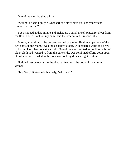One of the men laughed a little.

"Stung!" he said lightly. "What sort of a story have you and your friend framed up, Burton?'

But I stopped at that minute and picked up a small nickel-plated revolver from the floor. I held it out, on my palm, and the others eyed it respectfully.

Burton, after all, was the quickest-witted of the lot. He threw open one of the two doors in the room, revealing a shallow closet, with papered walls and a row of hooks. The other door stuck tight. One of the men pointed to the floor; a bit of black cloth had wedged it, from the other side. Our combined efforts got it open at last, and we crowded in the doorway, looking down a flight of stairs.

Huddled just below us, her head at our feet, was the body of the missing woman.

"My God," Burton said hoarsely, "who is it?"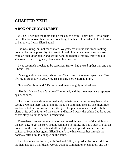## **CHAPTER XXIII**

### **A BOX OF CROWN DERBY**

WE GOT her into the room and on the couch before I knew her. Her fair hair had fallen loose over her face, and one long, thin hand clutched still at the bosom of her gown. It was Ellen Butler!

She was living, but not much more. We gathered around and stood looking down at her in helpless pity. A current of cold night air came up the staircase from an open door below and set the hanging light to swaying, throwing our shadows in a sort of ghastly dance over her quiet face.

I was too much shocked to be surprised. Burton had picked up her hat, and put it beside ber.

"She's got about an hour, I should say," said one of the newspaper men. "See if Gray is around, will you, Jim? He's mostly here Saturday night."

"Is it—Miss Maitland?" Burton asked, in a strangely subdued voice.

"No; it is Henry Butler's widow," I returned, and the three men were reporters again, at once.

Gray was there and came immediately. Whatever surprise he may have felt at seeing a woman there, and dying, he made no comment. He said she might live six hours, but the end was certain. We got a hospital ambulance, and with the clang of its bell as it turned the corner and hurried away, the White Cat drops out of this story, so far as action is concerned.

Three detectives and as many reporters hunted Schwartz all of that night and the next day, to get his story. But he remained in hiding. He had a start of over an hour; from the time he switched off the light and escaped down the built-in staircase. Even in her agony, Ellen Butler's hate had carried her through the doorway after him, to collapse on the stairs.

I got home just as the cab, with Fred and Edith, stopped at the door. I did not let them get out; a half dozen words, without comment or explanation, and they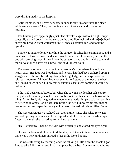were driving madly to the hospital.

Katie let me in, and I gave her some money to stay up and watch the place while we were away. Then, not finding a cab, I took a car and rode to the hospital.

The building was appallingly quiet. The elevator cage, without a light, crept spectrally up and down; my footsteps on the tiled floor echoed and re $\bigcirc$  choed above my head. A night watchman, in felt shoes, admitted me, and took me upstairs.

There was another long wait while the surgeon finished his examination, and a nurse with a basin of water and some towels came out of the room, and another one with dressings went in. And then the surgeon came out, in a white coat with the sleeves rolled above his elbows, and said I might go in.

The cover was drawn up to the injured woman's chin, where it was folded neatly back. Her face was bloodless, and her fair hair had been gathered up in a shaggy knot. She was breathing slowly, but regularly, and her expression was relaxed—more restful than I had ever seen it. As I stood at the foot of the bed and looked down at her, I knew that as surely as death was coming, it would be welcome.

Edith had been calm, before, but when she saw me she lost her self-control. She put her head on my shoulder, and sobbed out the shock and the horror of the thing. As for Fred, his imaginative temperament made him particularly sensitive to suffering in others. As he sat there beside the bed I knew by his face that he was repeating and repenting every unkind word he had said about Ellen Butler.

She was conscious; we realized that after a time. Once she asked for water, without opening her eyes, and Fred slipped a bit of ice between her white lips. Later in the night she looked up for an instant, at me.

"He—struck my—hand," she said with difficulty, and closed her eyes again.

During the long night hours I told the story, as I knew it, in an undertone, and there was a new kindliness in Fred's face as he looked at her.

She was still living by morning, and was rallying a little from the shock. I got Fred to take Edith home, and I took her place by the bed. Some one brought me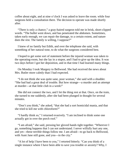coffee about eight, and at nine o'clock I was asked to leave the room. while four surgeons held a consultation there. The decision to operate was made shortly after.

"There is only a chance," a gray-haired surgeon told me in brisk, short-clipped words. "The bullet went down, and has penetrated the abdomen. Sometimes, taken early enough, we can repair the damage, to a certain extent, and nature does the rest. The family is willing, I suppose?"

I knew of no family but Edith, and over the telephone she said, with something of her natural tone, to do what the surgeons considered best.

I hoped to get some sort of statement before the injured woman was taken to the operating-room, but she lay in a stupor, and I had to give up the idea. It was two days before I got her deposition, and in that time I had learned many things.

On Monday I took Margery to Bellwood. She had received the news about Mrs. Butler more calmly than I had expected.

"I do not think she was quite sane, poor woman," she said with a shudder. "She had had a great deal of trouble. But how strange—a murder and an attempt at murder—at that little club in a week!"

She did not connect the two, and I let the thing rest at that. Once, on the train, she turned to me suddenly, after she had been plunged in thought for several minutes.

"Don't you think," she asked, "that she had a sort homicidal mania, and that she tried to kill me with chloroform?"

"I hardly think so," I returned evasively. "I am inclined to think some one actually got in over the porch roof."

"I am afraid," she said, pressing her gloved hands tight together. "Wherever I go, something happens that I can not understand. I never wilfully hurt any one, and yet—these terrible things follow me. I am afraid—to go back to Bellwood, with Aunt Jane still gone, and you—in the city."

"A lot of help I have been to you," I retorted bitterly. "Can you think of a single instance where I have been able to save you trouble or anxiety? Why, I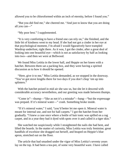allowed you to be chloroformed within an inch of eternity, before I found you."

"But you did find me," she cheered me. "And just to know that you are doing all you can—"

"My poor best." I supplemented.

"It is very comforting to have a friend one can rely on," she finished, and the little bit of kindness went to my head. If she had not got a cinder in her eye at that psychological moment, I'm afraid I would figuratively have trampled Wardrop underfoot, right there. As it was, I got the cinder, after a great deal of looking into one beautiful eye—which is not as satisfactory by half as looking into two—and then we were at Bellwood.

We found Miss Letitia in the lower hall, and Heppie on her knees with a hatchet. Between them sat a packing box, and they were having a spirited discussion as to how it should be opened.

"Here, give it to me," Miss Letitia demanded, as we stopped in the doorway. "You've got stove lengths there for two days if you don't chop 'em up into splinters."

With the hatchet poised in mid air she saw us, but she let it descend with considerable accuracy nevertheless, and our greeting was made between thumps.

"Come in"—thump—"like as not it's a mistake"—bang—"but the expressage was prepaid. If it's mineral water—" crash. Something broke inside.

"If it's mineral water," I said, "you'd better let me open it. Mineral water is meant for internal use, and not for hall carpets." I got the hatchet from her gradually. "I knew a case once where a bottle of hair tonic was spilled on a rag carpet, and in a year they had it dyed with spots over it and called it a tiger skin."

She watched me suspiciously while I straightened the nails she had bent, and lifted the boards. In the matter of curiosity, Miss Letitia was truly feminine; great handfuls of excelsior she dragged out herself, and heaped on Heppie's blue apron, stretched out on the floor.

The article that had smashed under the vigor of Miss Letitia's seventy years lay on the top. It had been a tea-pot, of some very beautiful ware. I have called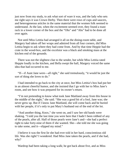just now from my study, to ask what sort of ware it was, and the lady who sets me right says it was Crown Derby. Then there were rows of cups and saucers, and heterogeneous articles in the same material that the women folk seemed to understand. At the last, when the excitement seemed over, they found a toast rack in a lower corner of the box and the "Ohs" and "Ahs" had to be done all over again.

Not until Miss Letitia had arranged it all on the dining-room table, and Margery had taken off her wraps and admired from all four corners, did Miss Letitia begin to ask where they had come from. And by that time Heppie had the crate in the wood-box, and the excelsior was a black and smoking mass at the kitchen end of the grounds.

There was not the slightest clue to the sender, but while Miss Letitia rated Heppie loudly in the kitchen, and Bella swept the hall, Margery voiced the same idea that had occurred to me.

"If—if Aunt Jane were—all right," she said tremulously, "it would be just the sort of thing she loves to do."

I had intended to go back to the city at once, but Miss Letitia's box had put her in an almost cheerful humor, and she insisted that I go with her to Miss Jane's room, and see how it was prepared for its owner's return.

"I'm not pretending to know what took Jane Maitland away from this house in the middle of the night," she said. "She was a good bit of a fool, Jane was; she never grew up. But if I know Jane Maitland, she will come back and be buried with her people, if it's only to put Mary's husband out of the end of the lot.

"And another thing, Knox," she went on, and I saw her old hands were shaking. "I told you the last time you were here that I hadn't been robbed of any of the pearls, after all. Half of those pearls were Jane's and—she had a perfect right to take forty-nine of them if she wanted. She—she told me she was going to take some, and it—slipped my mind."

I believe it was the first lie she had ever told in her hard, conscientious old life. Was she right? I wondered. Had Miss Jane taken the pearls, and if she had, why?

Wardrop had been taking a long walk; he got back about five, and as Miss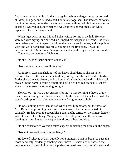Letitia was in the middle of a diatribe against white undergarments for colored children, Margery and he had a half-hour alone together. I had known, of course, that it must come, but under the circumstances, with my whole future existence at stake, I was vague as to whether it was colored undergarments on white orphans or the other way round.

When I got away at last, I found Bella waiting for me in the hall. Her eyes were red with crying, and she had a crumpled newspaper in her hand. She broke down when she tried to speak, but I got the newspaper from her, and she pointed with one work-hardened finger to a column on the first page. It was the announcement of Mrs. Butler's tragic accident, and the mystery that surrounded it. There was no mention of Schwartz.

"Is she—dead?" Bella choked out at last.

"Not yet, but there is very little hope."

Amid fresh tears and shakings of her heavy shoulders, as she sat in her favorite place, on the stairs, Bella told me, briefly, that she had lived with Mrs. Butler since she was sixteen, and had only left when the husband's suicide had broken up the home. I could get nothing else out of her, but gradually Bella's share in the mystery was coming to light.

Slowly, too—it was a new business for me—I was forming a theory of my own. It was a strange one, but it seemed to fit the facts as I knew them. With the story Wardrop told that afternoon came my first glimmer of light.

He was looking better than he had when I saw him before, but the news of Mrs. Butler's approaching death and the manner of her injury affected him strangely. He had seen the paper, like Bella, and he turned on me almost fiercely when I entered the library. Margery was in her old position at the window, looking out, and I knew the despondent droop of her shoulders.

"Is she conscious?" Wardrop asked eagerly, indicating the article in the paper.

"No, not now—at least, it is not likely."

He looked relieved at that, but only for a moment. Then he began to pace the room nervously, evidently debating some move. His next action showed the development of a resolution, for he pushed forward two chairs for Margery and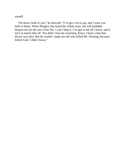myself.

"Sit down, both of you," he directed. "I've got a lot to say, and I want you both to listen. When Margery has heard the whole story, she will probably despise me for the rest of her life. I can't help it. I've got to tell all I know, and it isn't so much after all. You didn't fool me yesterday, Knox; I knew what that doctor was after. But he couldn't make me tell who killed Mr. Fleming, because, before God, I didn't know."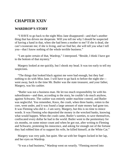### **CHAPTER XXIV**

#### **WARDROP'S STORY**

"I HAVE to go back to the night Miss Jane disappeared—and that's another thing that has driven me desperate. Will you tell me why I should be suspected of having a hand in that, when she had been a mother to me? If she is dead, she can't exonerate me; if she is living, and we find her, she will tell you what I tell you—that I know nothing of the whole terrible business."

"I am quite certain of that, Wardrop," I interposed. "Beside, I think I have got to the bottom of that mystery."

Margery looked at me quickly, but I shook my head. It was too early to tell my suspicions.

"The things that looked black against me were bad enough, but they had nothing to do with Miss Jane. I will have to go back to before the night she went away, back to the time Mr. Butler was the state treasurer, and your father, Margery, was his cashier.

"Butler was not a business man. He let too much responsibility lie with his subordinates—and then, according to the story, he couldn't do much anyhow, against Schwartz. The cashier was entirely under machine control, and Butler was neglectful. You remember, Knox, the crash, when three banks, rotten to the core, went under, and it was found a large amount of state money had gone too. It was Fleming who did it—I am sorry, Margery, but this is no time to mince words. It was Fleming who deposited the money in the wrecked banks, knowing what would happen. When the crash came, Butler's sureties, to save themselves, confiscated every dollar he had in the world. Butler went to the penitentiary for six months, on some minor count and when he got out, after writing to Fleming and Schwartz, protesting his innocence, and asking for enough out of the fortune they had robbed him of to support his wife, he killed himself, at the White Cat."

Margery was very pale, but quiet. She sat with her fingers locked in her lap, and her eyes on Wardrop.

"It was a bad business," Wardrop went on wearily. "Fleming moved into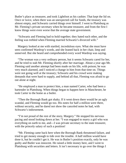Butler's place as treasurer, and took Lightfoot as his cashier. That kept the lid on. Once or twice, when there was an unexpected call for funds, the treasury was almost empty, and Schwartz carried things over himself. I went to Plattsburg as Mr. Fleming's private secretary when he became treasurer, and from the first I knew things were even worse that the average state government.

"Schwartz and Fleming had to hold together; they hated each other, and the feeling was trebled when Fleming married Schwartz's divorced wife."

Margery looked at me with startled, incredulous eyes. What she must have seen confirmed Wardrop's words, and she leaned back in her chair, limp and unnerved. But she heard and comprehended every word Wardrop was saying.

"The woman was a very ordinary person, but it seems Schwartz cared for her, and he tried to stab Mr. Fleming shortly after her marriage. About a year ago Mr. Fleming said another attempt had been made on his life, with poison; he was very much alarmed, and I noticed a change in him from that time on. Things were not going well at the treasury; Schwartz and his crowd were making demands that were hard to supply, and behind all that, Fleming was afraid to go out alone at night.

"He employed a man to protect him, a man named Carter, who had been a bartender in Plattsburg. When things began to happen here in Manchester, he took Carter to the home as a butler.

"Then the Borough Bank got shaky. If it went down there would be an ugly scandal, and Fleming would go too. His notes for half a million were there, without security, and he dared not show the canceled notes he had, with Schwartz's indorsement.

"I'm not proud of the rest of the story, Margery." He stopped his nervous pacing and stood looking down at her. "I was engaged to marry a girl who was everything on earth to me, and—I was private secretary to the state treasurer, with the princely salary of such a position!

"Mr. Fleming came back here when the Borough Bank threatened failure, and tried to get money enough to tide over the trouble. A half million would have done it, but he couldn't get it. He was in Butler's position exactly, only he was guilty and Butler was innocent. He raised a little money here, and I went to Plattsburg with securities and letters. It isn't necessary to go over the things I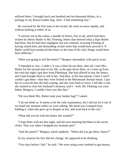suffered there; I brought back one hundred and ten thousand dollars, in a package in my Russia leather bag. And—I had something else."

He wavered for the first time in his recital. He went on more rapidly, and without looking at either of us.

"I carried, not in the valise, a bundle of letters, five in all, which had been written by Henry Butler to Mr. Fleming, letters that showed what a dupe Butler had been, that he had been negligent, but not criminal; accusing Fleming of having ruined him, and demanding certain notes that would have proved it. If Butler could have produced the letters at the time of his trial, things would have been different."

"Were you going to sell the letters?" Margery demanded, with quick scorn.

"I intended to, but—I didn't. It was a little bit too dirty, after all. I met Mrs. Butler for the second time in my life, at the gate down there, as I came up from the train the night I got here from Plattsburg. She had offered to buy the letters, and I had brought them to sell to her. And then, at the last minute, I lied. I said I couldn't get them—that they were locked in the Monmouth Avenue house. I put her in a taxicab that she had waiting, and she went back to town. I felt like a cad; she wanted to clear her husband's memory, and I—well, Mr. Fleming was your father, Margery, I couldn't hurt you like that."

"Do you think Mrs. Butler took your leather bag?" I asked.

"I do not think so. It seems to be the only explanation, but I did not let it out of my hand one moment while we were talking. My hand was cramped from holding it, when she gave up in despair at last, and went back to the city."

"What did you do with the letters she wanted?"

"I kept them with me that night, and the next morning hid them in the secret closet. That was when I dropped my fountain pen!"

"And the pearls?" Margery asked suddenly. "When did you get them, Harry?"

To my surprise his face did not change. He appeared to be thinking.

"Two days before I left," he said. "We were using every method to get money,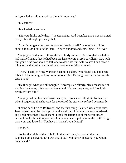and your father said to sacrifice them, if necessary."

"My father!"

He wheeled on us both.

"Did you think I stole them?" he demanded. And I confess that I was ashamed to say I had thought precisely that.

"Your father gave me nine unmounted pearls to sell," he reiterated. "I got about a thousand dollars for them—eleven hundred and something, I believe."

Margery looked at me. I think she was fairly stunned. To learn that her father had married again, that he had been the keystone in an arch of villainy that, with him gone, was now about to fall, and to associate him with so small and mean a thing as the theft of a handful of pearls—she was fairly stunned.

"Then," I said, to bring Wardrop back to his story, "you found you had been robbed of the money, and you went in to tell Mr. Fleming. You had some words, didn't you?"

"He thought what you all thought," Wardrop said bitterly. "He accused me of stealing the money. I felt worse than a thief. He was desperate, and I took his revolver from him."

Margery had put her hands over her eyes. It was a terrible strain for her, but when I suggested that she wait for the rest of the story she refused vehemently.

"I came back here to Bellwood, and the first thing I learned was about Miss Jane. When I saw the blood print on the stair rail, I thought she was murdered, and I had more than I could stand. I took the letters out of the secret closet, before I could show it to you and Hunter, and later I put them in the leather bag I gave you, and locked it. You have it, haven't you, Knox?"

I nodded.

"As for that night at the club, I told the truth then, but not all the truth. I suppose I am a coward, but I was afraid to. If you knew Schwartz, you would understand."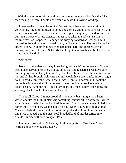With the memory of his huge figure and the heavy under-shot face that I had seen the night before, I could understand very well, knowing Wardrop.

"I went to that room at the White Cat that night, because I was afraid not to go. Fleming might kill himself or some one else. I went up the stairs, slowly, and I heard no shot. At the door I hesitated, then opened it quietly. The door into the built-in staircase was just closing. It must have taken me only an instant to realize what had happened. Fleming was swaying forward as I caught him. I jumped to the staircase and looked down, but I was too late. The door below had closed. I knew in another minute who had been there, and escaped. It was raining, you remember, and Schwartz had forgotten to take his umbrella with his name on the handle!"

#### "Schwartz!"

"Now do you understand why I was being followed?" he demanded. "I have been under surveillance every minute since that night. There's probably some one hanging around the gate now. Anyhow, I was frantic. I saw how it looked for me, and if I had brought Schwartz into it, I would have been knifed in forty-eight hours. I hardly remember what I did. I know I ran for a doctor, and I took the umbrella with me and left it in the vestibule of the first house I saw with a doctor's sign. I rang the bell like a crazy man, and then Hunter came along and said to go back; Doctor Gray was at the club.

"That is all I know. I'm not proud of it, Margery, but it might have been worse, and it's the truth. It clears up something, but not all. It doesn't tell where Aunt Jane is, or who has the hundred thousand. But it does show who killed your father. And if you know what is good for you, Knox, you will let it go at that. You can't fight the police and the courts single-handed. Look how the whole thing was dropped, and the most cold-blooded kind of murder turned into suicide. Suicide without a weapon! Bah!"

"I am not so sure about Schwartz," I said thoughtfully. "We haven't yet learned about eleven twenty-two C."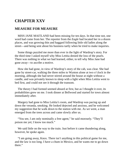# **CHAPTER XXV**

#### **MEASURE FOR MEASURE**

MISS JANE MAITLAND had been missing for ten days. In that time not, one word had come from her. The reporter from the *Eagle* had located her in a dozen places, and was growing thin and haggard following little old ladies along the street—and being sent about his business tartly when he tried to make inquiries.

Some things puzzled me more than ever in the light of Wardrop's story. For the third time I asked myself why Miss Letitia denied the loss of the pearls. There was nothing in what we had learned, either, to tell why Miss Jane had gone away—to ascribe a motive.

How she had gone, in view of Wardrop's story of the cab, was clear. She had gone by street-car, walking the three miles to Wynton alone at two o'clock in the morning, although she had never stirred around the house at night without a candle, and was privately known to sleep with a light when Miss Letitia went to bed first, and could not see it through the transom.

The theory I had formed seemed absurd at first, but as I thought it over, its probabilities grew on me. I took dinner at Bellwood and started for town almost immediately after.

Margery had gone to Miss Letitia's room, and Wardrop was pacing up and down the veranda, smoking. He looked dejected and anxious, and he welcomed my suggestion that he walk down to the station with me. As we went, a man emerged from the trees across and came slowly after us.

"You see, I am only nominally a free agent," he said morosely. "They'll poison me yet; I know too much."

We said little on the way to the train. Just before it came thundering along, however, he spoke again.

"I am going away, Knox. There isn't anything in this political game for me, and the law is too long. I have a chum in Mexico, and he wants me to go down there."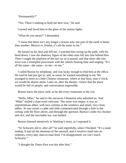"Permanently?"

"Yes. There's nothing to hold me here now," he said.

I turned and faced him in the glare of the station lights.

"What do you mean?" I demanded.

"I mean that there isn't any longer a reason why one part of the earth is better than another. Mexico or Alaska, it's all the same to me."

He turned on his heel and left me. I watched him swing up the path, with his head down; I saw the shadowy figure of the other man fall into line behind him. Then I caught the platform of the last car as it passed, and that short ride into town was a triumphal procession with the wheels beating time and singing: "It's all the same—the same—to me—to me."

I called Burton by telephone, and was lucky enough to find him at the office. He said he had just got in, and, as usual, he wanted something to eat. We arranged to meet at a little Chinese restaurant, where at that hour, nine o'clock, we would be almost alone. Later on, after the theater, I knew that the place would be full of people, and conversation impossible.

Burton knew the place well, as he did every restaurant in the city.

"Hello, Mike," he said to the unctuous Chinaman who admitted us. And "Mike" smiled a slant-eyed welcome. The room was empty; it was an unpretentious affair, with lace curtains at the windows and small, very clean tables. At one corner a cable and slide communicated through a hole in the ceiling with the floor above, and through the aperture, Burton's order for chicken and rice, and the inevitable tea, was barked.

Burton listened attentively to Wardrop's story, as I repeated it.

"So Schwartz did it, after all!" he said regretfully, when I finished. "It's a tame ending. It had all the elements of the unusual, and it resolves itself into an ordinary, every-day, man-to-man feud. I'm disappointed; we can't touch Schwartz."

"I thought the *Times-Post* was hot after him."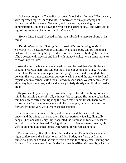"Schwartz bought the *Times-Post* at three o'clock this afternoon," Burton said, with repressed rage. "I'm called off. To-morrow we run a photograph of Schwartzwold, his place at Plattsburg, and the next day we eulogize the administration. I'm going down the river on an excursion boat, and write up the pig-killing contest at the union butchers' picnic."

"How is Mrs. Butler?" I asked, as his rage subsided to mere rumbling in his throat.

"Delirious"—shortly. "She's going to croak, Wardrop's going to Mexico, Schwartz will be next governor, and Miss Maitland's body will be found in a cistern. The whole thing has petered out. What's the use of finding the murderer if he's coated with asbestos and lined with money? Mike, I want some more tea to drown my troubles."

We called up the hospital about ten-thirty, and learned that Mrs. Butler was sinking. Fred was there, and without much hope of getting anything, we went over. I took Burton in as a nephew of the dying woman, and I was glad I had done it. She was quite conscious, but very weak. She told the story to Fred and myself, and in a corner Burton took it down in shorthand. We got her to sign it about daylight sometime, and she died very quietly shortly after Edith arrived at eight.

To give her story as she gave it would be impossible; the ramblings of a sick mind, the terrible pathos of it all, is impossible to repeat. She lay there, her long, thin body practically dead, fighting the death rattle in her throat. There were pauses when for five minutes she would lie in a stupor, only to rouse and go forward from the very word where she had stopped.

She began with her married life, and to understand the beauty of it is to understand the things that came after. She was perfectly, ideally, illogically happy. Then one day Henry Butler accepted the nomination for state treasurer, and with that things changed. During his term in office he altered greatly; his wife could only guess that things were wrong, for he refused to talk.

The crash came, after all, with terrible suddenness. There had been an allnight conference at the Butler home, and Mr. Butler, in a frenzy at finding himself a dupe, had called the butler from bed and forcibly ejected Fleming and Schwartz from the house. Ellen Butler had been horrified, sickened by what she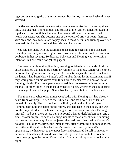regarded as the vulgarity of the occurrence. But her loyalty to her husband never wavered.

Butler was one honest man against a complete organization of unscrupulous ones. His disgrace, imprisonment and suicide at the White Cat had followed in rapid succession. With his death, all that was worth while in his wife died. Her health was destroyed; she became one of the wretched army of neurasthenics, with only one idea: to retaliate, to pay back in measure full and running over, her wrecked life, her dead husband, her grief and her shame.

She laid her plans with the caution and absolute recklessness of a diseased mentality. Normally a shrinking, nervous woman, she became cold, passionless, deliberate in her revenge. To disgrace Schwartz and Fleming was her original intention. But she could not get the papers.

She resorted to hounding Fleming, meaning to drive him to suicide. And she chose a method that had more nearly driven him to madness. Wherever he turned he found the figures eleven twenty-two C. Sometimes just the number, without the letter. It had been Henry Butler's cell number during his imprisonment, and if they were graven on his wife's soul, they burned themselves in lines of fire on Fleming's brain. For over a year she pursued this course—sometimes through the mail, at other times in the most unexpected places, wherever she could bribe a messenger to carry the paper. Sane? No, hardly sane, but inevitable as fate.

The time came when other things went badly with Fleming, as I had already heard from Wardrop. He fled to the White Cat, and for a week Ellen Butler hunted him vainly. She had decided to kill him, and on the night Margery Fleming had found the paper on the pillow, she had been in the house. She was not the only intruder in the house that night. Some one—presumably Fleming himself—had been there before her. She found a ladies' desk broken open and a small drawer empty. Evidently Fleming, unable to draw a check while in hiding, had needed ready money. As to the jewels that had been disturbed in Margery's boudoir, I could only surmise the impulse that, after prompting him to take them, had failed at the sight of his dead wife's jewels. Surprised by the girl's appearance, she had crept to the upper floor and concealed herself in an empty bedroom. It had been almost dawn before she got out. No doubt this was the room belonging to the butler, Carter, which Margery had reported as locked that night.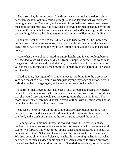She took a key from the door of a side entrance, and locked the door behind her when she left. Within a couple of nights she had learned that Wardrop was coming home from Plattsburg, and she met him at Bellwood. We already knew the nature of that meeting. She drove back to town, half maddened by her failure to secure the letters that would have cleared her husband's memory, but the wiser by one thing: Wardrop had inadvertently told her where Fleming was hiding.

The next night she went to the White Cat and tried to get in. She knew from her husband of the secret staircase, for many a political meeting of the deepest significance had been possible by its use. But the door was locked, and she had no key.

Above her the warehouse raised its empty height, and it was not long before she decided to see what she could learn from its upper windows. She went in at the gate and felt her way, through the rain, to the windows. At that moment the gate opened suddenly, and a man muttered something in the darkness. The shock was terrible.

I had no idea, that night, of what my innocent stumbling into the warehouse yard had meant to a half-crazed woman just beyond my range of vision. After a little she got her courage again, and she pried up an unlocked window.

The rest of her progress must have been much as ours had been, a few nights later. She found a window that commanded the club, and with three possibilities that she would lose, and would see the wrong room, she won the fourth. The room lay directly before her, distinct in every outline, with Fleming seated at the table, facing her and sorting some papers.

She rested her revolver on the sill and took absolutely deliberate aim. Her hands were cold, and she even rubbed them together, to make them steady. Then she fired, and a crash of thunder at the very instant covered the sound.

Fleming sat for a moment before he swayed forward. On that instant she realized that there was some one else in the room—a man who took an uncertain step or two forward into view, threw up his hands and disappeared as silently as he had come. It was Schwartz. Then she saw the door into the hall open, saw Wardrop come slowly in and close it, watched his sickening realization of what had occurred; then a sudden panic seized her. Arms seemed to stretch out from the darkness behind her, to draw her into it She tried to get away, to run, even to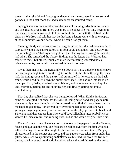scream—then she fainted. It was gray dawn when she recovered her senses and got back to the hotel room she had taken under an assumed name.

By night she was quieter. She read the news of Fleming's death in the papers, and she gloated over it. But there was more to be done; she was only beginning. She meant to ruin Schwartz, to kill his credit, to fell him with the club of public disfavor. Wardrop had told her that her husband's letters were with other papers at the Monmouth Avenue house, where he could not get them.

Fleming's body was taken home that day, Saturday, but she had gone too far to stop. She wanted the papers before Lightfoot could get at them and destroy the incriminating ones. That night she got into the Fleming house, using the key she had taken. She ransacked the library, finding, not the letters that Wardrop had said were there, but others, equally or more incriminating, canceled notes, private accounts, that would have ruined Schwartz for ever.

It was then that I saw the light and went downstairs. My unlucky stumble gave her warning enough to turn out the light. For the rest, the chase through the back hall, the dining-room and the pantry, had culminated in her escape up the back stairs, while I had fallen down the dumbwaiter shaft. She had run into Bella on the upper floor, Bella, who had almost fainted, and who knew her and kept her until morning, petting her and soothing her, and finally getting her into a troubled sleep.

That day she realized that she was being followed. When Edith's invitation came she accepted it at once, for the sake of losing herself and her papers, until she was ready to use them. It had disconcerted her to find Margery there, but she managed to get along. For several days everything had gone well: she was getting stronger again, ready for the second act of the play, prepared to blackmail Schwartz, and then expose him. She would have killed him later, probably; she wanted her measure full and running over, and so she would disgrace him first.

Then—Schwartz must have learned of the loss of the papers from the Fleming house, and guessed the rest. She felt sure he had known from the first who had killed Fleming. However that might be, he had had her room entered, Margery chloroformed in the connecting room, and her papers were taken from under her pillow while she was pretending an $\bigcirc$   $\bigcirc$  sthesia. She had followed the two men through the house and out the kitchen door, where she had fainted on the grass.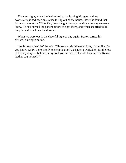The next night, when she had retired early, leaving Margery and me downstairs, it had been an excuse to slip out of the house. How she found that Schwartz was at the White Cat, how she got through the side entrance, we never knew. He had burned the papers before she got there, and when she tried to kill him, he had struck her hand aside.

When we were out in the cheerful light of day again, Burton turned his shrewd, blue eyes on me.

"Awful story, isn't it?" he said. "Those are primitive emotions, if you like. Do you know, Knox, there is only one explanation we haven't worked on for the rest of this mystery—I believe in my soul you carried off the old lady and the Russia leather bag yourself!"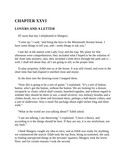## **CHAPTER XXVI**

### **LOVERS AND A LETTER**

AT noon that day I telephoned to Margery.

"Come up," I said, "and bring the keys to the Monmouth Avenue house. I have some things to tell you, and—some things to ask you."

I met her at the station with Lady Gray and the trap. My plans for that afternoon were comprehensive; they included what I hoped to be the solution of the Aunt Jane mystery; also, they included a little drive through the park and a well, I shall tell about that, all I am going to tell, at the proper time.

To play propriety, Edith met us at the house. It was still closed, and even in the short time that had elapsed it smelled close and musty.

At the door into the drawing-room I stopped them.

"Now this is going to be a sort of game," I explained. "It's a sort of button, button, who's got the button, without the button. We are looking for a drawer, receptacle or closet, which shall contain, bunched together, and without regard to whether they should be there or not, a small revolver, two military brushes and a clothes brush, two or three soft bosomed shirts, perhaps a half-dozen collars, and a suit of underwear. Also a small flat package about eight inches long and three wide."

"What in the world are you talking about?" Edith asked.

"I am not talking, I am theorizing," I explained. "I have a theory, and according to it the things should be here. If they are not, it is my misfortune, not my fault."

I think Margery caught my idea at once, and as Edith was ready for anything, we commenced the search. Edith took the top floor, being accustomed, she said, to finding unexpected things in the servants' quarters; Margery took the lower floor, and for certain reasons I took the second.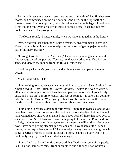For ten minutes there was no result. At the end of that time I had finished two rooms, and commenced on the blue boudoir. And here, on the top shelf of a three-cornered Empire cupboard, with glass doors and spindle legs, I found what I was looking for. Every article was there. I stuffed a small package into my pocket, and called the two girls.

"The lost is found," I stated calmly, when we were all together in the library.

"When did you lose anything?" Edith demanded. "Do you mean to say, Jack Knox, that you brought us here to help you find a suit of gaudy pajamas and a pair of military brushes?"

"I brought you here to find Aunt Jane," I said soberly, taking a letter and the flat package out of my pocket. "You see, my theory worked out. *Here* is Aunt Jane, and *there* is the money from the Russia leather bag."

I laid the packet in Margery's lap, and without ceremony opened the letter. It began:

#### MY DEAREST NIECE:

"I am writing to you, because I can not think what to say to Sister Letitia. I am running away! I—am—running—away! My dear, it scares me even to write it, all alone in this empty house. I have had a cup of tea out of one of your lovely cups, and a nap on your pretty couch, and just as soon as it is dark I am going to take the train for Boston. When you get this, I will be on the ocean, the ocean, my dear, that I have read about, and dreamed about, and never seen.

"I am going to realize a dream of forty years—more than twice as long as you have lived. Your dear mother saw the continent before she died, but the things I have wanted have always been denied me. I have been of those that have eyes to see and see not. So—I have run away. I am going to London and Paris, and even to Italy, if the money your father gave me for the pearls will hold out. For a year now I have been getting steamship circulars, and I have taken a little French through a correspondence school. That was why I always made you sing French songs, dearie: I wanted to learn the accent. I think I should do very well if I could only sing my French instead of speaking it.

"I am afraid that Sister Letitia discovered that I had taken some of the pearls. But—half of them were mine, from our mother, and although I had wanted a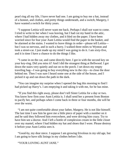pearl ring all my life, I have never had one. I am going to buy me a hat, instead of a bonnet, and clothes, and pretty things underneath, and a switch; Margery, I have wanted a switch for thirty years.

"I suppose Letitia will never want me back. Perhaps I shall not want to come. I tried to write to her when I was leaving, but I had cut my hand in the attic, where I had hidden away my clothes, and it bled on the paper. I have been worried since for fear your Aunt Letitia would find the paper in the basket, and be alarmed at the stains. I wanted to leave things in order—please tell Letitia but I was so nervous, and in such a hurry. I walked three miles to Wynton and took a street-car. I just made up my mind I was going to do it. I am sixty-five, and it is time I have a chance to do the things I like.

"I came in on the car, and came directly here. I got in with the second key on your key-ring. Did you miss it? And I did the strangest thing at Bellwood. I got down the stairs very quietly and out on to the porch. I set down my empty traveling bag—I was going to buy everything new in the city—to close the door behind me. Then I was sure I heard some one at the side of the house, and I picked it up and ran down the path in the dark.

"You can imagine my surprise when I opened the bag this morning to find I had picked up Harry's. I am emptying it and taking it with me, for he has mine.

"If you find this right away, please don't tell Sister Letitia for a day or two. You know how firm your Aunt Letitia is. I shall send her a present from Boston to pacify her, and perhaps when I come back in three or four months, she will be over the worst.

"I am not quite comfortable about your father, Margery. He is not like himself. The last time I saw him he gave me a little piece of paper with a number on it and he said they followed him everywhere, and were driving him crazy. Try to have him see a doctor. And I left a bottle of complexion cream in the little closet over my mantel, where I had hidden my hat and shoes that I wore. Please destroy it before your Aunt Letitia sees it.

"Good-by, my dear niece. I suppose I am growing frivolous in my old age, but I am going to have silk linings in my clothes before I die.

"YOUR LOVING AUNT JANE."